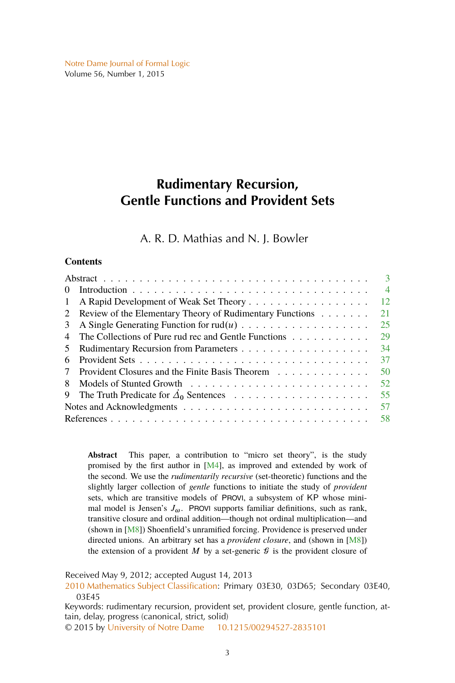<span id="page-0-0"></span>[Notre Dame Journal of Formal Logic](http://www.nd.edu/~ndjfl/) Volume 56, Number 1, 2015

# **Rudimentary Recursion, Gentle Functions and Provident Sets**

# A. R. D. Mathias and N. J. Bowler

## **Contents**

|                                                               |  | $\mathbf{3}$   |
|---------------------------------------------------------------|--|----------------|
| $\theta$                                                      |  | $\overline{4}$ |
| 1                                                             |  | 12             |
| Review of the Elementary Theory of Rudimentary Functions<br>2 |  | 21             |
| 3                                                             |  | 25             |
| The Collections of Pure rud rec and Gentle Functions<br>4     |  | 29             |
| 5                                                             |  | 34             |
| Provident Sets<br>6                                           |  | 37             |
| Provident Closures and the Finite Basis Theorem<br>7          |  | 50             |
| 8                                                             |  | 52             |
| 9                                                             |  | 55             |
|                                                               |  | 57             |
|                                                               |  | 58             |

**Abstract** This paper, a contribution to "micro set theory", is the study promised by the first author in [\[M4\]](#page-56-0), as improved and extended by work of the second. We use the *rudimentarily recursive* (set-theoretic) functions and the slightly larger collection of *gentle* functions to initiate the study of *provident* sets, which are transitive models of PROVI, a subsystem of KP whose minimal model is Jensen's  $J_{\omega}$ . PROVI supports familiar definitions, such as rank, transitive closure and ordinal addition—though not ordinal multiplication—and (shown in [\[M8\]](#page-56-0)) Shoenfield's unramified forcing. Providence is preserved under directed unions. An arbitrary set has a *provident closure*, and (shown in [\[M8\]](#page-56-0)) the extension of a provident M by a set-generic  $\mathcal G$  is the provident closure of

Received May 9, 2012; accepted August 14, 2013

[2010 Mathematics Subject Classification:](http://www.ams.org/mathscinet/msc/msc2010.html) Primary 03E30, 03D65; Secondary 03E40, 03E45

Keywords: rudimentary recursion, provident set, provident closure, gentle function, attain, delay, progress (canonical, strict, solid)

© 2015 by [University of Notre Dame](http://www.nd.edu) [10.1215/00294527-2835101](http://dx.doi.org/10.1215/00294527-2835101)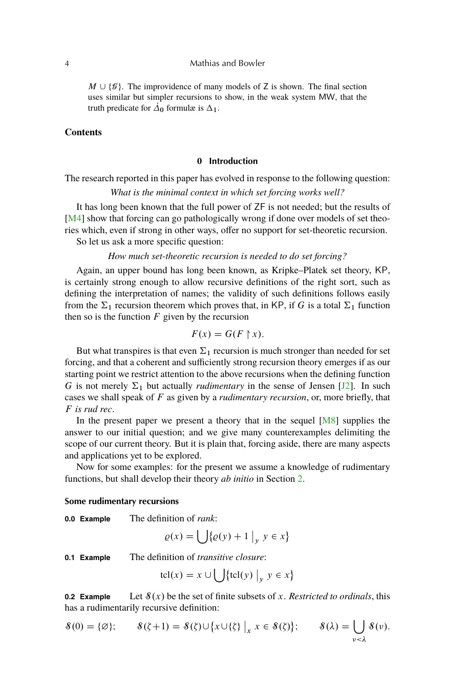#### <span id="page-1-0"></span>4 Mathias and Bowler

 $M \cup {\mathcal{G}}$ . The improvidence of many models of Z is shown. The final section uses similar but simpler recursions to show, in the weak system MW, that the truth predicate for  $\vec{\Delta}_0$  formulæ is  $\Delta_1$ .

## **Contents**

#### **0 Introduction**

The research reported in this paper has evolved in response to the following question:

*What is the minimal context in which set forcing works well?*

It has long been known that the full power of ZF is not needed; but the results of [\[M4\]](#page-56-0) show that forcing can go pathologically wrong if done over models of set theories which, even if strong in other ways, offer no support for set-theoretic recursion.

So let us ask a more specific question:

*How much set-theoretic recursion is needed to do set forcing?*

Again, an upper bound has long been known, as Kripke–Platek set theory, KP, is certainly strong enough to allow recursive definitions of the right sort, such as defining the interpretation of names; the validity of such definitions follows easily from the  $\Sigma_1$  recursion theorem which proves that, in KP, if G is a total  $\Sigma_1$  function then so is the function  $F$  given by the recursion

$$
F(x) = G(F \upharpoonright x).
$$

But what transpires is that even  $\Sigma_1$  recursion is much stronger than needed for set forcing, and that a coherent and sufficiently strong recursion theory emerges if as our starting point we restrict attention to the above recursions when the defining function G is not merely  $\Sigma_1$  but actually *rudimentary* in the sense of Jensen [\[J2\]](#page-56-0). In such cases we shall speak of F as given by a *rudimentary recursion*, or, more briefly, that F *is rud rec*.

In the present paper we present a theory that in the sequel  $[M8]$  supplies the answer to our initial question; and we give many counterexamples delimiting the scope of our current theory. But it is plain that, forcing aside, there are many aspects and applications yet to be explored.

Now for some examples: for the present we assume a knowledge of rudimentary functions, but shall develop their theory *ab initio* in Section [2.](#page-18-0)

#### **Some rudimentary recursions**

**0.0 Example** The definition of *rank*:

$$
\varrho(x) = \bigcup \{ \varrho(y) + 1 \big|_y \ y \in x \}
$$

**0.1 Example** The definition of *transitive closure*:

$$
tcl(x) = x \cup \bigcup \{tcl(y) \mid y \in x\}
$$

**0.2 Example** Let  $\mathcal{S}(x)$  be the set of finite subsets of x. *Restricted to ordinals*, this has a rudimentarily recursive definition:

$$
\mathcal{S}(0) = \{\varnothing\}; \qquad \mathcal{S}(\zeta + 1) = \mathcal{S}(\zeta) \cup \{x \cup \{\zeta\} \mid_x x \in \mathcal{S}(\zeta)\}; \qquad \mathcal{S}(\lambda) = \bigcup_{v < \lambda} \mathcal{S}(v).
$$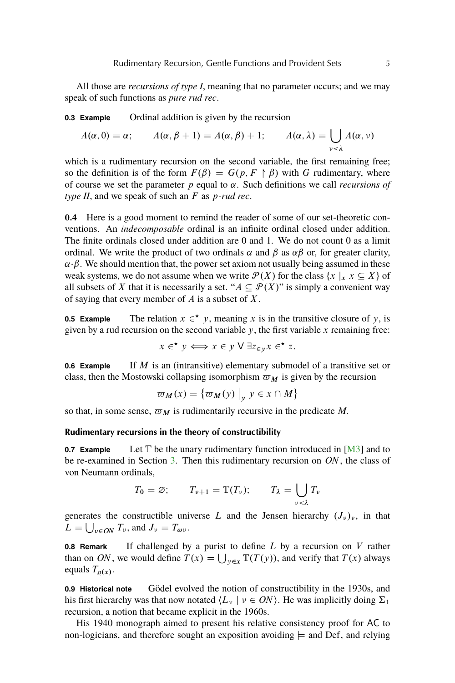<span id="page-2-0"></span>All those are *recursions of type I*, meaning that no parameter occurs; and we may speak of such functions as *pure rud rec*.

**0.3 Example** Ordinal addition is given by the recursion

$$
A(\alpha, 0) = \alpha; \qquad A(\alpha, \beta + 1) = A(\alpha, \beta) + 1; \qquad A(\alpha, \lambda) = \bigcup_{\nu < \lambda} A(\alpha, \nu)
$$

which is a rudimentary recursion on the second variable, the first remaining free; so the definition is of the form  $F(\beta) = G(p, F \upharpoonright \beta)$  with G rudimentary, where of course we set the parameter  $p$  equal to  $\alpha$ . Such definitions we call *recursions of type II*, and we speak of such an F as p*-rud rec*.

**0.4** Here is a good moment to remind the reader of some of our set-theoretic conventions. An *indecomposable* ordinal is an infinite ordinal closed under addition. The finite ordinals closed under addition are 0 and 1. We do not count 0 as a limit ordinal. We write the product of two ordinals  $\alpha$  and  $\beta$  as  $\alpha\beta$  or, for greater clarity,  $\alpha \cdot \beta$ . We should mention that, the power set axiom not usually being assumed in these weak systems, we do not assume when we write  $\mathcal{P}(X)$  for the class  $\{x \mid x \in X\}$  of all subsets of X that it is necessarily a set. " $A \subseteq \mathcal{P}(X)$ " is simply a convenient way of saying that every member of  $A$  is a subset of  $X$ .

**0.5 Example** The relation  $x \in \mathbf{x}$ , meaning x is in the transitive closure of y, is given by a rud recursion on the second variable  $y$ , the first variable  $x$  remaining free:

$$
x \in^{\star} y \Longleftrightarrow x \in y \lor \exists z_{\in y} x \in^{\star} z.
$$

**0.6 Example** If M is an (intransitive) elementary submodel of a transitive set or class, then the Mostowski collapsing isomorphism  $\varpi_M$  is given by the recursion

$$
\varpi_M(x) = \{ \varpi_M(y) \big|_y \ y \in x \cap M \}
$$

so that, in some sense,  $\varpi_M$  is rudimentarily recursive in the predicate M.

## **Rudimentary recursions in the theory of constructibility**

**0.7 Example** Let  $T$  be the unary rudimentary function introduced in  $[M3]$  and to be re-examined in Section [3.](#page-22-0) Then this rudimentary recursion on ON, the class of von Neumann ordinals,

$$
T_0 = \varnothing; \qquad T_{\nu+1} = \mathbb{T}(T_{\nu}); \qquad T_{\lambda} = \bigcup_{\nu < \lambda} T_{\nu}
$$

generates the constructible universe L and the Jensen hierarchy  $(J_{\nu})_{\nu}$ , in that  $L = \bigcup_{v \in ON} T_v$ , and  $J_v = T_{\omega v}$ .

**0.8 Remark** If challenged by a purist to define L by a recursion on V rather than on ON, we would define  $T(x) = \bigcup_{y \in x} T(T(y))$ , and verify that  $T(x)$  always equals  $T_{\rho(x)}$ .

**0.9 Historical note** Gödel evolved the notion of constructibility in the 1930s, and his first hierarchy was that now notated  $\langle L_{\nu} | \nu \in ON \rangle$ . He was implicitly doing  $\Sigma_1$ recursion, a notion that became explicit in the 1960s.

His 1940 monograph aimed to present his relative consistency proof for AC to non-logicians, and therefore sought an exposition avoiding  $\models$  and Def, and relying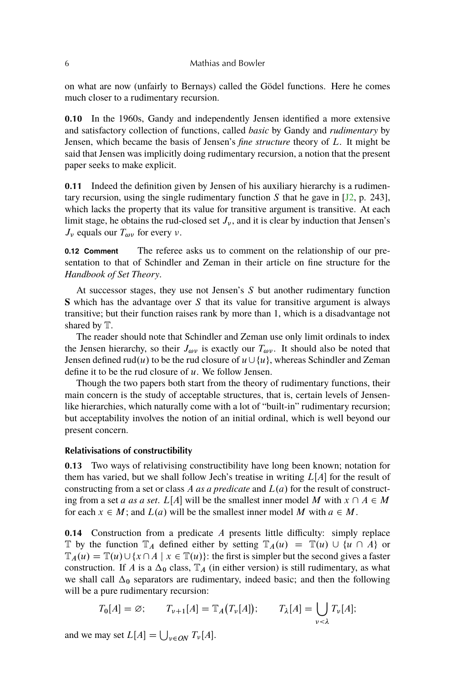<span id="page-3-0"></span>on what are now (unfairly to Bernays) called the Gödel functions. Here he comes much closer to a rudimentary recursion.

**0.10** In the 1960s, Gandy and independently Jensen identified a more extensive and satisfactory collection of functions, called *basic* by Gandy and *rudimentary* by Jensen, which became the basis of Jensen's *fine structure* theory of L. It might be said that Jensen was implicitly doing rudimentary recursion, a notion that the present paper seeks to make explicit.

**0.11** Indeed the definition given by Jensen of his auxiliary hierarchy is a rudimentary recursion, using the single rudimentary function S that he gave in  $[12, p. 243]$ , which lacks the property that its value for transitive argument is transitive. At each limit stage, he obtains the rud-closed set  $J_{\nu}$ , and it is clear by induction that Jensen's  $J_{\nu}$  equals our  $T_{\omega\nu}$  for every  $\nu$ .

**0.12 Comment** The referee asks us to comment on the relationship of our presentation to that of Schindler and Zeman in their article on fine structure for the *Handbook of Set Theory*.

At successor stages, they use not Jensen's  $S$  but another rudimentary function **S** which has the advantage over S that its value for transitive argument is always transitive; but their function raises rank by more than 1, which is a disadvantage not shared by T.

The reader should note that Schindler and Zeman use only limit ordinals to index the Jensen hierarchy, so their  $J_{\omega\nu}$  is exactly our  $T_{\omega\nu}$ . It should also be noted that Jensen defined rud(u) to be the rud closure of  $u \cup \{u\}$ , whereas Schindler and Zeman define it to be the rud closure of  $u$ . We follow Jensen.

Though the two papers both start from the theory of rudimentary functions, their main concern is the study of acceptable structures, that is, certain levels of Jensenlike hierarchies, which naturally come with a lot of "built-in" rudimentary recursion; but acceptability involves the notion of an initial ordinal, which is well beyond our present concern.

#### **Relativisations of constructibility**

**0.13** Two ways of relativising constructibility have long been known; notation for them has varied, but we shall follow Jech's treatise in writing  $L[A]$  for the result of constructing from a set or class A *as a predicate* and  $L(a)$  for the result of constructing from a set *a as a set*. L[*A*] will be the smallest inner model M with  $x \cap A \in M$ for each  $x \in M$ ; and  $L(a)$  will be the smallest inner model M with  $a \in M$ .

**0.14** Construction from a predicate A presents little difficulty: simply replace T by the function  $\mathbb{T}_A$  defined either by setting  $\mathbb{T}_A(u) = \mathbb{T}(u) \cup \{u \cap A\}$  or  $\mathbb{T}_A(u) = \mathbb{T}(u) \cup \{x \cap A \mid x \in \mathbb{T}(u)\}\$ : the first is simpler but the second gives a faster construction. If A is a  $\Delta_0$  class,  $\mathbb{T}_A$  (in either version) is still rudimentary, as what we shall call  $\Delta_0$  separators are rudimentary, indeed basic; and then the following will be a pure rudimentary recursion:

$$
T_0[A] = \varnothing; \qquad T_{\nu+1}[A] = \mathbb{T}_A(T_{\nu}[A]); \qquad T_{\lambda}[A] = \bigcup_{\nu < \lambda} T_{\nu}[A];
$$

and we may set  $L[A] = \bigcup_{v \in ON} T_v[A]$ .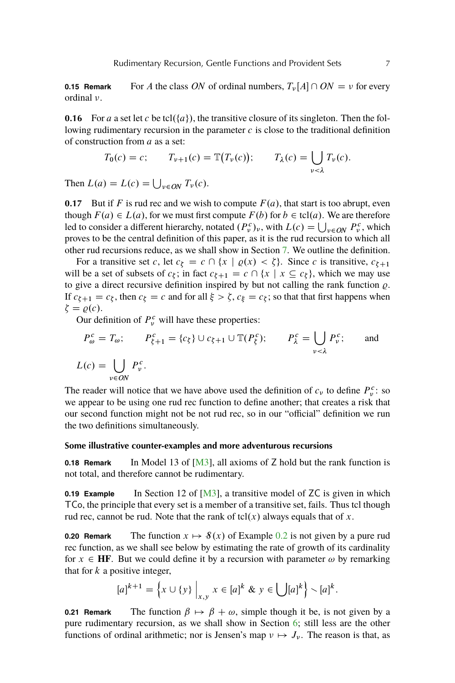<span id="page-4-0"></span>**0.15 Remark** For A the class ON of ordinal numbers,  $T_v[A] \cap ON = v$  for every ordinal  $\nu$ .

**0.16** For a a set let c be tcl( $\{a\}$ ), the transitive closure of its singleton. Then the following rudimentary recursion in the parameter  $c$  is close to the traditional definition of construction from a as a set:

$$
T_0(c) = c; \qquad T_{\nu+1}(c) = \mathbb{T}(T_{\nu}(c)); \qquad T_{\lambda}(c) = \bigcup_{\nu < \lambda} T_{\nu}(c).
$$

Then  $L(a) = L(c) = \bigcup_{v \in ON} T_v(c)$ .

**0.17** But if F is rud rec and we wish to compute  $F(a)$ , that start is too abrupt, even though  $F(a) \in L(a)$ , for we must first compute  $F(b)$  for  $b \in \text{tcl}(a)$ . We are therefore led to consider a different hierarchy, notated  $(P_v^c)_v$ , with  $L(c) = \bigcup_{v \in ON} P_v^c$ , which proves to be the central definition of this paper, as it is the rud recursion to which all other rud recursions reduce, as we shall show in Section [7.](#page-47-0) We outline the definition.

For a transitive set c, let  $c_{\xi} = c \cap \{x \mid \varrho(x) < \xi\}$ . Since c is transitive,  $c_{\xi+1}$ will be a set of subsets of  $c_{\xi}$ ; in fact  $c_{\xi+1} = c \cap \{x \mid x \subseteq c_{\xi}\}\)$ , which we may use to give a direct recursive definition inspired by but not calling the rank function  $\rho$ . If  $c_{\xi+1} = c_{\xi}$ , then  $c_{\xi} = c$  and for all  $\xi > \zeta$ ,  $c_{\xi} = c_{\xi}$ ; so that that first happens when  $\zeta = \varrho(c).$ 

Our definition of  $P_v^c$  will have these properties:

$$
P_{\omega}^{c} = T_{\omega}; \qquad P_{\xi+1}^{c} = \{c_{\xi}\} \cup c_{\xi+1} \cup \mathbb{T}(P_{\xi}^{c}); \qquad P_{\lambda}^{c} = \bigcup_{\nu < \lambda} P_{\nu}^{c}; \qquad \text{and}
$$

$$
L(c) = \bigcup_{\nu \in ON} P_{\nu}^{c}.
$$

The reader will notice that we have above used the definition of  $c_v$  to define  $P_v^c$ : so we appear to be using one rud rec function to define another; that creates a risk that our second function might not be not rud rec, so in our "official" definition we run the two definitions simultaneously.

#### **Some illustrative counter-examples and more adventurous recursions**

**0.18 Remark** In Model 13 of [\[M3\]](#page-56-0), all axioms of Z hold but the rank function is not total, and therefore cannot be rudimentary.

**0.19 Example** In Section 12 of [\[M3\]](#page-56-0), a transitive model of ZC is given in which TCo, the principle that every set is a member of a transitive set, fails. Thus tcl though rud rec, cannot be rud. Note that the rank of tcl $(x)$  always equals that of x.

**[0.2](#page-1-0)0 Remark** The function  $x \mapsto \mathcal{S}(x)$  of Example 0.2 is not given by a pure rud rec function, as we shall see below by estimating the rate of growth of its cardinality for  $x \in HF$ . But we could define it by a recursion with parameter  $\omega$  by remarking that for  $k$  a positive integer,

$$
[a]^{k+1} = \left\{ x \cup \{y\} \big|_{x,y} x \in [a]^k \& y \in \bigcup [a]^k \right\} \setminus [a]^k.
$$

**0.21 Remark** The function  $\beta \mapsto \beta + \omega$ , simple though it be, is not given by a pure rudimentary recursion, as we shall show in Section [6;](#page-34-0) still less are the other functions of ordinal arithmetic; nor is Jensen's map  $\nu \mapsto J_{\nu}$ . The reason is that, as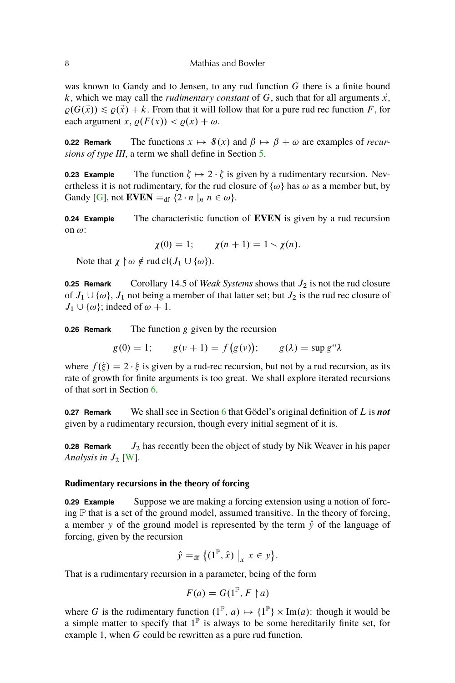<span id="page-5-0"></span>was known to Gandy and to Jensen, to any rud function  $G$  there is a finite bound k, which we may call the *rudimentary constant* of G, such that for all arguments  $\vec{x}$ ,  $\rho(G(\vec{x})) \leq \rho(\vec{x}) + k$ . From that it will follow that for a pure rud rec function F, for each argument x,  $\rho(F(x)) < \rho(x) + \omega$ .

**0.22 Remark** The functions  $x \mapsto \mathcal{S}(x)$  and  $\beta \mapsto \beta + \omega$  are examples of *recursions of type III*, a term we shall define in Section [5.](#page-31-0)

**0.23 Example** The function  $\zeta \mapsto 2 \cdot \zeta$  is given by a rudimentary recursion. Nevertheless it is not rudimentary, for the rud closure of  $\{\omega\}$  has  $\omega$  as a member but, by Gandy [\[G\]](#page-56-0), not **EVEN**  $=_{df} \{2 \cdot n \mid n \in \omega\}.$ 

**0.24 Example** The characteristic function of **EVEN** is given by a rud recursion on  $\omega$ :

$$
\chi(0) = 1;
$$
  $\chi(n + 1) = 1 \cdot \chi(n).$ 

Note that  $\chi \upharpoonright \omega \notin \text{rud } cl(J_1 \cup \{\omega\}).$ 

**0.25 Remark** Corollary 14.5 of *Weak Systems* shows that  $J_2$  is not the rud closure of  $J_1 \cup \{\omega\}$ ,  $J_1$  not being a member of that latter set; but  $J_2$  is the rud rec closure of  $J_1 \cup \{\omega\}$ ; indeed of  $\omega + 1$ .

**0.26 Remark** The function g given by the recursion

 $g(0) = 1;$   $g(\nu + 1) = f(g(\nu));$   $g(\lambda) = \sup g''\lambda$ 

where  $f(\xi) = 2 \cdot \xi$  is given by a rud-rec recursion, but not by a rud recursion, as its rate of growth for finite arguments is too great. We shall explore iterated recursions of that sort in Section [6.](#page-34-0)

**0.27 Remark** We shall see in Section [6](#page-34-0) that Gödel's original definition of L is *not* given by a rudimentary recursion, though every initial segment of it is.

**0.28 Remark**  $J_2$  has recently been the object of study by Nik Weaver in his paper Analysis in  $J_2$  [\[W\]](#page-56-0).

## **Rudimentary recursions in the theory of forcing**

**0.29 Example** Suppose we are making a forcing extension using a notion of forcing  $\mathbb P$  that is a set of the ground model, assumed transitive. In the theory of forcing, a member y of the ground model is represented by the term  $\hat{y}$  of the language of forcing, given by the recursion

$$
\hat{y} =_{df} \left\{ (1^{\mathbb{P}}, \hat{x}) \big|_{x} x \in y \right\}.
$$

That is a rudimentary recursion in a parameter, being of the form

$$
F(a) = G(1^{\mathbb{P}}, F \upharpoonright a)
$$

where G is the rudimentary function  $(1^{\mathbb{P}}, a) \mapsto \{1^{\mathbb{P}}\} \times \text{Im}(a)$ : though it would be a simple matter to specify that  $1^{\mathbb{P}}$  is always to be some hereditarily finite set, for example 1, when G could be rewritten as a pure rud function.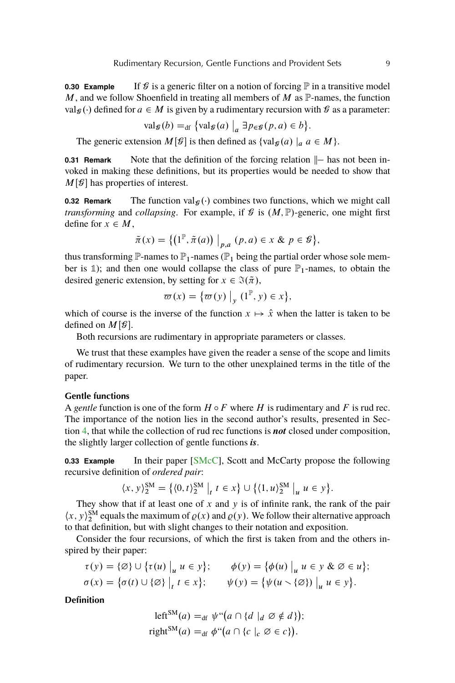<span id="page-6-0"></span>**0.30 Example** If  $\mathcal G$  is a generic filter on a notion of forcing  $\mathbb P$  in a transitive model M, and we follow Shoenfield in treating all members of M as  $\mathbb P$ -names, the function valg (·) defined for  $a \in M$  is given by a rudimentary recursion with  $\mathcal G$  as a parameter:

$$
\operatorname{val}_{\mathcal{G}}(b) =_{\text{df}} \{ \operatorname{val}_{\mathcal{G}}(a) \big|_a \exists p_{\in \mathcal{G}}(p, a) \in b \}.
$$

The generic extension  $M[\mathcal{G}]$  is then defined as  $\{val_{\mathcal{G}}(a) | a \in M\}.$ 

**0.31 Remark** Note that the definition of the forcing relation  $\|$ — has not been invoked in making these definitions, but its properties would be needed to show that  $M[\mathcal{G}]$  has properties of interest.

**0.32 Remark** The function valg( $\cdot$ ) combines two functions, which we might call *transforming* and *collapsing*. For example, if  $\mathcal{G}$  is  $(M, \mathbb{P})$ -generic, one might first define for  $x \in M$ ,

$$
\tilde{\pi}(x) = \{ \left(1^{\mathbb{P}}, \tilde{\pi}(a)\right) \big|_{p,a} (p,a) \in x \& p \in \mathcal{B} \},\
$$

thus transforming  $\mathbb{P}$ -names to  $\mathbb{P}_1$ -names ( $\mathbb{P}_1$  being the partial order whose sole member is 1); and then one would collapse the class of pure  $\mathbb{P}_1$ -names, to obtain the desired generic extension, by setting for  $x \in \mathcal{F}(\tilde{\pi})$ ,

$$
\varpi(x) = \{ \varpi(y) \big|_y (1^{\mathbb{P}}, y) \in x \},
$$

which of course is the inverse of the function  $x \mapsto \hat{x}$  when the latter is taken to be defined on  $M[\mathcal{G}]$ .

Both recursions are rudimentary in appropriate parameters or classes.

We trust that these examples have given the reader a sense of the scope and limits of rudimentary recursion. We turn to the other unexplained terms in the title of the paper.

#### **Gentle functions**

A *gentle* function is one of the form  $H \circ F$  where H is rudimentary and F is rud rec. The importance of the notion lies in the second author's results, presented in Section [4,](#page-26-0) that while the collection of rud rec functions is *not* closed under composition, the slightly larger collection of gentle functions *is*.

**0.33 Example** In their paper [\[SMcC\]](#page-56-0), Scott and McCarty propose the following recursive definition of *ordered pair*:

$$
\langle x, y \rangle_2^{\text{SM}} = \{ \langle 0, t \rangle_2^{\text{SM}} \big|_t \ t \in x \} \cup \{ \langle 1, u \rangle_2^{\text{SM}} \big|_u \ u \in y \}.
$$

They show that if at least one of  $x$  and  $y$  is of infinite rank, the rank of the pair  $\langle x, y \rangle^{\text{SM}}_2$  equals the maximum of  $\varrho(x)$  and  $\varrho(y)$ . We follow their alternative approach to that definition, but with slight changes to their notation and exposition.

Consider the four recursions, of which the first is taken from and the others inspired by their paper:

$$
\tau(y) = \{\emptyset\} \cup \{\tau(u) \big|_{u} u \in y\}; \qquad \phi(y) = \{\phi(u) \big|_{u} u \in y \& \emptyset \in u\};
$$
  

$$
\sigma(x) = \{\sigma(t) \cup \{\emptyset\} \big|_{t} t \in x\}; \qquad \psi(y) = \{\psi(u \setminus \{\emptyset\}) \big|_{u} u \in y\}.
$$

**Definition**

$$
\begin{aligned} \text{left}^{\text{SM}}(a) &=_{\text{df}} \psi^{\prime\prime}(a \cap \{d \mid_{d} \varnothing \notin d\});\\ \text{right}^{\text{SM}}(a) &=_{\text{df}} \phi^{\prime\prime}(a \cap \{c \mid_{c} \varnothing \in c\}). \end{aligned}
$$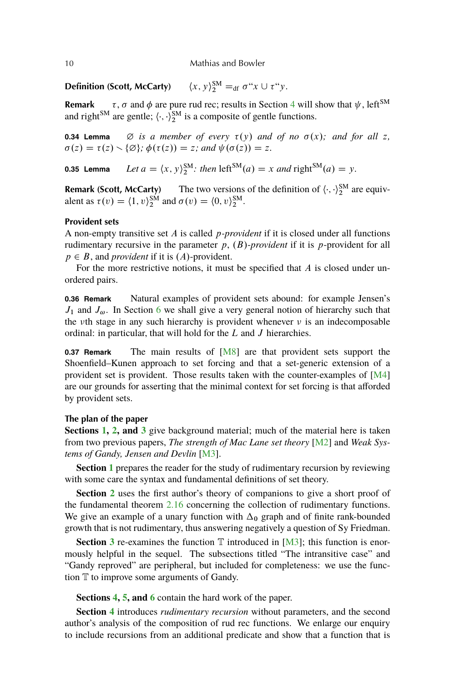<span id="page-7-0"></span>10 Mathias and Bowler

**Definition (Scott, McCarty)**  $S_{2}^{\text{SM}} =_{\text{df}} \sigma^{\mu} x \cup \tau^{\mu} y.$ 

**Remark**  $\tau$ ,  $\sigma$  and  $\phi$  are pure rud rec; results in Section [4](#page-26-0) will show that  $\psi$ , left<sup>SM</sup> and right<sup>SM</sup> are gentle;  $\langle \cdot, \cdot \rangle_2^{SM}$  is a composite of gentle functions.

**0.34 Lemma**  $\emptyset$  *is a member of every*  $\tau(y)$  *and of no*  $\sigma(x)$ *; and for all* z*,*  $\sigma(z) = \tau(z) \setminus \{\emptyset\}; \phi(\tau(z)) = z$ ; and  $\psi(\sigma(z)) = z$ .

**0.35 Lemma** *Let*  $a = \langle x, y \rangle_2^{SM}$ : then  $\text{left}^{SM}(a) = x$  and  $\text{right}^{SM}(a) = y$ .

**Remark (Scott, McCarty)** The two versions of the definition of  $\langle \cdot, \cdot \rangle_2^{SM}$  are equivalent as  $\tau(v) = \langle 1, v \rangle_2^{\text{SM}}$  and  $\sigma(v) = \langle 0, v \rangle_2^{\text{SM}}$ .

# **Provident sets**

A non-empty transitive set A is called p*-provident* if it is closed under all functions rudimentary recursive in the parameter  $p$ ,  $(B)$ -*provident* if it is p-provident for all  $p \in B$ , and *provident* if it is  $(A)$ -provident.

For the more restrictive notions, it must be specified that  $A$  is closed under unordered pairs.

**0.36 Remark** Natural examples of provident sets abound: for example Jensen's  $J_1$  and  $J_\omega$ . In Section [6](#page-34-0) we shall give a very general notion of hierarchy such that the  $\nu$ th stage in any such hierarchy is provident whenever  $\nu$  is an indecomposable ordinal: in particular, that will hold for the L and J hierarchies.

**0.37 Remark** The main results of [\[M8\]](#page-56-0) are that provident sets support the Shoenfield–Kunen approach to set forcing and that a set-generic extension of a provident set is provident. Those results taken with the counter-examples of  $[M4]$ are our grounds for asserting that the minimal context for set forcing is that afforded by provident sets.

#### **The plan of the paper**

**Sections [1,](#page-9-0) [2,](#page-18-0) and [3](#page-22-0)** give background material; much of the material here is taken from two previous papers, *The strength of Mac Lane set theory* [\[M2\]](#page-56-0) and *Weak Systems of Gandy, Jensen and Devlin* [\[M3\]](#page-56-0).

**Section [1](#page-9-0)** prepares the reader for the study of rudimentary recursion by reviewing with some care the syntax and fundamental definitions of set theory.

**Section [2](#page-18-0)** uses the first author's theory of companions to give a short proof of the fundamental theorem [2.16](#page-21-0) concerning the collection of rudimentary functions. We give an example of a unary function with  $\Delta_0$  graph and of finite rank-bounded growth that is not rudimentary, thus answering negatively a question of Sy Friedman.

**Section** [3](#page-22-0) re-examines the function  $\mathbb T$  introduced in [\[M3\]](#page-56-0); this function is enormously helpful in the sequel. The subsections titled "The intransitive case" and "Gandy reproved" are peripheral, but included for completeness: we use the function T to improve some arguments of Gandy.

**Sections [4,](#page-26-0) [5,](#page-31-0) and [6](#page-34-0)** contain the hard work of the paper.

**Section [4](#page-26-0)** introduces *rudimentary recursion* without parameters, and the second author's analysis of the composition of rud rec functions. We enlarge our enquiry to include recursions from an additional predicate and show that a function that is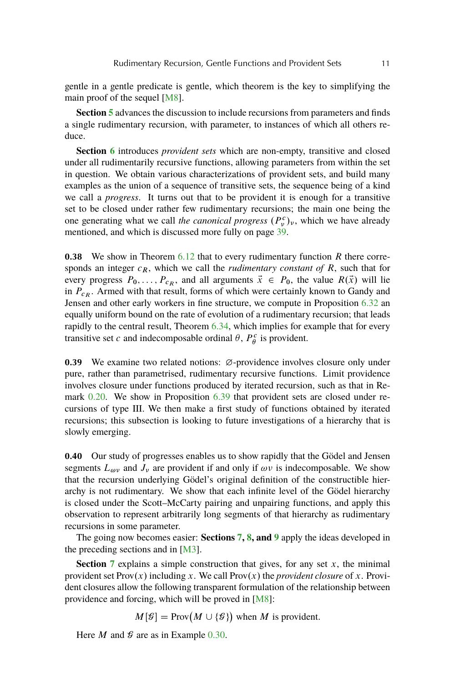<span id="page-8-0"></span>gentle in a gentle predicate is gentle, which theorem is the key to simplifying the main proof of the sequel [\[M8\]](#page-56-0).

**Section [5](#page-31-0)** advances the discussion to include recursions from parameters and finds a single rudimentary recursion, with parameter, to instances of which all others reduce.

**Section [6](#page-34-0)** introduces *provident sets* which are non-empty, transitive and closed under all rudimentarily recursive functions, allowing parameters from within the set in question. We obtain various characterizations of provident sets, and build many examples as the union of a sequence of transitive sets, the sequence being of a kind we call a *progress*. It turns out that to be provident it is enough for a transitive set to be closed under rather few rudimentary recursions; the main one being the one generating what we call *the canonical progress*  $(P_v^c)_v$ , which we have already mentioned, and which is discussed more fully on page [39.](#page-36-0)

**0.38** We show in Theorem [6.12](#page-35-0) that to every rudimentary function R there corresponds an integer  $c_R$ , which we call the *rudimentary constant of*  $R$ , such that for every progress  $P_0, \ldots, P_{c_R}$ , and all arguments  $\vec{x} \in P_0$ , the value  $R(\vec{x})$  will lie in  $P_{cR}$ . Armed with that result, forms of which were certainly known to Gandy and Jensen and other early workers in fine structure, we compute in Proposition [6.32](#page-37-0) an equally uniform bound on the rate of evolution of a rudimentary recursion; that leads rapidly to the central result, Theorem [6.34,](#page-37-0) which implies for example that for every transitive set c and indecomposable ordinal  $\theta$ ,  $P_{\theta}^{c}$  is provident.

**0.39** We examine two related notions:  $\varnothing$ -providence involves closure only under pure, rather than parametrised, rudimentary recursive functions. Limit providence involves closure under functions produced by iterated recursion, such as that in Remark [0.20.](#page-4-0) We show in Proposition [6.39](#page-38-0) that provident sets are closed under recursions of type III. We then make a first study of functions obtained by iterated recursions; this subsection is looking to future investigations of a hierarchy that is slowly emerging.

**0.40** Our study of progresses enables us to show rapidly that the Gödel and Jensen segments  $L_{\omega\nu}$  and  $J_{\nu}$  are provident if and only if  $\omega\nu$  is indecomposable. We show that the recursion underlying Gödel's original definition of the constructible hierarchy is not rudimentary. We show that each infinite level of the Gödel hierarchy is closed under the Scott–McCarty pairing and unpairing functions, and apply this observation to represent arbitrarily long segments of that hierarchy as rudimentary recursions in some parameter.

The going now becomes easier: **Sections [7,](#page-47-0) [8,](#page-49-0) and [9](#page-52-0)** apply the ideas developed in the preceding sections and in [\[M3\]](#page-56-0).

**Section [7](#page-47-0)** explains a simple construction that gives, for any set  $x$ , the minimal provident set  $\text{Prov}(x)$  including x. We call  $\text{Prov}(x)$  the *provident closure* of x. Provident closures allow the following transparent formulation of the relationship between providence and forcing, which will be proved in [\[M8\]](#page-56-0):

 $M[\mathcal{G}] = \text{Prov}(M \cup \{\mathcal{G}\})$  when M is provident.

Here *M* and  $\mathcal G$  are as in Example [0.30.](#page-5-0)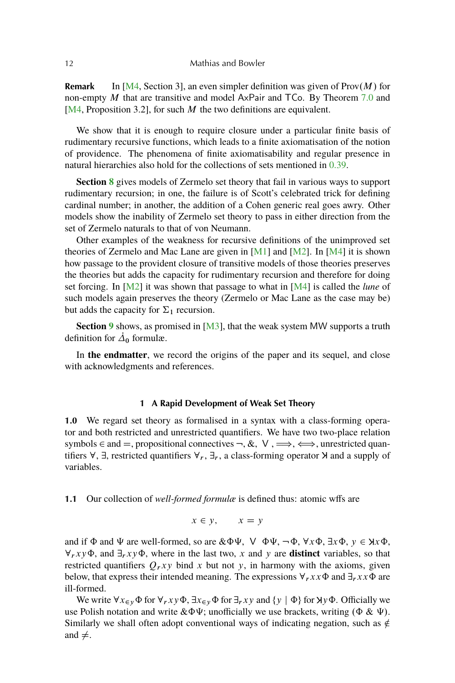<span id="page-9-0"></span>**Remark** In [\[M4,](#page-56-0) Section 3], an even simpler definition was given of Prov $(M)$  for non-empty  $M$  that are transitive and model AxPair and TCo. By Theorem [7.0](#page-47-0) and [ $M4$ , Proposition 3.2], for such M the two definitions are equivalent.

We show that it is enough to require closure under a particular finite basis of rudimentary recursive functions, which leads to a finite axiomatisation of the notion of providence. The phenomena of finite axiomatisability and regular presence in natural hierarchies also hold for the collections of sets mentioned in [0.39.](#page-8-0)

**Section [8](#page-49-0)** gives models of Zermelo set theory that fail in various ways to support rudimentary recursion; in one, the failure is of Scott's celebrated trick for defining cardinal number; in another, the addition of a Cohen generic real goes awry. Other models show the inability of Zermelo set theory to pass in either direction from the set of Zermelo naturals to that of von Neumann.

Other examples of the weakness for recursive definitions of the unimproved set theories of Zermelo and Mac Lane are given in  $[M1]$  and  $[M2]$ . In  $[M4]$  it is shown how passage to the provident closure of transitive models of those theories preserves the theories but adds the capacity for rudimentary recursion and therefore for doing set forcing. In [\[M2\]](#page-56-0) it was shown that passage to what in [\[M4\]](#page-56-0) is called the *lune* of such models again preserves the theory (Zermelo or Mac Lane as the case may be) but adds the capacity for  $\Sigma_1$  recursion.

**Section [9](#page-52-0)** shows, as promised in [\[M3\]](#page-56-0), that the weak system MW supports a truth definition for  $\dot{\Delta}_0$  formulæ.

In **the endmatter**, we record the origins of the paper and its sequel, and close with acknowledgments and references.

#### **1 A Rapid Development of Weak Set Theory**

**1.0** We regard set theory as formalised in a syntax with a class-forming operator and both restricted and unrestricted quantifiers. We have two two-place relation symbols  $\in$  and  $=$ , propositional connectives  $\neg$ ,  $\&$ ,  $\vee$ ,  $\Longrightarrow$ ,  $\Longleftrightarrow$ , unrestricted quantifiers  $\forall$ ,  $\exists$ , restricted quantifiers  $\forall$ r,  $\exists$ r, a class-forming operator  $\forall$  and a supply of variables.

#### **1.1** Our collection of *well-formed formulæ* is defined thus: atomic wffs are

$$
x \in y, \qquad x = y
$$

and if  $\Phi$  and  $\Psi$  are well-formed, so are  $\&\Phi\Psi$ ,  $\nabla \Phi\Psi$ ,  $\neg \Phi$ ,  $\nabla x \Phi$ ,  $\nabla x \Phi$ ,  $y \in \mathcal{H} \times \Phi$ ,  $\forall r$ xy $\Phi$ , and  $\exists r$ xy $\Phi$ , where in the last two, x and y are **distinct** variables, so that restricted quantifiers  $Q_rxy$  bind x but not y, in harmony with the axioms, given below, that express their intended meaning. The expressions  $\forall_r xx\Phi$  and  $\exists_r xx\Phi$  are ill-formed.

We write  $\forall x \in y \Phi$  for  $\forall r, xy \Phi$ ,  $\exists x \in y \Phi$  for  $\exists r, xy$  and  $\{y \mid \Phi\}$  for  $\forall y \Phi$ . Officially we use Polish notation and write  $\&\Phi\Psi$ ; unofficially we use brackets, writing  $(\Phi \& \Psi)$ . Similarly we shall often adopt conventional ways of indicating negation, such as  $\notin$ and  $\neq$ .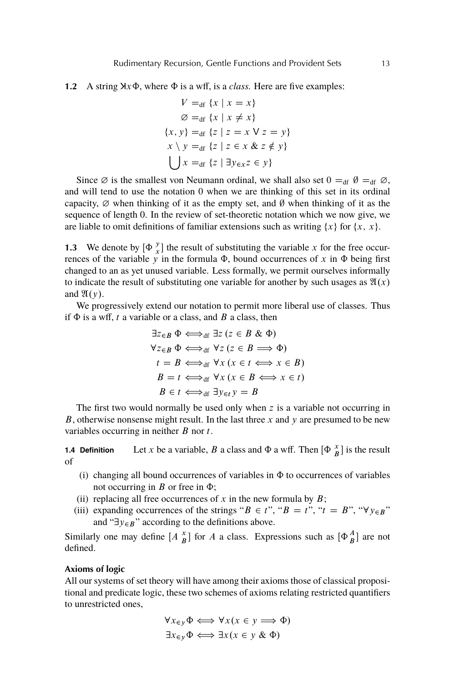**1.2** A string  $\forall x \Phi$ , where  $\Phi$  is a wff, is a *class*. Here are five examples:

$$
V =_{df} \{x \mid x = x\}
$$
  
\n
$$
\varnothing =_{df} \{x \mid x \neq x\}
$$
  
\n
$$
\{x, y\} =_{df} \{z \mid z = x \vee z = y\}
$$
  
\n
$$
x \setminus y =_{df} \{z \mid z \in x \& z \notin y\}
$$
  
\n
$$
\bigcup x =_{df} \{z \mid \exists y \in xz \in y\}
$$

Since  $\emptyset$  is the smallest von Neumann ordinal, we shall also set  $0 =_{df} \emptyset =_{df} \emptyset$ , and will tend to use the notation 0 when we are thinking of this set in its ordinal capacity,  $\varnothing$  when thinking of it as the empty set, and  $\varnothing$  when thinking of it as the sequence of length 0. In the review of set-theoretic notation which we now give, we are liable to omit definitions of familiar extensions such as writing  $\{x\}$  for  $\{x, x\}$ .

**1.3** We denote by  $\left[\Phi \right]_x^y$  the result of substituting the variable x for the free occurrences of the variable y in the formula  $\Phi$ , bound occurrences of x in  $\Phi$  being first changed to an as yet unused variable. Less formally, we permit ourselves informally to indicate the result of substituting one variable for another by such usages as  $\mathfrak{A}(x)$ and  $\mathfrak{A}(y)$ .

We progressively extend our notation to permit more liberal use of classes. Thus if  $\Phi$  is a wff, t a variable or a class, and B a class, then

$$
\exists z \in B \ \Phi \Longleftrightarrow_{df} \exists z (z \in B \ \& \ \Phi)
$$
  
\n
$$
\forall z \in B \ \Phi \Longleftrightarrow_{df} \forall z (z \in B \implies \Phi)
$$
  
\n
$$
t = B \Longleftrightarrow_{df} \forall x (x \in t \Longleftrightarrow x \in B)
$$
  
\n
$$
B = t \Longleftrightarrow_{df} \forall x (x \in B \Longleftrightarrow x \in t)
$$
  
\n
$$
B \in t \Longleftrightarrow_{df} \exists y \in t \ y = B
$$

The first two would normally be used only when z is a variable not occurring in B, otherwise nonsense might result. In the last three  $x$  and  $y$  are presumed to be new variables occurring in neither  $B$  nor  $t$ .

**1.4 Definition** Let *x* be a variable, *B* a class and  $\Phi$  a wff. Then  $\left[\Phi \right]_B^x$  is the result of

- (i) changing all bound occurrences of variables in  $\Phi$  to occurrences of variables not occurring in  $B$  or free in  $\Phi$ ;
- (ii) replacing all free occurrences of  $x$  in the new formula by  $B$ ;
- (iii) expanding occurrences of the strings " $B \in t$ ", " $B = t$ ", " $t = B$ ", " $\forall y \in B$ " and " $\exists y \in B$ " according to the definitions above.

Similarly one may define  $[A \stackrel{x}{B}]$  for A a class. Expressions such as  $[\Phi_B^A]$  are not defined.

## **Axioms of logic**

All our systems of set theory will have among their axioms those of classical propositional and predicate logic, these two schemes of axioms relating restricted quantifiers to unrestricted ones,

$$
\forall x \in y \Phi \iff \forall x (x \in y \implies \Phi)
$$
  

$$
\exists x \in y \Phi \iff \exists x (x \in y \& \Phi)
$$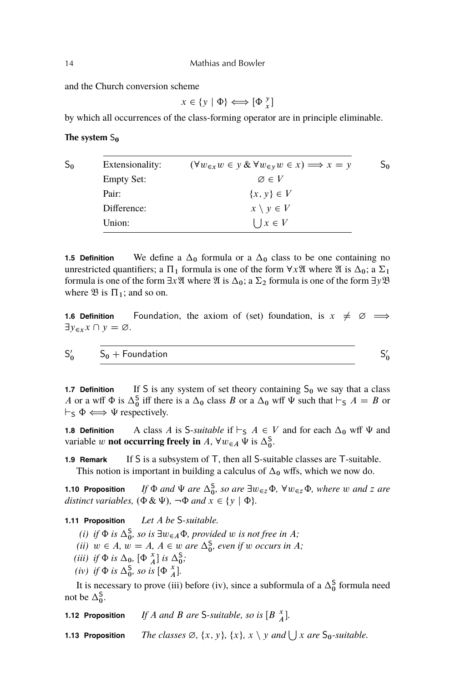and the Church conversion scheme

 $x \in \{y \mid \Phi\} \Longleftrightarrow [\Phi_x^y]$ 

by which all occurrences of the class-forming operator are in principle eliminable.

#### **The system**  $S_0$

| So | Extensionality:   | $(\forall w_{\in x} w \in y \& \forall w_{\in y} w \in x) \Longrightarrow x = y$ | So |
|----|-------------------|----------------------------------------------------------------------------------|----|
|    | <b>Empty Set:</b> | $\varnothing \in V$                                                              |    |
|    | Pair:             | $\{x, y\} \in V$                                                                 |    |
|    | Difference:       | $x \setminus y \in V$                                                            |    |
|    | Union:            | $\bigcup x \in V$                                                                |    |

**1.5 Definition** We define a  $\Delta_0$  formula or a  $\Delta_0$  class to be one containing no unrestricted quantifiers; a  $\Pi_1$  formula is one of the form  $\forall x \mathfrak{A}$  where  $\mathfrak{A}$  is  $\Delta_0$ ; a  $\Sigma_1$ formula is one of the form  $\exists x \mathfrak{A}$  where  $\mathfrak{A}$  is  $\Delta_0$ ; a  $\Sigma_2$  formula is one of the form  $\exists y \mathfrak{B}$ where  $\mathfrak{B}$  is  $\Pi_1$ ; and so on.

**1.6 Definition** Foundation, the axiom of (set) foundation, is  $x \neq \emptyset \implies$  $\exists y_{\in x} x \cap y = \emptyset.$ 

 $S'_0$ 

$$
\mathsf{S}'_0
$$

 $S_0$  + Foundation

**1.7 Definition** If S is any system of set theory containing  $S_0$  we say that a class A or a wff  $\Phi$  is  $\Delta_0^S$  iff there is a  $\Delta_0$  class B or a  $\Delta_0$  wff  $\Psi$  such that  $\vdash_S A = B$  or  $\vdash_{S} \Phi \Longleftrightarrow \Psi$  respectively.

**1.8 Definition** A class A is S-*suitable* if  $\vdash_S A \in V$  and for each  $\Delta_0$  wff  $\Psi$  and variable w **not occurring freely in** A,  $\forall w \in A \ \Psi$  is  $\Delta_0^S$ .

**1.9 Remark** If S is a subsystem of T, then all S-suitable classes are T-suitable. This notion is important in building a calculus of  $\Delta_0$  wffs, which we now do.

**1.10 Proposition** If  $\Phi$  *and*  $\Psi$  *are*  $\Delta_0^S$ *, so are*  $\exists w_{\in \mathbb{Z}}\Phi$ *,*  $\forall w_{\in \mathbb{Z}}\Phi$ *, where* w *and* z *are distinct variables,*  $(\Phi \& \Psi)$ ,  $\neg \Phi$  *and*  $x \in \{y \mid \Phi\}$ *.* 

**1.11 Proposition** *Let* A *be* S*-suitable.*

- (*i*) *if*  $\Phi$  *is*  $\Delta_0^S$ *, so is*  $\exists w \in A \Phi$ *, provided* w *is not free in A*;
- (*ii*)  $w \in A$ ,  $w = A$ ,  $A \in w$  *are*  $\Delta_0^S$ , *even if* w *occurs in* A;
- (*iii*) *if*  $\Phi$  *is*  $\Delta_0$ ,  $[\Phi_A^x]$  *is*  $\Delta_0^S$ ;
- (*iv*) *if*  $\Phi$  *is*  $\Delta_0^S$ *, so is*  $[\Phi_A^x]$ *.*

It is necessary to prove (iii) before (iv), since a subformula of a  $\Delta_0^S$  formula need not be  $\Delta_0^S$ .

**1.12 Proposition** *If A and B are* S-suitable, so is  $[B_X^x]$ .

**1.13 Proposition** *The classes*  $\emptyset$ ,  $\{x, y\}$ ,  $\{x\}$ ,  $x \setminus y$  *and*  $\bigcup x$  *are*  $S_0$ *-suitable.* 

<span id="page-11-0"></span>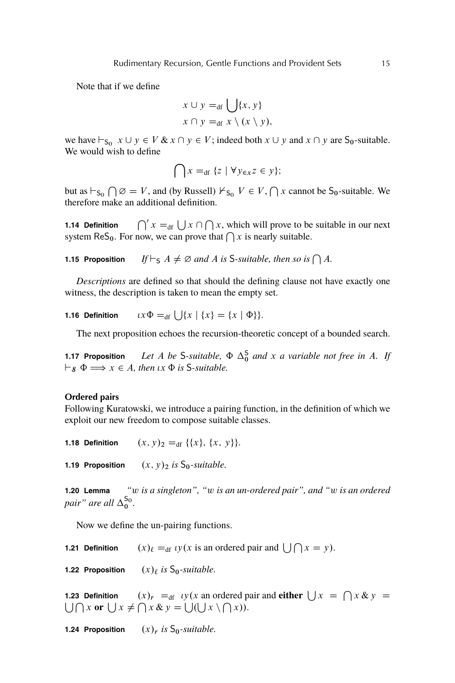Note that if we define

$$
x \cup y =_{df} \bigcup \{x, y\}
$$

$$
x \cap y =_{df} x \setminus (x \setminus y),
$$

we have  $\vdash_{S_0} x \cup y \in V \& x \cap y \in V$ ; indeed both  $x \cup y$  and  $x \cap y$  are  $S_0$ -suitable. We would wish to define

$$
\bigcap x =_{\text{df}} \{ z \mid \forall y \in x z \in y \};
$$

but as  $\vdash_{S_0} \bigcap \emptyset = V$ , and (by Russell)  $\vdash_{S_0} V \in V$ ,  $\bigcap x$  cannot be  $S_0$ -suitable. We therefore make an additional definition.

**1.14 Definition**  $x =_{df} \bigcup x \cap \bigcap x$ , which will prove to be suitable in our next system ReS<sub>0</sub>. For now, we can prove that  $\bigcap x$  is nearly suitable.

**1.15 Proposition** If  $\vdash_S A \neq \emptyset$  and A is S-suitable, then so is  $\bigcap A$ .

*Descriptions* are defined so that should the defining clause not have exactly one witness, the description is taken to mean the empty set.

**1.16 Definition**  $\iota x \Phi =_{df} \bigcup \{x \mid \{x\} = \{x \mid \Phi\} \}.$ 

The next proposition echoes the recursion-theoretic concept of a bounded search.

**1.17 Proposition** *Let* A be S-suitable,  $\Phi \Delta_0^S$  and x a variable not free in A. If  $\vdash_{\mathcal{S}} \Phi \Longrightarrow x \in A$ , then  $\iota x \Phi$  is S-suitable.

#### **Ordered pairs**

Following Kuratowski, we introduce a pairing function, in the definition of which we exploit our new freedom to compose suitable classes.

**1.18 Definition**  $(x, y)_2 =_{df} \{ \{x\}, \{x, y\} \}.$ 

**1.19 Proposition**  $(x, y)_2$  *is*  $S_0$ -*suitable.* 

**1.20 Lemma** *"*w *is a singleton", "*w *is an un-ordered pair", and "*w *is an ordered pair*" are all  $\Delta_0^{\mathsf{S}_0}$ .

Now we define the un-pairing functions.

**1.21 Definition**  $(x)_{\ell} =_{df} \iota y(x)$  is an ordered pair and  $| \iint |x = y|$ .

**1.22 Proposition**  $(x)$  *j is*  $S_0$ -*suitable.* 

**1.23 Definition**  $(x)_r =_{df} y(x)$  an ordered pair and **either**  $\bigcup x = \bigcap x \& y =$  $\bigcup \bigcap x$  or  $\bigcup x \neq \bigcap x \& y = \bigcup (\bigcup x \setminus \bigcap x)$ .

**1.24 Proposition**  $(x)_r$  *is*  $S_0$ -*suitable.*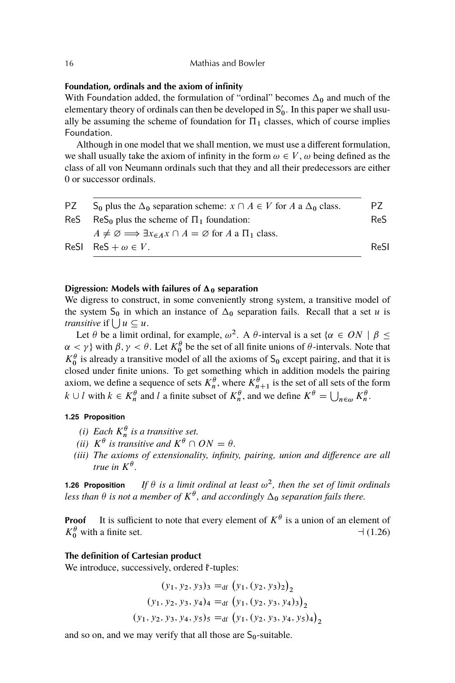## **Foundation, ordinals and the axiom of infinity**

With Foundation added, the formulation of "ordinal" becomes  $\Delta_0$  and much of the elementary theory of ordinals can then be developed in  $S'_0$ . In this paper we shall usually be assuming the scheme of foundation for  $\Pi_1$  classes, which of course implies Foundation.

Although in one model that we shall mention, we must use a different formulation, we shall usually take the axiom of infinity in the form  $\omega \in V$ ,  $\omega$  being defined as the class of all von Neumann ordinals such that they and all their predecessors are either 0 or successor ordinals.

| PZ | $S_0$ plus the $\Delta_0$ separation scheme: $x \cap A \in V$ for A a $\Delta_0$ class.          | P7   |
|----|--------------------------------------------------------------------------------------------------|------|
|    | ReS ReS <sub>0</sub> plus the scheme of $\Pi_1$ foundation:                                      | ReS. |
|    | $A \neq \emptyset \Longrightarrow \exists x_{\in A} x \cap A = \emptyset$ for A a $\Pi_1$ class. |      |
|    | ReSI ReS + $\omega \in V$ .                                                                      | ReSI |
|    |                                                                                                  |      |

## **Digression:** Models with failures of  $\Delta_0$  separation

We digress to construct, in some conveniently strong system, a transitive model of the system  $S_0$  in which an instance of  $\Delta_0$  separation fails. Recall that a set u is *transitive* if  $\bigcup u \subseteq u$ .

Let  $\theta$  be a limit ordinal, for example,  $\omega^2$ . A  $\theta$ -interval is a set  $\{\alpha \in ON \mid \beta \leq \theta\}$  $\alpha < \gamma$ } with  $\beta, \gamma < \theta$ . Let  $K_0^{\theta}$  be the set of all finite unions of  $\theta$ -intervals. Note that  $K_0^{\theta}$  is already a transitive model of all the axioms of S<sub>0</sub> except pairing, and that it is closed under finite unions. To get something which in addition models the pairing axiom, we define a sequence of sets  $K_n^{\theta}$ , where  $K_{n+1}^{\theta}$  is the set of all sets of the form  $k \cup l$  with  $k \in K_n^{\theta}$  and l a finite subset of  $K_n^{\theta}$ , and we define  $K^{\theta} = \bigcup_{n \in \omega} K_n^{\theta}$ .

#### **1.25 Proposition**

- *(i) Each*  $K_n^{\theta}$  *is a transitive set.*
- *(ii)*  $K^{\theta}$  *is transitive and*  $K^{\theta} \cap ON = \theta$ *.*
- *(iii) The axioms of extensionality, infinity, pairing, union and difference are all* true in  $K^{\theta}$ .

**1.26 Proposition** If  $\theta$  is a limit ordinal at least  $\omega^2$ , then the set of limit ordinals less than  $\theta$  is not a member of  $K^{\theta}$ , and accordingly  $\Delta_0$  separation fails there.

**Proof** It is sufficient to note that every element of  $K^{\theta}$  is a union of an element of K <sup>0</sup> with a finite set. <sup>a</sup> (1.26)

## **The definition of Cartesian product**

We introduce, successively, ordered  $\mathbf{\hat{f}}$ -tuples:

$$
(y_1, y_2, y_3)_3 =_{df} (y_1, (y_2, y_3)_2)_2
$$
  

$$
(y_1, y_2, y_3, y_4)_4 =_{df} (y_1, (y_2, y_3, y_4)_3)_2
$$
  

$$
(y_1, y_2, y_3, y_4, y_5)_5 =_{df} (y_1, (y_2, y_3, y_4, y_5)_4)_2
$$

and so on, and we may verify that all those are  $S_0$ -suitable.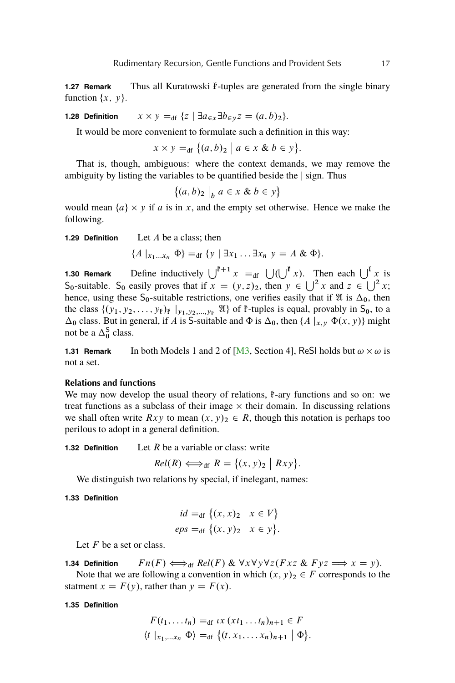<span id="page-14-0"></span>**1.27 Remark** Thus all Kuratowski  $\mathbf{f}$ -tuples are generated from the single binary function  $\{x, y\}$ .

**1.28 Definition**  $x \times y =_{df} \{z \mid \exists a_{\in x} \exists b_{\in y} z = (a, b)_2\}.$ 

It would be more convenient to formulate such a definition in this way:

$$
x \times y =_{\text{df}} \big\{ (a, b)_2 \mid a \in x \& b \in y \big\}.
$$

That is, though, ambiguous: where the context demands, we may remove the ambiguity by listing the variables to be quantified beside the  $|$  sign. Thus

$$
\big\{(a,b)_2\bigm|_b a\in x\ \&\ b\in y\big\}
$$

would mean  $\{a\} \times y$  if a is in x, and the empty set otherwise. Hence we make the following.

**1.29 Definition** Let A be a class; then

$$
\{A \mid_{x_1...x_n} \Phi\} =_{\text{df}} \{y \mid \exists x_1 ... \exists x_n y = A \& \Phi\}.
$$

**1.30 Remark** Define inductively  $\bigcup^{F+1} x =_{df} \bigcup (\bigcup^{F} x)$ . Then each  $\bigcup^{F} x$  is S<sub>0</sub>-suitable. S<sub>0</sub> easily proves that if  $x = (y, z)_2$ , then  $y \in \bigcup^2 x$  and  $z \in \bigcup^2 x$ ; hence, using these  $S_0$ -suitable restrictions, one verifies easily that if  $\mathfrak A$  is  $\Delta_0$ , then the class  $\{(y_1, y_2, \ldots, y_{\ell})_{\ell} |_{y_1, y_2, \ldots, y_{\ell}} \mathfrak{A}\}$  of  $\ell$ -tuples is equal, provably in  $S_0$ , to a  $\Delta_0$  class. But in general, if A is S-suitable and  $\Phi$  is  $\Delta_0$ , then  $\{A \mid x, y \Phi(x, y)\}$  might not be a  $\Delta_0^S$  class.

**1.31 Remark** In both Models 1 and 2 of [\[M3,](#page-56-0) Section 4], ReSI holds but  $\omega \times \omega$  is not a set.

## **Relations and functions**

We may now develop the usual theory of relations,  $\mathbf{\hat{f}}$ -ary functions and so on: we treat functions as a subclass of their image  $\times$  their domain. In discussing relations we shall often write  $Rxy$  to mean  $(x, y)_2 \in R$ , though this notation is perhaps too perilous to adopt in a general definition.

**1.32 Definition** Let R be a variable or class: write

$$
Rel(R) \Longleftrightarrow_{\text{df}} R = \{(x, y)_2 \mid Rxy\}.
$$

We distinguish two relations by special, if inelegant, names:

#### **1.33 Definition**

$$
id =_{df} \{(x, x)_2 \mid x \in V\}
$$
  
eps =\_{df} \{(x, y)\_2 \mid x \in y\}.

Let  $F$  be a set or class.

**1.34 Definition** 
$$
Fn(F) \Longleftrightarrow_{\text{df}} Rel(F) \& \forall x \forall y \forall z (Fxz \& Fyz \Longrightarrow x = y).
$$

Note that we are following a convention in which  $(x, y)_2 \in F$  corresponds to the statment  $x = F(y)$ , rather than  $y = F(x)$ .

#### **1.35 Definition**

$$
F(t_1,\ldots t_n) =_{\text{df}} tx (xt_1 \ldots t_n)_{n+1} \in F
$$
  
\n
$$
\langle t |_{x_1,\ldots x_n} \Phi \rangle =_{\text{df}} \{ (t, x_1, \ldots x_n)_{n+1} | \Phi \}.
$$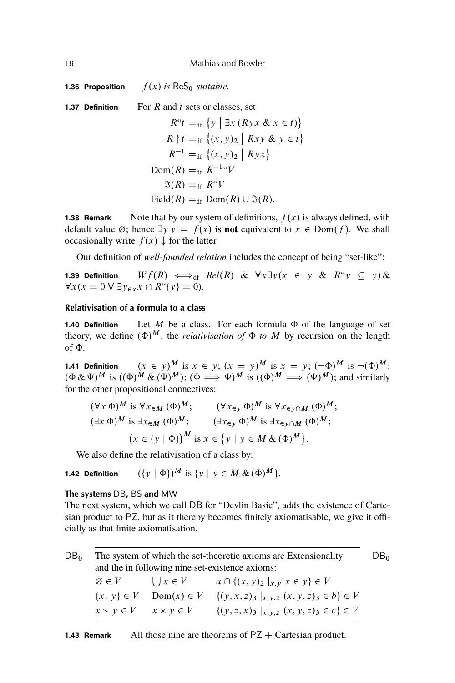<span id="page-15-0"></span>18 Mathias and Bowler

**1.36 Proposition**  $f(x)$  *is* ReS<sub>0</sub>-suitable.

**1.37 Definition** For R and t sets or classes, set

 $R^{\prime\prime}t =_{df} \{y \mid \exists x (Ryx \& x \in t)\}$  $R \upharpoonright t =_{df} \{(x, y)_2 \mid Rxy \& y \in t\}$  $R^{-1} =_{df} \{(x, y)_2 \mid Ryx\}$ Dom $(R) =_{df} R^{-1}$ "V  $\Im(R) =_{\text{df}} R^{\mu}V$ Field $(R) =_{df}$  Dom $(R) \cup \Im(R)$ .

**1.38 Remark** Note that by our system of definitions,  $f(x)$  is always defined, with default value  $\emptyset$ ; hence  $\exists y \ y = f(x)$  is **not** equivalent to  $x \in Dom(f)$ . We shall occasionally write  $f(x) \downarrow$  for the latter.

Our definition of *well-founded relation* includes the concept of being "set-like":

**1.39 Definition**  $Wf(R) \iff_{df} Rel(R) \& \forall x \exists y (x \in y \& R"y \subseteq y) \&$  $\forall x (x = 0 \lor \exists y \in x \land R``\{y\} = 0).$ 

## **Relativisation of a formula to a class**

**1.40 Definition** Let M be a class. For each formula  $\Phi$  of the language of set theory, we define  $(\Phi)^M$ , the *relativisation of*  $\Phi$  *to*  $M$  by recursion on the length of  $\Phi$ .

**1.41 Definition**  $(x \in y)^M$  is  $x \in y$ ;  $(x = y)^M$  is  $x = y$ ;  $(\neg \Phi)^M$  is  $\neg(\Phi)^M$ ;  $(\Phi \& \Psi)^M$  is  $((\Phi)^{\hat{M}} \& (\Psi)^M)$ ;  $(\Phi \Longrightarrow \Psi)^M$  is  $((\Phi)^M \Longrightarrow (\Psi)^M$ ); and similarly for the other propositional connectives:

$$
(\forall x \, \Phi)^M \text{ is } \forall x \in M \, (\Phi)^M; \qquad (\forall x \in y \, \Phi)^M \text{ is } \forall x \in y \cap M \, (\Phi)^M; (\exists x \, \Phi)^M \text{ is } \exists x \in M \, (\Phi)^M; \qquad (\exists x \in y \, \Phi)^M \text{ is } \exists x \in y \cap M \, (\Phi)^M; (x \in \{y \mid \Phi\})^M \text{ is } x \in \{y \mid y \in M \, \& (\Phi)^M\}.
$$

We also define the relativisation of a class by:

**1.42 Definition**  $({y \mid \Phi})^M$  is  ${y \mid y \in M \& (\Phi)^M}$ .

#### **The systems** DB**,** BS **and** MW

The next system, which we call DB for "Devlin Basic", adds the existence of Cartesian product to PZ, but as it thereby becomes finitely axiomatisable, we give it officially as that finite axiomatisation.

 $DB<sub>0</sub>$  The system of which the set-theoretic axioms are Extensionality DB<sub>0</sub> and the in following nine set-existence axioms:  $\emptyset \in V$  $\bigcup x \in V$  $a \cap \{ (x, y)_2 \mid_{x,y} x \in y \} \in V$  $\{x, y\} \in V$  Dom $(x) \in V$   $\{(y, x, z)_{3} |_{x,y,z} (x, y, z)_{3} \in b\} \in V$  $x \setminus y \in V \quad x \times y \in V \quad \{(y, z, x)_3 \mid_{x, y, z} (x, y, z)_3 \in c\} \in V$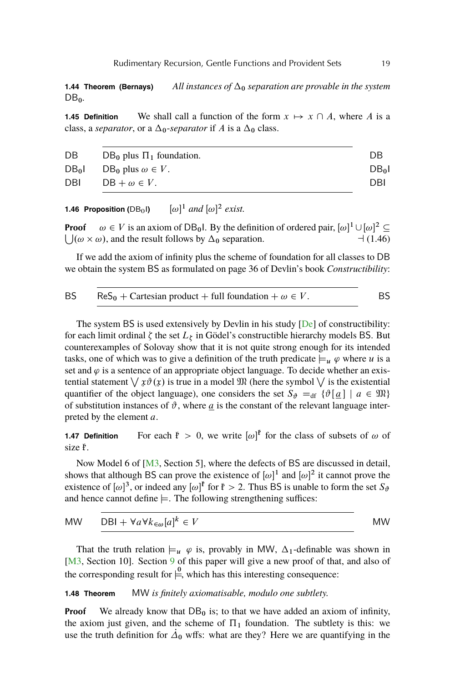<span id="page-16-0"></span>**1.44 Theorem (Bernays)** *All instances of*  $\Delta_0$  *separation are provable in the system* DB0*.*

**1.45 Definition** We shall call a function of the form  $x \mapsto x \cap A$ , where A is a class, a *separator*, or a  $\Delta_0$ -*separator* if A is a  $\Delta_0$  class.

| DB         | $DB_0$ plus $\Pi_1$ foundation. | DB              |
|------------|---------------------------------|-----------------|
| $DB_0I$    | $DB_0$ plus $\omega \in V$ .    | DB <sub>0</sub> |
| <b>DBI</b> | $DB + \omega \in V$ .           | DBI             |

**1.46 Proposition (DB<sub>0</sub>I)**  $[\omega]^1$  and  $[\omega]^2$  exist.

**Proof**  $\omega \in V$  is an axiom of DB<sub>0</sub>l. By the definition of ordered pair,  $[\omega]^1 \cup [\omega]^2 \subseteq$  $\bigcup_{\alpha} (\omega \times \omega)$ , and the result follows by  $\Delta_0$  separation.  $\Box$  (1.46)

If we add the axiom of infinity plus the scheme of foundation for all classes to DB we obtain the system BS as formulated on page 36 of Devlin's book *Constructibility*:

BS 
$$
\text{ReS}_0 + \text{Cartesian product} + \text{full foundation} + \omega \in V.
$$

The system BS is used extensively by Devlin in his study [\[De\]](#page-55-0) of constructibility: for each limit ordinal  $\zeta$  the set  $L_{\zeta}$  in Gödel's constructible hierarchy models BS. But counterexamples of Solovay show that it is not quite strong enough for its intended tasks, one of which was to give a definition of the truth predicate  $\models u \varphi$  where u is a set and  $\varphi$  is a sentence of an appropriate object language. To decide whether an existential statement  $\bigvee \mathfrak{z}\vartheta(\mathfrak{x})$  is true in a model  $\mathfrak{M}$  (here the symbol  $\bigvee$  is the existential quantifier of the object language), one considers the set  $S_{\theta} =_{df} {\{\vartheta[\underline{a} \mid a \in \mathfrak{M}\}}$ of substitution instances of  $\vartheta$ , where  $\underline{a}$  is the constant of the relevant language interpreted by the element a.

**1.47 Definition** For each  $f$  > 0, we write  $[\omega]$ <sup> $f$ </sup> for the class of subsets of  $\omega$  of size  $\mathbf{f}$ .

Now Model 6 of [\[M3,](#page-56-0) Section 5], where the defects of BS are discussed in detail, shows that although BS can prove the existence of  $[\omega]^1$  and  $[\omega]^2$  it cannot prove the existence of  $[\omega]^3$ , or indeed any  $[\omega]^{\mathfrak{k}}$  for  $\mathfrak{k} > 2$ . Thus BS is unable to form the set  $S_{\vartheta}$ and hence cannot define  $\models$ . The following strengthening suffices:

$$
MW \t DBI + \forall a \forall k \in \mathcal{A}[a]^k \in V \t MW
$$

That the truth relation  $\models_u \varphi$  is, provably in MW,  $\Delta_1$ -definable was shown in [\[M3,](#page-56-0) Section 10]. Section [9](#page-52-0) of this paper will give a new proof of that, and also of the corresponding result for  $\stackrel{0}{\models}$ , which has this interesting consequence:

## **1.48 Theorem** MW *is finitely axiomatisable, modulo one subtlety.*

**Proof** We already know that  $DB_0$  is; to that we have added an axiom of infinity, the axiom just given, and the scheme of  $\Pi_1$  foundation. The subtlety is this: we use the truth definition for  $\dot{\Delta}_0$  wffs: what are they? Here we are quantifying in the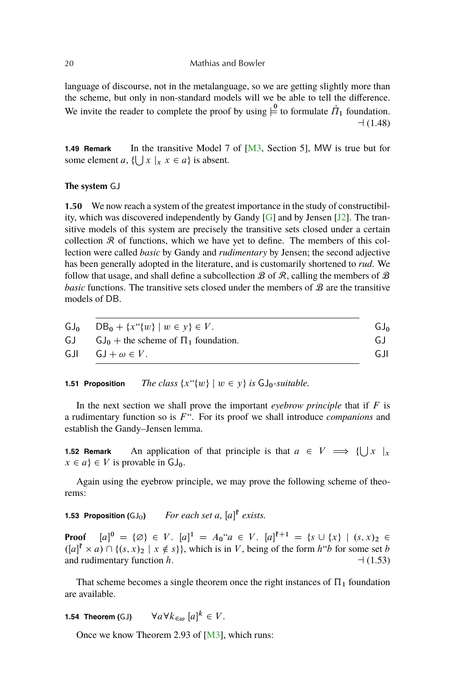language of discourse, not in the metalanguage, so we are getting slightly more than the scheme, but only in non-standard models will we be able to tell the difference. We invite the reader to complete the proof by using  $\stackrel{0}{\models}$  to formulate  $\dot{\Pi}_1$  foundation.  $-1(1.48)$ 

**1.49 Remark** In the transitive Model 7 of [\[M3,](#page-56-0) Section 5], MW is true but for some element a,  $\{\bigcup x \mid x \in a\}$  is absent.

## **The system** GJ

**1.50** We now reach a system of the greatest importance in the study of constructibility, which was discovered independently by Gandy  $[G]$  and by Jensen  $[J2]$ . The transitive models of this system are precisely the transitive sets closed under a certain collection  $\Re$  of functions, which we have yet to define. The members of this collection were called *basic* by Gandy and *rudimentary* by Jensen; the second adjective has been generally adopted in the literature, and is customarily shortened to *rud*. We follow that usage, and shall define a subcollection  $\mathcal B$  of  $\mathcal R$ , calling the members of  $\mathcal B$ *basic* functions. The transitive sets closed under the members of B are the transitive models of DB.

|     | $GJ_0$ $DB_0 + \{x''\{w\} \mid w \in y\} \in V$ . | GJ <sub>o</sub> |
|-----|---------------------------------------------------|-----------------|
| GJ  | $GJ_0$ + the scheme of $\Pi_1$ foundation.        | GJ.             |
| GJI | $GJ + \omega \in V$ .                             | GJI.            |

**1.51 Proposition** *The class*  $\{x''\{w\} \mid w \in y\}$  *is*  $GJ_0$ *-suitable.* 

In the next section we shall prove the important *eyebrow principle* that if  $F$  is a rudimentary function so is  $F^{\prime\prime}$ . For its proof we shall introduce *companions* and establish the Gandy–Jensen lemma.

**1.52 Remark** An application of that principle is that  $a \in V \implies \{\bigcup x \mid x$  $x \in a$   $\in V$  is provable in  $GJ_0$ .

Again using the eyebrow principle, we may prove the following scheme of theorems:

```
1.53 Proposition (GJ<sub>0</sub>) For each set a, [a]^{\mathfrak{F}} exists.
```
**Proof**  $[a]^0 = \{\emptyset\} \in V$ .  $[a]^1 = A_0$ " $a \in V$ .  $[a]^{r+1} = \{s \cup \{x\} \mid (s, x)_2 \in V\}$  $([a]^{\mathfrak{p}} \times a) \cap \{(s, x)_{2} \mid x \notin s\},\$  which is in V, being of the form  $h^{\omega}b$  for some set b and rudimentary function h.  $\Box$  (1.53)

That scheme becomes a single theorem once the right instances of  $\Pi_1$  foundation are available.

**1.54 Theorem (GJ)**  $\forall a \forall k_{\in \omega} [a]^k \in V$ .

Once we know Theorem 2.93 of [\[M3\]](#page-56-0), which runs:

<span id="page-17-0"></span>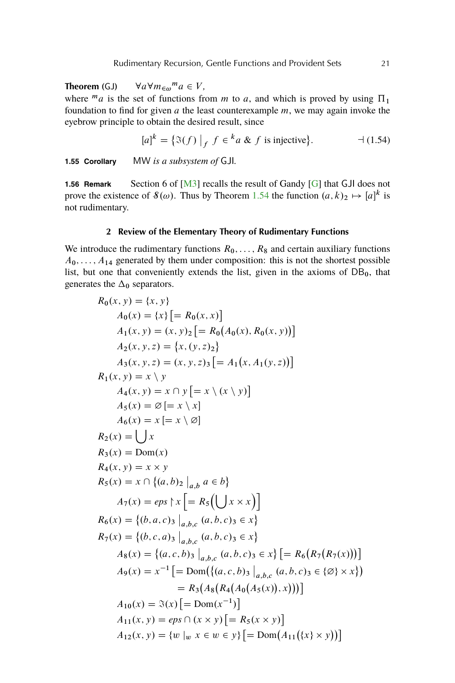<span id="page-18-0"></span>**Theorem** (GJ)  $\forall a \forall m_{\infty}^m a \in V,$ where  $^ma$  is the set of functions from m to a, and which is proved by using  $\Pi_1$ foundation to find for given  $a$  the least counterexample  $m$ , we may again invoke the eyebrow principle to obtain the desired result, since

$$
[a]^k = \{ \Im(f) \mid _f f \in {}^k a \& f \text{ is injective} \}. \qquad \qquad \negthinspace \dashv (1.54)
$$

**1.55 Corollary** MW *is a subsystem of* GJI*.*

**1.56 Remark** Section 6 of [\[M3\]](#page-56-0) recalls the result of Gandy [\[G\]](#page-56-0) that GJI does not prove the existence of  $\mathcal{S}(\omega)$ . Thus by Theorem [1.54](#page-17-0) the function  $(a, k)_2 \mapsto [a]^k$  is not rudimentary.

#### **2 Review of the Elementary Theory of Rudimentary Functions**

We introduce the rudimentary functions  $R_0, \ldots, R_8$  and certain auxiliary functions  $A_0, \ldots, A_{14}$  generated by them under composition: this is not the shortest possible list, but one that conveniently extends the list, given in the axioms of  $DB_0$ , that generates the  $\Delta_0$  separators.

$$
R_0(x, y) = \{x, y\}
$$
  
\n
$$
A_0(x) = \{x\} [ = R_0(x, x)]
$$
  
\n
$$
A_1(x, y) = (x, y)_2 [ = R_0(A_0(x), R_0(x, y))]
$$
  
\n
$$
A_2(x, y, z) = \{x, (y, z)_2\}
$$
  
\n
$$
A_3(x, y, z) = (x, y, z)_3 [ = A_1(x, A_1(y, z))]
$$
  
\n
$$
R_1(x, y) = x \ y
$$
  
\n
$$
A_4(x, y) = x \cap y [ = x \setminus (x \setminus y)]
$$
  
\n
$$
A_5(x) = \emptyset [ = x \setminus x]
$$
  
\n
$$
A_6(x) = x [ = x \setminus \emptyset]
$$
  
\n
$$
R_2(x) = \bigcup x
$$
  
\n
$$
R_3(x) = \text{Dom}(x)
$$
  
\n
$$
R_4(x, y) = x \times y
$$
  
\n
$$
R_5(x) = x \cap \{(a, b)_2 \mid_{a, b} a \in b\}
$$
  
\n
$$
A_7(x) = eps \setminus x [ = R_5(\bigcup x \times x)]
$$
  
\n
$$
R_6(x) = \{(b, a, c)_3 \mid_{a, b, c} (a, b, c)_3 \in x\}
$$
  
\n
$$
R_7(x) = \{(b, c, a)_3 \mid_{a, b, c} (a, b, c)_3 \in x\}
$$
  
\n
$$
A_8(x) = \{(a, c, b)_3 \mid_{a, b, c} (a, b, c)_3 \in x\} [ = R_6(R_7(R_7(x)))]
$$
  
\n
$$
A_9(x) = x^{-1} [ = \text{Dom}(\{(a, c, b)_3 \mid_{a, b, c} (a, b, c)_3 \in \{\emptyset\} \times x\})
$$
  
\n
$$
= R_3(A_8(R_4(A_0(A_5(x)), x)))]
$$
  
\n
$$
A_{10}(x) = \Im(x) [ = \text{Dom}(x^{-1})]
$$
  
\n
$$
A_{11}(x, y) = eps \cap (x \times y) [ = R
$$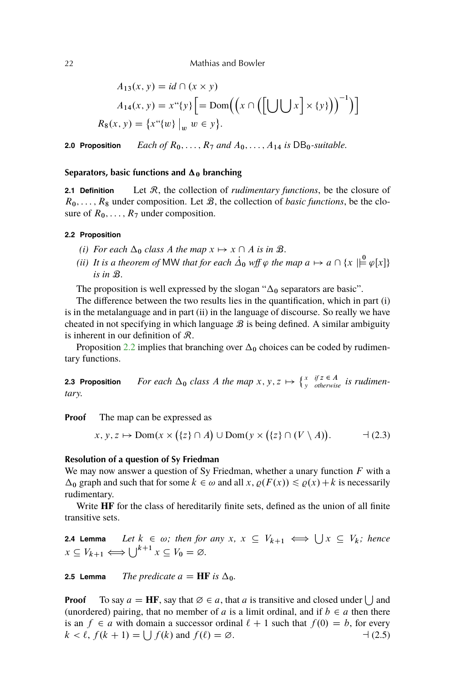<span id="page-19-0"></span>
$$
A_{13}(x, y) = id \cap (x \times y)
$$
  
\n
$$
A_{14}(x, y) = x^{\alpha}\lbrace y \rbrace = \text{Dom}((x \cap ([\bigcup \bigcup x] \times \lbrace y \rbrace)))^{-1})
$$
  
\n
$$
R_8(x, y) = \lbrace x^{\alpha}\lbrace w \rbrace \mid_w w \in y \rbrace.
$$

**2.0 Proposition** *Each of*  $R_0, \ldots, R_7$  *and*  $A_0, \ldots, A_{14}$  *is*  $DB_0$ *-suitable.* 

#### **Separators, basic functions and**  $\Delta_0$  **branching**

**2.1 Definition** Let R, the collection of *rudimentary functions*, be the closure of  $R_0, \ldots, R_8$  under composition. Let  $B$ , the collection of *basic functions*, be the closure of  $R_0, \ldots, R_7$  under composition.

#### **2.2 Proposition**

- *(i) For each*  $\Delta_0$  *class* A *the map*  $x \mapsto x \cap A$  *is in*  $B$ *.*
- *(ii)* It is a theorem of MW that for each  $\dot{\Delta}_0$  wff  $\varphi$  the map  $a \mapsto a \cap \{x \mid \infty^0 \varphi[x]\}$ *is in* B*.*

The proposition is well expressed by the slogan " $\Delta_0$  separators are basic".

The difference between the two results lies in the quantification, which in part (i) is in the metalanguage and in part (ii) in the language of discourse. So really we have cheated in not specifying in which language  $B$  is being defined. A similar ambiguity is inherent in our definition of R.

Proposition 2.2 implies that branching over  $\Delta_0$  choices can be coded by rudimentary functions.

**2.3 Proposition** For each  $\Delta_0$  class A the map  $x, y, z \mapsto \int_{y}^{x} \int_{otherwise}^{y}$  *is rudimentary.*

**Proof** The map can be expressed as

$$
x, y, z \mapsto \text{Dom}(x \times (\{z\} \cap A) \cup \text{Dom}(y \times (\{z\} \cap (V \setminus A)). \qquad \rightarrow (2.3)
$$

#### **Resolution of a question of Sy Friedman**

We may now answer a question of Sy Friedman, whether a unary function  $F$  with a  $\Delta_0$  graph and such that for some  $k \in \omega$  and all  $x, \varrho(F(x)) \leq \varrho(x) + k$  is necessarily rudimentary.

Write **HF** for the class of hereditarily finite sets, defined as the union of all finite transitive sets.

**2.4 Lemma** Let  $k \in \omega$ ; then for any  $x, x \subseteq V_{k+1} \iff \bigcup x \subseteq V_k$ ; hence  $x \subseteq V_{k+1} \Longleftrightarrow \bigcup^{k+1} x \subseteq V_0 = \emptyset.$ 

**2.5 Lemma** *The predicate*  $a = HF$  *is*  $\Delta_0$ *.* 

**Proof** To say  $a = HF$ , say that  $\emptyset \in a$ , that a is transitive and closed under  $\bigcup$  and (unordered) pairing, that no member of a is a limit ordinal, and if  $b \in a$  then there is an  $f \in a$  with domain a successor ordinal  $\ell + 1$  such that  $f(0) = b$ , for every  $k < l$ ,  $f(k + 1) = \bigcup f(k)$  and  $f(l) = \emptyset$ .  $\qquad (2.5)$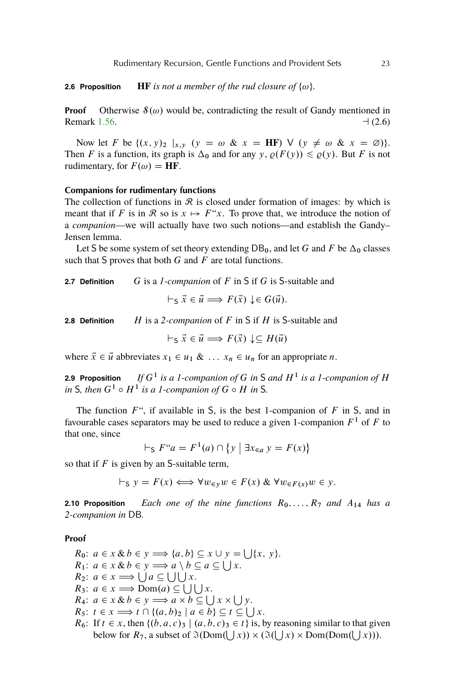**2.6 Proposition HF** *is not a member of the rud closure of*  $\{\omega\}$ *.* 

**Proof** Otherwise  $\mathcal{S}(\omega)$  would be, contradicting the result of Gandy mentioned in Remark [1.56.](#page-17-0)  $\Box$  (2.6)

Now let F be  $\{(x, y)_2 \mid x, y \in (y = \omega \& x = HF) \vee (y \neq \omega \& x = \emptyset)\}.$ Then F is a function, its graph is  $\Delta_0$  and for any y,  $\rho(F(y)) \leq \rho(y)$ . But F is not rudimentary, for  $F(\omega) = HF$ .

## **Companions for rudimentary functions**

The collection of functions in  $\mathcal R$  is closed under formation of images: by which is meant that if F is in R so is  $x \mapsto F''x$ . To prove that, we introduce the notion of a *companion*—we will actually have two such notions—and establish the Gandy– Jensen lemma.

Let S be some system of set theory extending  $DB_0$ , and let G and F be  $\Delta_0$  classes such that S proves that both  $G$  and  $F$  are total functions.

**2.7 Definition** G is a *1-companion* of F in S if G is S-suitable and

$$
\vdash_{\mathsf{S}} \vec{x} \in \vec{u} \Longrightarrow F(\vec{x}) \downarrow \in G(\vec{u}).
$$

**2.8 Definition** H is a 2-companion of F in S if H is S-suitable and

 $\vdash_S \vec{x} \in \vec{u} \Longrightarrow F(\vec{x}) \downarrow \subset H(\vec{u})$ 

where  $\vec{x} \in \vec{u}$  abbreviates  $x_1 \in u_1 \& \dots x_n \in u_n$  for an appropriate n.

**2.9 Proposition** *is a 1-companion of* G *in* S *and* H<sup>1</sup> *is a 1-companion of* H *in* S, then  $G^1 \circ H^1$  *is a 1-companion of*  $G \circ H$  *in* S.

The function  $F^{\prime\prime}$ , if available in S, is the best 1-companion of F in S, and in favourable cases separators may be used to reduce a given 1-companion  $F<sup>1</sup>$  of F to that one, since

$$
\vdash_{\mathsf{S}} F``a = F^{1}(a) \cap \{y \mid \exists x_{\in a} y = F(x)\}
$$

so that if  $F$  is given by an S-suitable term,

$$
\vdash_{S} y = F(x) \Longleftrightarrow \forall w_{\in y} w \in F(x) \& \forall w_{\in F(x)} w \in y.
$$

**2.10 Proposition** *Each one of the nine functions*  $R_0, \ldots, R_7$  *and*  $A_{14}$  *has a 2-companion in* DB*.*

#### **Proof**

 $R_0$ :  $a \in x \& b \in y \Longrightarrow \{a, b\} \subseteq x \cup y = \bigcup \{x, y\}.$  $R_1$ :  $a \in x \& b \in y \Longrightarrow a \setminus b \subseteq a \subseteq \bigcup x$ .  $R_2$ :  $a \in x \Longrightarrow \bigcup a \subseteq \bigcup \bigcup x$ .  $R_3$ :  $a \in x \Longrightarrow$  Dom $(a) \subseteq \bigcup \bigcup x$ .  $R_4$ :  $a \in x \& b \in y \Longrightarrow a \times b \subseteq \bigcup x \times \bigcup y$ .  $R_5$ :  $t \in x \Longrightarrow t \cap \{(a, b)_2 \mid a \in b\} \subseteq t \subseteq \bigcup x$ .  $R_6$ : If  $t \in x$ , then  $\{(b, a, c)_3 \mid (a, b, c)_3 \in t\}$  is, by reasoning similar to that given below for  $R_7$ , a subset of  $\Im(Dom(\bigcup x)) \times (\Im(\bigcup x) \times Dom(Dom(\bigcup x))).$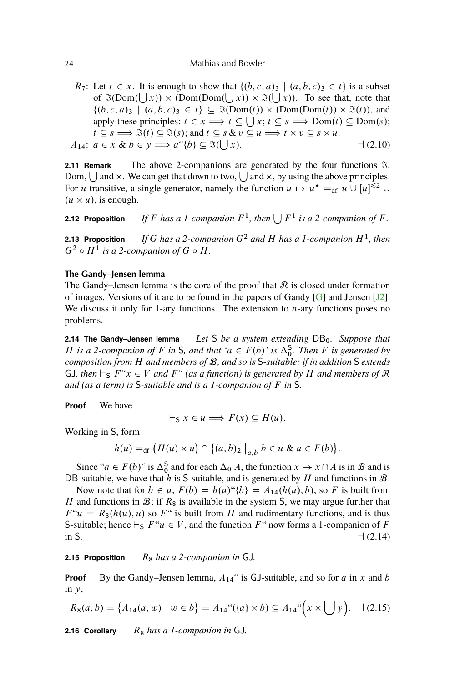#### <span id="page-21-0"></span>24 Mathias and Bowler

 $R_7$ : Let  $t \in x$ . It is enough to show that  $\{(b, c, a)_3 \mid (a, b, c)_3 \in t\}$  is a subset of  $\Im(\text{Dom}(\bigcup x)) \times (\text{Dom}(\text{Dom}(\bigcup x)) \times \Im(\bigcup x))$ . To see that, note that  $\{(b, c, a)_3 \mid (a, b, c)_3 \in t\} \subseteq \mathfrak{I}(\text{Dom}(t)) \times (\text{Dom}(\text{Dom}(t)) \times \mathfrak{I}(t)),$  and apply these principles:  $t \in x \Longrightarrow t \subseteq \bigcup x; t \subseteq s \Longrightarrow \text{Dom}(t) \subseteq \text{Dom}(s);$  $t \subseteq s \Longrightarrow \Im(t) \subseteq \Im(s)$ ; and  $t \subseteq s$  &  $v \subseteq u \Longrightarrow t \times v \subseteq s \times u$ .  $A_{14}: a \in x \& b \in y \Longrightarrow a^{(4)}b \subseteq \Im(\bigcup$  $-1(2.10)$ 

**2.11 Remark** The above 2-companions are generated by the four functions  $\hat{\beta}$ , Dom,  $\bigcup$  and  $\times$ . We can get that down to two,  $\bigcup$  and  $\times$ , by using the above principles. For *u* transitive, a single generator, namely the function  $u \mapsto u^* =_{df} u \cup [u]^{<2} \cup$  $(u \times u)$ , is enough.

**2.12 Proposition** If F has a 1-companion  $F^1$ , then  $\bigcup F^1$  is a 2-companion of F.

**2.13 Proposition** If G has a 2-companion  $G^2$  and H has a 1-companion  $H^1$ , then  $G^2 \circ H^1$  is a 2-companion of  $G \circ H$ .

## **The Gandy–Jensen lemma**

The Gandy–Jensen lemma is the core of the proof that  $\Re$  is closed under formation of images. Versions of it are to be found in the papers of Gandy [\[G\]](#page-56-0) and Jensen [\[J2\]](#page-56-0). We discuss it only for 1-ary functions. The extension to  $n$ -ary functions poses no problems.

**2.14 The Gandy-Jensen lemma** *Let* S *be a system extending* DB<sub>0</sub>*. Suppose that H* is a 2-companion of *F* in *S*, and that ' $a \in F(b)$ ' is  $\Delta_0^S$ . Then *F* is generated by *composition from* H *and members of* B*, and so is* S*-suitable; if in addition* S *extends* GJ, then  $\vdash_S F^*x \in V$  and  $F^*$  (as a function) is generated by H and members of R *and (as a term) is* S*-suitable and is a 1-companion of* F *in* S*.*

**Proof** We have

$$
\vdash_{\mathsf{S}} x \in u \Longrightarrow F(x) \subseteq H(u).
$$

Working in S, form

$$
h(u) =_{df} (H(u) \times u) \cap \{(a, b)_2 \mid_{a,b} b \in u \& a \in F(b)\}.
$$

Since " $a \in F(b)$ " is  $\Delta_0^S$  and for each  $\Delta_0$  A, the function  $x \mapsto x \cap A$  is in  $\mathcal B$  and is DB-suitable, we have that h is S-suitable, and is generated by H and functions in  $\mathcal{B}$ .

Now note that for  $b \in u$ ,  $F(b) = h(u)^{n}$   $\{b\} = A_{14}(h(u), b)$ , so F is built from H and functions in  $\mathcal{B}$ ; if  $R_8$  is available in the system S, we may argue further that  $F''u = R_8(h(u), u)$  so  $F''$  is built from H and rudimentary functions, and is thus S-suitable; hence  $\vdash_S F``u \in V$ , and the function  $F''$  now forms a 1-companion of F in S.  $\Box$  (2.14)

2.15 Proposition  $R_8$  has a 2-companion in GJ.

**Proof** By the Gandy–Jensen lemma,  $A_{14}$ " is GJ-suitable, and so for a in x and b in  $y$ ,

$$
R_8(a,b) = \{A_{14}(a,w) \mid w \in b\} = A_{14}``(\{a\} \times b) \subseteq A_{14}"\left(x \times \bigcup y\right). \quad \exists \ (2.15)
$$

2.16 Corollary R<sub>8</sub> has a 1-companion in GJ.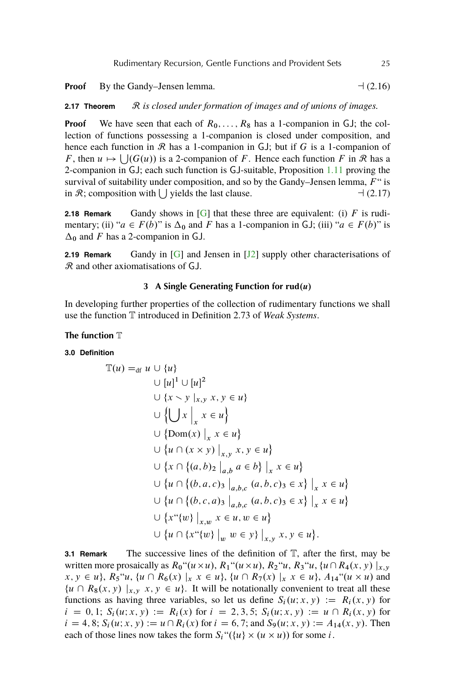<span id="page-22-0"></span>**Proof** By the Gandy–Jensen lemma.  $\Box$  (2.16)

**2.17 Theorem**  $\mathcal{R}$  *is closed under formation of images and of unions of images.* 

**Proof** We have seen that each of  $R_0, \ldots, R_8$  has a 1-companion in GJ; the collection of functions possessing a 1-companion is closed under composition, and hence each function in  $\mathcal R$  has a 1-companion in GJ; but if G is a 1-companion of F, then  $u \mapsto \bigcup(G(u))$  is a 2-companion of F. Hence each function F in R has a 2-companion in GJ; each such function is GJ-suitable, Proposition [1.11](#page-11-0) proving the survival of suitability under composition, and so by the Gandy–Jensen lemma,  $F''$  is in R; composition with  $\bigcup$  yields the last clause.  $\bigcup$  (2.17)

**2.18 Remark** Gandy shows in  $[G]$  that these three are equivalent: (i)  $F$  is rudimentary; (ii) " $a \in F(b)$ " is  $\Delta_0$  and F has a 1-companion in GJ; (iii) " $a \in F(b)$ " is  $\Delta_0$  and F has a 2-companion in GJ.

**2.19 Remark** Gandy in [\[G\]](#page-56-0) and Jensen in [\[J2\]](#page-56-0) supply other characterisations of  $\mathcal R$  and other axiomatisations of GJ.

## **3** A Single Generating Function for  $\text{rud}(u)$

In developing further properties of the collection of rudimentary functions we shall use the function T introduced in Definition 2.73 of *Weak Systems*.

#### **The function** T

#### **3.0 Definition**

$$
\mathbb{T}(u) =_{df} u \cup \{u\}
$$
  
\n
$$
\cup [u]^1 \cup [u]^2
$$
  
\n
$$
\cup \{x \setminus y \mid_{x,y} x, y \in u\}
$$
  
\n
$$
\cup \{\bigcup x \mid_{x} x \in u\}
$$
  
\n
$$
\cup \{Dom(x) \mid_{x} x \in u\}
$$
  
\n
$$
\cup \{u \cap (x \times y) \mid_{x,y} x, y \in u\}
$$
  
\n
$$
\cup \{x \cap \{(a,b)_2 \mid_{a,b} a \in b\} \mid_{x} x \in u\}
$$
  
\n
$$
\cup \{u \cap \{(b,a,c)_3 \mid_{a,b,c} (a,b,c)_3 \in x\} \mid_{x} x \in u\}
$$
  
\n
$$
\cup \{u \cap \{(b,c,a)_3 \mid_{a,b,c} (a,b,c)_3 \in x\} \mid_{x} x \in u\}
$$
  
\n
$$
\cup \{x \text{``}\{w\} \mid_{x,w} x \in u, w \in u\}
$$
  
\n
$$
\cup \{u \cap \{x \text{``}\{w\} \mid_{w} w \in y\} \mid_{x,y} x, y \in u\}.
$$

**3.1 Remark** The successive lines of the definition of  $\mathbb{T}$ , after the first, may be written more prosaically as  $R_0$ " $(u \times u)$ ,  $R_1$ " $(u \times u)$ ,  $R_2$ " $u$ ,  $R_3$ " $u$ ,  $\{u \cap R_4(x, y) |_{x,y}$  $x, y \in u$ ,  $R_5 "u, {u \cap R_6(x) \mid_x x \in u}$ ,  ${u \cap R_7(x) \mid_x x \in u}$ ,  $A_{14} " (u \times u)$  and  $\{u \cap R_8(x, y) \mid x, y \in u\}$ . It will be notationally convenient to treat all these functions as having three variables, so let us define  $S_i(u; x, y) := R_i(x, y)$  for  $i = 0, 1; S_i(u; x, y) := R_i(x)$  for  $i = 2, 3, 5; S_i(u; x, y) := u \cap R_i(x, y)$  for  $i = 4, 8; S_i(u; x, y) := u \cap R_i(x)$  for  $i = 6, 7$ ; and  $S_9(u; x, y) := A_{14}(x, y)$ . Then each of those lines now takes the form  $S_i$  " $({u} \times u)$  for some *i*.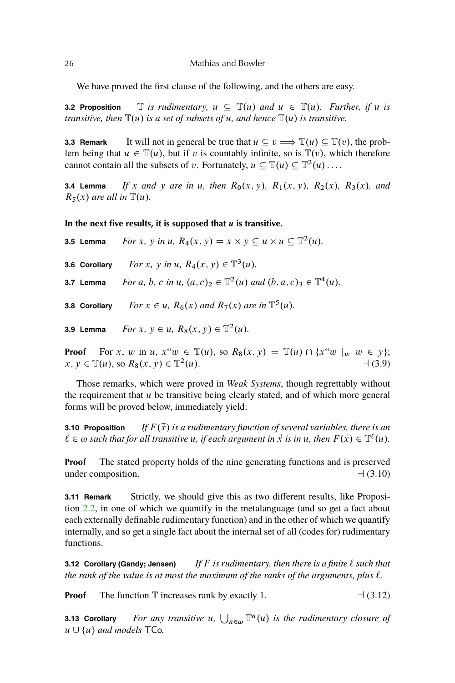We have proved the first clause of the following, and the others are easy.

**3.2 Proposition**  $\mathbb{T}$  *is rudimentary,*  $u \subseteq \mathbb{T}(u)$  *and*  $u \in \mathbb{T}(u)$ *. Further, if*  $u$  *is transitive, then*  $\mathbb{T}(u)$  *is a set of subsets of* u, and hence  $\mathbb{T}(u)$  *is transitive.* 

**3.3 Remark** It will not in general be true that  $u \subseteq v \implies \mathbb{T}(u) \subseteq \mathbb{T}(v)$ , the problem being that  $u \in \mathbb{T}(u)$ , but if v is countably infinite, so is  $\mathbb{T}(v)$ , which therefore cannot contain all the subsets of v. Fortunately,  $u \subseteq \mathbb{T}(u) \subseteq \mathbb{T}^2(u) \dots$ 

**3.4 Lemma** If x and y are in u, then  $R_0(x, y)$ ,  $R_1(x, y)$ ,  $R_2(x)$ ,  $R_3(x)$ , and  $R_5(x)$  are all in  $\mathbb{T}(u)$ .

**In the next five results, it is supposed that** u **is transitive.**

**3.5 Lemma** *For x, y in u,*  $R_4(x, y) = x \times y \subseteq u \times u \subseteq \mathbb{T}^2(u)$ . **3.6 Corollary** *For x, y in u,*  $R_4(x, y) \in \mathbb{T}^3(u)$ *.* **3.7 Lemma** *For a, b, c in u,*  $(a, c)_2 \in \mathbb{T}^2(u)$  and  $(b, a, c)_3 \in \mathbb{T}^4(u)$ . **3.8 Corollary** *For*  $x \in u$ ,  $R_6(x)$  *and*  $R_7(x)$  *are in*  $\mathbb{T}^5(u)$ *.* 

**3.9 Lemma** *For*  $x, y \in u, R_8(x, y) \in \mathbb{T}^2(u)$ *.* 

**Proof** For x, w in u,  $x^w w \in \mathbb{T}(u)$ , so  $R_8(x, y) = \mathbb{T}(u) \cap \{x^w w \mid w \in y\};$  $x, y \in \mathbb{T}(u)$ , so  $R_8(x, y) \in \mathbb{T}^2$  $-1(3.9)$ 

Those remarks, which were proved in *Weak Systems*, though regrettably without the requirement that  $u$  be transitive being clearly stated, and of which more general forms will be proved below, immediately yield:

**3.10 Proposition** *If*  $F(\vec{x})$  *is a rudimentary function of several variables, there is an*  $\ell \in \omega$  such that for all transitive u, if each argument in  $\vec{x}$  is in u, then  $F(\vec{x}) \in \mathbb{T}^{\ell}(u)$ .

**Proof** The stated property holds of the nine generating functions and is preserved under composition.  $\Box$  (3.10)

**3.11 Remark** Strictly, we should give this as two different results, like Proposition [2.2,](#page-19-0) in one of which we quantify in the metalanguage (and so get a fact about each externally definable rudimentary function) and in the other of which we quantify internally, and so get a single fact about the internal set of all (codes for) rudimentary functions.

**3.12 Corollary (Gandy; Jensen)** *If F is rudimentary, then there is a finite*  $\ell$  *such that the rank of the value is at most the maximum of the ranks of the arguments, plus*  $\ell$ *.* 

**Proof** The function T increases rank by exactly 1. a (3.12)

**3.13 Corollary** For any transitive  $u$ ,  $\bigcup_{n \in \omega} \mathbb{T}^n(u)$  is the rudimentary closure of  $u \cup \{u\}$  *and models* TCo.

<span id="page-23-0"></span>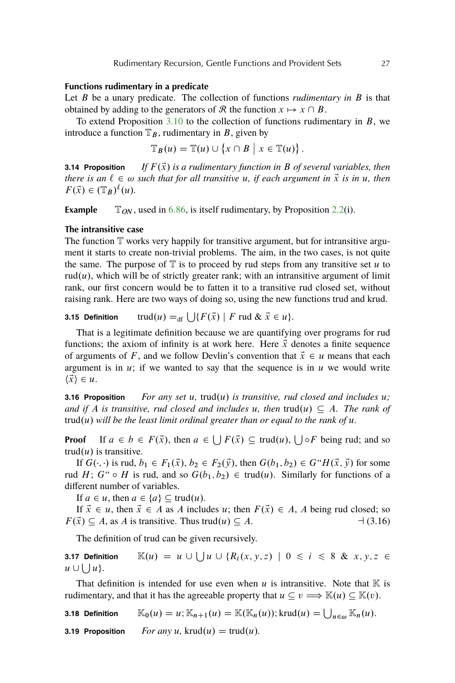## **Functions rudimentary in a predicate**

Let B be a unary predicate. The collection of functions *rudimentary in* B is that obtained by adding to the generators of R the function  $x \mapsto x \cap B$ .

To extend Proposition  $3.10$  to the collection of functions rudimentary in  $B$ , we introduce a function  $\mathbb{T}_B$ , rudimentary in B, given by

$$
\mathbb{T}_B(u) = \mathbb{T}(u) \cup \{x \cap B \mid x \in \mathbb{T}(u)\}.
$$

**3.14 Proposition** If  $F(\vec{x})$  is a rudimentary function in B of several variables, then *there is an*  $\ell \in \omega$  *such that for all transitive* u, *if each argument in*  $\vec{x}$  *is in* u, *then*  $F(\vec{x}) \in (\mathbb{T}_B)^{\ell}(u).$ 

**Example**  $\mathbb{T}_{ON}$ , used in [6.86,](#page-45-0) is itself rudimentary, by Proposition [2.2\(](#page-19-0)i).

#### **The intransitive case**

The function  $T$  works very happily for transitive argument, but for intransitive argument it starts to create non-trivial problems. The aim, in the two cases, is not quite the same. The purpose of  $\mathbb T$  is to proceed by rud steps from any transitive set u to rud $(u)$ , which will be of strictly greater rank; with an intransitive argument of limit rank, our first concern would be to fatten it to a transitive rud closed set, without raising rank. Here are two ways of doing so, using the new functions trud and krud.

# **3.15 Definition**  $trud(u) =_{df} \bigcup \{ F(\vec{x}) \mid F \text{ rud } \& \vec{x} \in u \}.$

That is a legitimate definition because we are quantifying over programs for rud functions; the axiom of infinity is at work here. Here  $\vec{x}$  denotes a finite sequence of arguments of F, and we follow Devlin's convention that  $\vec{x} \in u$  means that each argument is in  $u$ ; if we wanted to say that the sequence is in  $u$  we would write  $\langle \vec{x} \rangle \in u$ .

**3.16 Proposition** *For any set u, trud(u) is transitive, rud closed and includes u; and if* A *is transitive, rud closed and includes u, then*  $trud(u) \subseteq A$ *. The rank of*  $trud(u)$  will be the least limit ordinal greater than or equal to the rank of  $u$ .

**Proof** If  $a \in b \in F(\vec{x})$ , then  $a \in \bigcup F(\vec{x}) \subseteq \text{trud}(u)$ ,  $\bigcup \circ F$  being rud; and so trud $(u)$  is transitive.

If  $G(\cdot, \cdot)$  is rud,  $b_1 \in F_1(\vec{x}), b_2 \in F_2(\vec{y})$ , then  $G(b_1, b_2) \in G^*H(\vec{x}, \vec{y})$  for some rud H;  $G^{\prime\prime} \circ H$  is rud, and so  $G(b_1, b_2) \in \text{trud}(u)$ . Similarly for functions of a different number of variables.

If  $a \in u$ , then  $a \in \{a\} \subseteq \text{trud}(u)$ .

If  $\vec{x} \in u$ , then  $\vec{x} \in A$  as A includes u; then  $F(\vec{x}) \in A$ , A being rud closed; so  $F(\vec{x}) \subseteq A$ , as A is transitive. Thus trud(u)  $\subseteq A$ .  $\qquad \qquad \qquad \negthinspace \rightarrow \text{(3.16)}$ 

The definition of trud can be given recursively.

**3.17 Definition**  $\mathbb{K}(u) = u \cup \bigcup u \cup \{R_i(x, y, z) \mid 0 \leq i \leq 8 \& x, y, z \in \mathbb{K} \right)$  $u \cup \bigcup u$ .

That definition is intended for use even when u is intransitive. Note that  $\mathbb K$  is rudimentary, and that it has the agreeable property that  $u \subseteq v \Longrightarrow \mathbb{K}(u) \subseteq \mathbb{K}(v)$ .

**3.18 Definition**  $\mathbb{K}_0(u) = u; \mathbb{K}_{n+1}(u) = \mathbb{K}(\mathbb{K}_n(u)); \text{krud}(u) = \bigcup_{n \in \omega} \mathbb{K}_n(u).$ 

**3.19 Proposition** *For any*  $u$ , krud $(u)$  = trud $(u)$ *.*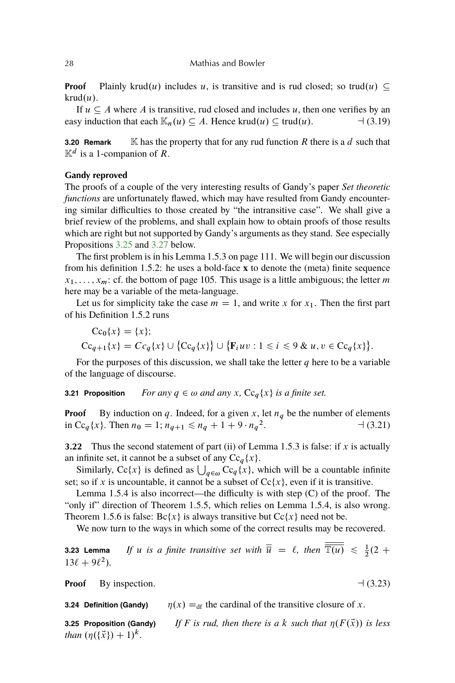#### <span id="page-25-0"></span>28 Mathias and Bowler

**Proof** Plainly krud(u) includes u, is transitive and is rud closed; so trud(u)  $\subseteq$  $krud(u)$ .

If  $u \subseteq A$  where A is transitive, rud closed and includes u, then one verifies by an easy induction that each  $\mathbb{K}_n(u) \subseteq A$ . Hence krud $(u) \subseteq \text{trud}(u)$ .  $\qquad \qquad \neg (3.19)$ 

**3.20 Remark** K has the property that for any rud function R there is a  $d$  such that  $\mathbb{K}^d$  is a 1-companion of R.

## **Gandy reproved**

The proofs of a couple of the very interesting results of Gandy's paper *Set theoretic functions* are unfortunately flawed, which may have resulted from Gandy encountering similar difficulties to those created by "the intransitive case". We shall give a brief review of the problems, and shall explain how to obtain proofs of those results which are right but not supported by Gandy's arguments as they stand. See especially Propositions 3.25 and 3.27 below.

The first problem is in his Lemma 1.5.3 on page 111. We will begin our discussion from his definition 1.5.2: he uses a bold-face **x** to denote the (meta) finite sequence  $x_1, \ldots, x_m$ : cf. the bottom of page 105. This usage is a little ambiguous; the letter m here may be a variable of the meta-language.

Let us for simplicity take the case  $m = 1$ , and write x for  $x_1$ . Then the first part of his Definition 1.5.2 runs

$$
Cc_0\{x\} = \{x\};
$$
  
\n
$$
Cc_{q+1}\{x\} = Cc_q\{x\} \cup \{Cc_q\{x\}\} \cup \{\mathbf{F}_iuv : 1 \le i \le 9 \& u, v \in Cc_q\{x\}\}.
$$

For the purposes of this discussion, we shall take the letter  $q$  here to be a variable of the language of discourse.

**3.21 Proposition** *For any*  $q \in \omega$  *and any* x,  $\text{Cc}_q\{x\}$  *is a finite set.* 

**Proof** By induction on q. Indeed, for a given x, let  $n_q$  be the number of elements in Cc<sub>q</sub>{x}. Then  $n_0 = 1$ ;  $n_{q+1} \le n_q + 1 + 9 \cdot n_q^2$  $-1(3.21)$ 

**3.22** Thus the second statement of part (ii) of Lemma 1.5.3 is false: if  $x$  is actually an infinite set, it cannot be a subset of any  $Cc_q(x)$ .

Similarly, Cc{x} is defined as  $\bigcup_{q \in \omega} Cc_q(x)$ , which will be a countable infinite set; so if x is uncountable, it cannot be a subset of  $Cc\{x\}$ , even if it is transitive.

Lemma 1.5.4 is also incorrect—the difficulty is with step (C) of the proof. The "only if" direction of Theorem 1.5.5, which relies on Lemma 1.5.4, is also wrong. Theorem 1.5.6 is false:  $\text{Be}\{x\}$  is always transitive but  $\text{Ce}\{x\}$  need not be.

We now turn to the ways in which some of the correct results may be recovered.

**3.23 Lemma** If u is a finite transitive set with  $\overline{\overline{u}} = \ell$ , then  $\overline{\mathbb{T}(u)} \leq \frac{1}{2}(2 + \ell)$  $13\ell + 9\ell^2$ ).

**Proof** By inspection.  $\Box$  (3.23)

**3.24 Definition (Gandy)**  $\eta(x) =_{df}$  the cardinal of the transitive closure of x.

**3.25 Proposition (Gandy)** If F is rud, then there is a k such that  $\eta(F(\vec{x}))$  is less *than*  $(\eta({\{\vec{x}\}}) + 1)^k$ .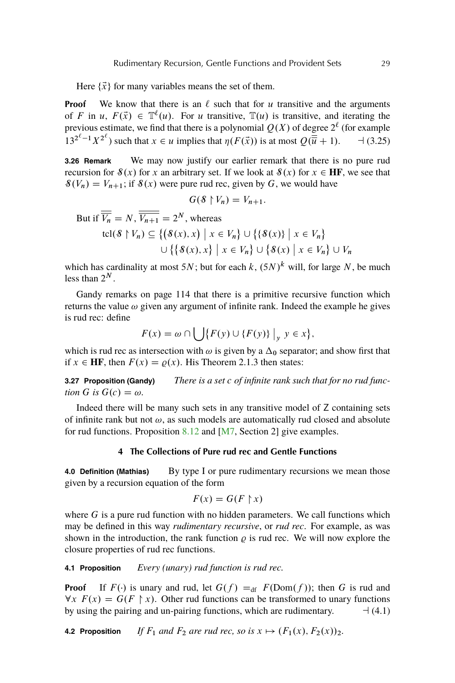<span id="page-26-0"></span>Here  $\{\vec{x}\}\$ for many variables means the set of them.

**Proof** We know that there is an  $\ell$  such that for u transitive and the arguments of F in u,  $F(\vec{x}) \in \mathbb{T}^{\ell}(u)$ . For u transitive,  $\mathbb{T}(u)$  is transitive, and iterating the previous estimate, we find that there is a polynomial  $Q(X)$  of degree  $2^{\ell}$  (for example  $13^{2^{\ell}-1}X^{2^{\ell}}$  such that  $x \in u$  implies that  $\eta(F(\vec{x}))$  is at most  $Q(\overline{\vec{u}} + 1)$ .  $\qquad \neg (3.25)$ 

**3.26 Remark** We may now justify our earlier remark that there is no pure rud recursion for  $\mathcal{S}(x)$  for x an arbitrary set. If we look at  $\mathcal{S}(x)$  for  $x \in HF$ , we see that  $\mathcal{S}(V_n) = V_{n+1}$ ; if  $\mathcal{S}(x)$  were pure rud rec, given by G, we would have

$$
G(\mathcal{S}\restriction V_n)=V_{n+1}.
$$

But if  $\overline{V_n} = N$ ,  $\overline{V_{n+1}} = 2^N$ , whereas

$$
\text{tcl}(\mathcal{S} \upharpoonright V_n) \subseteq \{ (\mathcal{S}(x), x) \mid x \in V_n \} \cup \{ \{ \mathcal{S}(x) \} \mid x \in V_n \}
$$

$$
\cup \{ \{ \mathcal{S}(x), x \} \mid x \in V_n \} \cup \{ \mathcal{S}(x) \mid x \in V_n \} \cup V_n
$$

which has cardinality at most 5N; but for each k,  $(5N)^k$  will, for large N, be much less than  $2^N$ .

Gandy remarks on page 114 that there is a primitive recursive function which returns the value  $\omega$  given any argument of infinite rank. Indeed the example he gives is rud rec: define

$$
F(x) = \omega \cap \bigcup \{ F(y) \cup \{ F(y) \} \big|_y \ y \in x \},\
$$

which is rud rec as intersection with  $\omega$  is given by a  $\Delta_0$  separator; and show first that if  $x \in HF$ , then  $F(x) = \varrho(x)$ . His Theorem 2.1.3 then states:

**3.27 Proposition (Gandy)** *There is a set* c *of infinite rank such that for no rud function* G *is*  $G(c) = \omega$ *.* 

Indeed there will be many such sets in any transitive model of Z containing sets of infinite rank but not  $\omega$ , as such models are automatically rud closed and absolute for rud functions. Proposition  $8.12$  and [\[M7,](#page-56-0) Section 2] give examples.

#### **4 The Collections of Pure rud rec and Gentle Functions**

**4.0 Definition (Mathias)** By type I or pure rudimentary recursions we mean those given by a recursion equation of the form

$$
F(x) = G(F \upharpoonright x)
$$

where  $G$  is a pure rud function with no hidden parameters. We call functions which may be defined in this way *rudimentary recursive*, or *rud rec*. For example, as was shown in the introduction, the rank function  $\rho$  is rud rec. We will now explore the closure properties of rud rec functions.

**4.1 Proposition** *Every (unary) rud function is rud rec.*

**Proof** If  $F(\cdot)$  is unary and rud, let  $G(f) =_{df} F(Dom(f))$ ; then G is rud and  $\forall x \ F(x) = G(F \upharpoonright x)$ . Other rud functions can be transformed to unary functions by using the pairing and un-pairing functions, which are rudimentary.  $\Box$  (4.1)

**4.2 Proposition** *If*  $F_1$  *and*  $F_2$  *are rud rec, so is*  $x \mapsto (F_1(x), F_2(x))_2$ .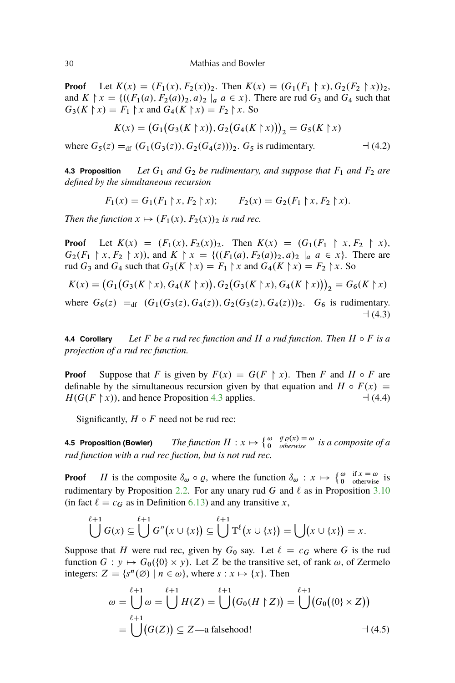**Proof** Let  $K(x) = (F_1(x), F_2(x))_2$ . Then  $K(x) = (G_1(F_1 \upharpoonright x), G_2(F_2 \upharpoonright x))_2$ , and  $K \upharpoonright x = \{((F_1(a), F_2(a))_2, a)_2 \mid a \in x\}$ . There are rud  $G_3$  and  $G_4$  such that  $G_3(K \nmid x) = F_1 \nmid x$  and  $G_4(K \nmid x) = F_2 \nmid x$ . So

$$
K(x) = (G_1(G_3(K \upharpoonright x)), G_2(G_4(K \upharpoonright x)))_2 = G_5(K \upharpoonright x)
$$

where  $G_5(z) =_{df} (G_1(G_3(z)), G_2(G_4(z)))_2$ .  $G_5$  is rudimentary.  $\Box$  (4.2)

**4.3 Proposition** *Let*  $G_1$  *and*  $G_2$  *be rudimentary, and suppose that*  $F_1$  *and*  $F_2$  *are defined by the simultaneous recursion*

$$
F_1(x) = G_1(F_1 \upharpoonright x, F_2 \upharpoonright x); \qquad F_2(x) = G_2(F_1 \upharpoonright x, F_2 \upharpoonright x).
$$

*Then the function*  $x \mapsto (F_1(x), F_2(x))_2$  *is rud rec.* 

**Proof** Let  $K(x) = (F_1(x), F_2(x))_2$ . Then  $K(x) = (G_1(F_1 \rvert x, F_2 \rvert x))$  $G_2(F_1 \rvert x, F_2 \rvert x)$ , and  $K \rvert x = \{((F_1(a), F_2(a))_2, a)_2 \rvert_a a \in x\}$ . There are rud  $G_3$  and  $G_4$  such that  $G_3(K \nmid x) = F_1 \nmid x$  and  $G_4(K \nmid x) = F_2 \nmid x$ . So

$$
K(x) = (G_1(G_3(K \upharpoonright x), G_4(K \upharpoonright x)), G_2(G_3(K \upharpoonright x), G_4(K \upharpoonright x)))_2 = G_6(K \upharpoonright x)
$$
  
where  $G_6(z) =_{df} (G_1(G_3(z), G_4(z)), G_2(G_3(z), G_4(z)))_2$ .  $G_6$  is rudimentary.  
 $\rightarrow$ (4.3)

**4.4 Corollary** *Let* F *be a rud rec function and H a rud function. Then*  $H \circ F$  *is a projection of a rud rec function.*

**Proof** Suppose that F is given by  $F(x) = G(F \rvert x)$ . Then F and H  $\circ$  F are definable by the simultaneous recursion given by that equation and  $H \circ F(x) =$  $H(G(F \nmid x))$ , and hence Proposition [4.3](#page-26-0) applies.  $\lnot (4.4)$ 

Significantly,  $H \circ F$  need not be rud rec:

**4.5 Proposition (Bowler)** *The function H* :  $x \mapsto \begin{cases} \omega & \text{if } \varrho(x) = \omega \\ 0 & \text{otherwise} \end{cases}$  *is a composite of a rud function with a rud rec fuction, but is not rud rec.*

**Proof** H is the composite  $\delta_{\omega} \circ \varrho$ , where the function  $\delta_{\omega}: x \mapsto \begin{cases} \omega & \text{if } x = \omega \\ 0 & \text{otherwise} \end{cases}$  is rudimentary by Proposition [2.2.](#page-19-0) For any unary rud G and  $\ell$  as in Proposition [3.10](#page-23-0) (in fact  $\ell = c_G$  as in Definition [6.13\)](#page-35-0) and any transitive x,

$$
\bigcup^{\ell+1} G(x) \subseteq \bigcup^{\ell+1} G''(x \cup \{x\}) \subseteq \bigcup^{\ell+1} \mathbb{T}^{\ell}(x \cup \{x\}) = \bigcup (x \cup \{x\}) = x.
$$

Suppose that H were rud rec, given by  $G_0$  say. Let  $\ell = c_G$  where G is the rud function  $G: y \mapsto G_0({0} \times y)$ . Let Z be the transitive set, of rank  $\omega$ , of Zermelo integers:  $Z = \{s^n(\emptyset) \mid n \in \omega\}$ , where  $s : x \mapsto \{x\}$ . Then

$$
\omega = \bigcup_{\ell+1}^{\ell+1} \omega = \bigcup_{\ell+1}^{\ell+1} H(Z) = \bigcup_{\ell}^{\ell+1} (G_0(H \upharpoonright Z)) = \bigcup_{\ell+1}^{\ell+1} (G_0(\{0\} \times Z))
$$
  
= 
$$
\bigcup_{\ell+1}^{\ell+1} (G(Z)) \subseteq Z
$$
—a falsehood!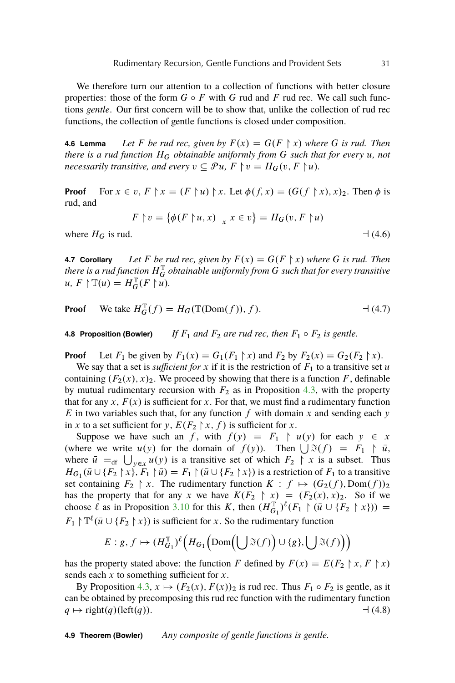We therefore turn our attention to a collection of functions with better closure properties: those of the form  $G \circ F$  with G rud and F rud rec. We call such functions *gentle*. Our first concern will be to show that, unlike the collection of rud rec functions, the collection of gentle functions is closed under composition.

**4.6 Lemma** *Let* F *be rud rec, given by*  $F(x) = G(F \nmid x)$  *where* G *is rud. Then there is a rud function*  $H_G$  *obtainable uniformly from* G *such that for every* u, not *necessarily transitive, and every*  $v \subseteq \mathcal{P}u$ ,  $F \upharpoonright v = H_G(v, F \upharpoonright u)$ *.* 

**Proof** For  $x \in v$ ,  $F \upharpoonright x = (F \upharpoonright u) \upharpoonright x$ . Let  $\phi(f, x) = (G(f \upharpoonright x), x)_2$ . Then  $\phi$  is rud, and

$$
F \upharpoonright v = \{ \phi(F \upharpoonright u, x) \big|_x x \in v \} = H_G(v, F \upharpoonright u)
$$

where  $H_G$  is rud.  $\Box$  (4.6)

**4.7 Corollary** *Let* F *be rud rec, given by*  $F(x) = G(F \nmid x)$  *where* G *is rud. Then* there is a rud function  $H_G^\mathbb{T}$  obtainable uniformly from  $G$  such that for every transitive  $u, F \upharpoonright \mathbb{T}(u) = H_G^{\mathbb{T}}(F \upharpoonright u).$ 

**Proof** We take 
$$
H_G^{\mathbb{T}}(f) = H_G(\mathbb{T}(\text{Dom}(f)), f)
$$
.  $\qquad \qquad \text{4.7}$ 

**4.8 Proposition (Bowler)** *If*  $F_1$  *and*  $F_2$  *are rud rec, then*  $F_1 \circ F_2$  *is gentle.* 

**Proof** Let  $F_1$  be given by  $F_1(x) = G_1(F_1 \nmid x)$  and  $F_2$  by  $F_2(x) = G_2(F_2 \nmid x)$ .

We say that a set is *sufficient for* x if it is the restriction of  $F_1$  to a transitive set u containing  $(F_2(x), x)_2$ . We proceed by showing that there is a function F, definable by mutual rudimentary recursion with  $F_2$  as in Proposition [4.3,](#page-26-0) with the property that for any x,  $F(x)$  is sufficient for x. For that, we must find a rudimentary function E in two variables such that, for any function f with domain x and sending each y in x to a set sufficient for y,  $E(F_2 \nmid x, f)$  is sufficient for x.

Suppose we have such an f, with  $f(y) = F_1 \upharpoonright u(y)$  for each  $y \in x$ (where we write  $u(y)$  for the domain of  $f(y)$ ). Then  $\bigcup \mathfrak{F}(f) = F_1 \upharpoonright \bar{u}$ , where  $\bar{u} =_{df} \bigcup_{y \in x} u(y)$  is a transitive set of which  $F_2 \restriction x$  is a subset. Thus  $H_{G_1}(\bar{u} \cup \{F_2 \mid x\}, F_1 \mid \bar{u}) = F_1 \mid (\bar{u} \cup \{F_2 \mid x\})$  is a restriction of  $F_1$  to a transitive set containing  $F_2 \restriction x$ . The rudimentary function  $K : f \mapsto (G_2(f), \text{Dom}(f))_2$ has the property that for any x we have  $K(F_2 \rvert x) = (F_2(x), x)_2$ . So if we choose  $\ell$  as in Proposition [3.10](#page-23-0) for this K, then  $(H_{G_1}^{\mathbb{T}})^{\ell}(F_1 \restriction (\bar{u} \cup \{F_2 \restriction x\}))$  =  $F_1 \upharpoonright \mathbb{T}^{\ell}(\bar{u} \cup \{F_2 \upharpoonright x\})$  is sufficient for x. So the rudimentary function

$$
E: g, f \mapsto (H_{G_1}^{\mathbb{T}})^{\ell} \Big( H_{G_1} \Big( \text{Dom} \Big( \bigcup \mathfrak{I}(f) \Big) \cup \{g\}, \bigcup \mathfrak{I}(f) \Big) \Big)
$$

has the property stated above: the function F defined by  $F(x) = E(F_2 \nvert x, F \nvert x)$ sends each  $x$  to something sufficient for  $x$ .

By Proposition [4.3,](#page-26-0)  $x \mapsto (F_2(x), F(x))_2$  is rud rec. Thus  $F_1 \circ F_2$  is gentle, as it can be obtained by precomposing this rud rec function with the rudimentary function  $q \mapsto \text{right}(q)(\text{left}(q)).$   $\rightarrow$  (4.8)

**4.9 Theorem (Bowler)** *Any composite of gentle functions is gentle.*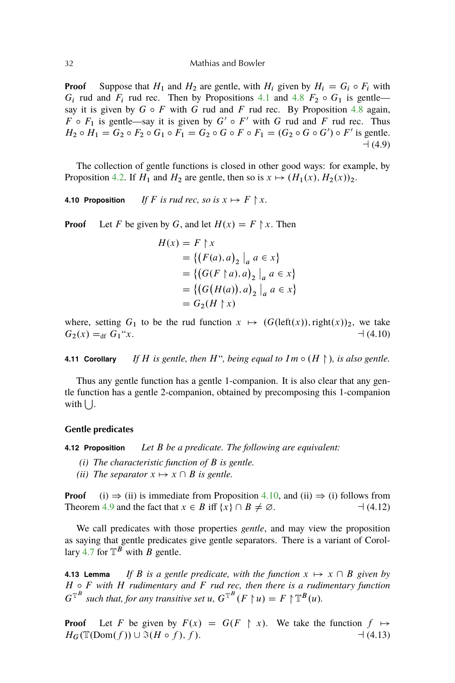<span id="page-29-0"></span>**Proof** Suppose that  $H_1$  and  $H_2$  are gentle, with  $H_i$  given by  $H_i = G_i \circ F_i$  with  $G_i$  rud and  $F_i$  rud rec. Then by Propositions [4.1](#page-26-0) and [4.8](#page-26-0)  $F_2 \circ G_1$  is gentle say it is given by  $G \circ F$  with G rud and F rud rec. By Proposition [4.8](#page-26-0) again,  $F \circ F_1$  is gentle—say it is given by  $G' \circ F'$  with G rud and F rud rec. Thus  $H_2 \circ H_1 = G_2 \circ F_2 \circ G_1 \circ F_1 = G_2 \circ G \circ F \circ F_1 = (G_2 \circ G \circ G') \circ F'$  is gentle.  $-1(4.9)$ 

The collection of gentle functions is closed in other good ways: for example, by Proposition [4.2.](#page-26-0) If  $H_1$  and  $H_2$  are gentle, then so is  $x \mapsto (H_1(x), H_2(x))_2$ .

**4.10 Proposition** *If* F *is rud rec, so is*  $x \mapsto F \nmid x$ .

**Proof** Let F be given by G, and let  $H(x) = F \nmid x$ . Then

$$
H(x) = F \upharpoonright x
$$
  
= { $(F(a), a)_2 \big|_a a \in x$ }  
= { $(G(F \upharpoonright a), a)_2 \big|_a a \in x$ }  
= { $(G(H(a)), a)_2 \big|_a a \in x$ }  
=  $G_2(H \upharpoonright x)$ 

where, setting  $G_1$  to be the rud function  $x \mapsto (G(\text{left}(x)), \text{right}(x))_2$ , we take  $G_2(x) =_{df} G_1''x.$  (4.10)

**4.11 Corollary** *If* H is gentle, then H", being equal to  $Im \circ (H \nightharpoonup)$ , is also gentle.

Thus any gentle function has a gentle 1-companion. It is also clear that any gentle function has a gentle 2-companion, obtained by precomposing this 1-companion with  $\bigcup$ .

#### **Gentle predicates**

**4.12 Proposition** *Let* B *be a predicate. The following are equivalent:*

- *(i) The characteristic function of* B *is gentle.*
- *(ii) The separator*  $x \mapsto x \cap B$  *is gentle.*

**Proof** (i)  $\Rightarrow$  (ii) is immediate from Proposition [4.10,](#page-26-0) and (ii)  $\Rightarrow$  (i) follows from Theorem [4.9](#page-26-0) and the fact that x 2 B iff ¹xº \ B ¤ ¿. a (4.12)

We call predicates with those properties *gentle*, and may view the proposition as saying that gentle predicates give gentle separators. There is a variant of Corol-lary [4.7](#page-26-0) for  $\mathbb{T}^B$  with B gentle.

**4.13 Lemma** *If* B *is a gentle predicate, with the function*  $x \mapsto x \cap B$  *given by* H  $\circ$  F with H *rudimentary and* F *rud rec, then there is a rudimentary function*  $G^{\mathbb{T}^B}$  such that, for any transitive set u,  $G^{\mathbb{T}^B}(F \restriction u) = F \restriction \mathbb{T}^B(u)$ .

**Proof** Let F be given by  $F(x) = G(F \rvert x)$ . We take the function  $f \mapsto$  $H_G(\mathbb{T}(\text{Dom}(f)) \cup \mathfrak{F}(H \circ f), f).$   $\qquad (4.13)$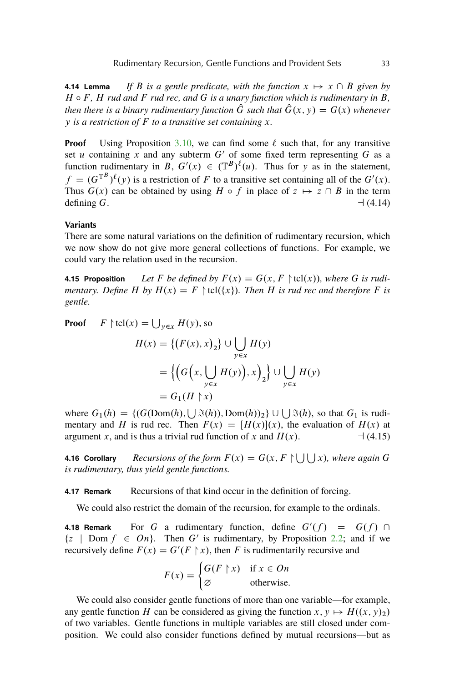<span id="page-30-0"></span>**4.14 Lemma** If B is a gentle predicate, with the function  $x \mapsto x \cap B$  given by  $H \circ F$ ,  $H$  *rud and*  $F$  *rud rec, and*  $G$  *is a unary function which is rudimentary in*  $B$ , *then there is a binary rudimentary function*  $\hat{G}$  *such that*  $\hat{G}(x, y) = G(x)$  *whenever* y *is a restriction of* F *to a transitive set containing* x*.*

**Proof** Using Proposition [3.10,](#page-23-0) we can find some  $\ell$  such that, for any transitive set u containing x and any subterm  $G'$  of some fixed term representing G as a function rudimentary in B,  $G'(x) \in (\mathbb{T}^B)^{\ell}(u)$ . Thus for y as in the statement,  $f = (G^{\mathbb{T}^B})^{\ell}(y)$  is a restriction of F to a transitive set containing all of the  $G'(x)$ . Thus  $G(x)$  can be obtained by using  $H \circ f$  in place of  $z \mapsto z \cap B$  in the term defining G.  $\Box$  (4.14)

# **Variants**

There are some natural variations on the definition of rudimentary recursion, which we now show do not give more general collections of functions. For example, we could vary the relation used in the recursion.

**4.15 Proposition** Let F be defined by  $F(x) = G(x, F \restriction \text{tcl}(x))$ , where G is rudi*mentary. Define H by*  $H(x) = F \restriction \text{tcl}(\{x\})$ *. Then H is rud rec and therefore F is gentle.*

**Proof**  $F \upharpoonright \text{tcl}(x) = \bigcup_{y \in x} H(y)$ , so

$$
H(x) = \{ (F(x), x)_2 \} \cup \bigcup_{y \in x} H(y)
$$
  
= 
$$
\{ (G(x, \bigcup_{y \in x} H(y)), x)_2 \} \cup \bigcup_{y \in x} H(y)
$$
  
= 
$$
G_1(H \upharpoonright x)
$$

where  $G_1(h) = \{ (G(\text{Dom}(h), \bigcup \Im(h)), \text{Dom}(h))_2 \} \cup \bigcup \Im(h)$ , so that  $G_1$  is rudimentary and H is rud rec. Then  $F(x) = [H(x)](x)$ , the evaluation of  $H(x)$  at argument x, and is thus a trivial rud function of x and  $H(x)$ .  $\qquad \qquad \rightarrow (4.15)$ 

**4.16 Corollary** *Recursions of the form*  $F(x) = G(x, F \cup \cup \cup x)$ , where again G. *is rudimentary, thus yield gentle functions.*

**4.17 Remark** Recursions of that kind occur in the definition of forcing.

We could also restrict the domain of the recursion, for example to the ordinals.

**4.18 Remark** For G a rudimentary function, define  $G'(f) = G(f) \cap G$  $\{z \mid Dom f \in On\}$ . Then G' is rudimentary, by Proposition [2.2;](#page-19-0) and if we recursively define  $F(x) = G'(F \upharpoonright x)$ , then F is rudimentarily recursive and

$$
F(x) = \begin{cases} G(F \upharpoonright x) & \text{if } x \in On \\ \varnothing & \text{otherwise.} \end{cases}
$$

We could also consider gentle functions of more than one variable—for example, any gentle function H can be considered as giving the function  $x, y \mapsto H((x, y)_2)$ . of two variables. Gentle functions in multiple variables are still closed under composition. We could also consider functions defined by mutual recursions—but as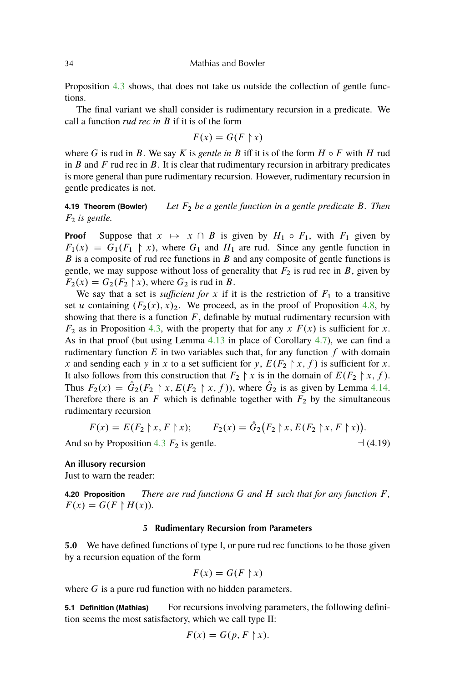<span id="page-31-0"></span>Proposition [4.3](#page-26-0) shows, that does not take us outside the collection of gentle functions.

The final variant we shall consider is rudimentary recursion in a predicate. We call a function *rud rec in* B if it is of the form

$$
F(x) = G(F \upharpoonright x)
$$

where G is rud in B. We say K is *gentle in* B iff it is of the form  $H \circ F$  with H rud in B and F rud rec in B. It is clear that rudimentary recursion in arbitrary predicates is more general than pure rudimentary recursion. However, rudimentary recursion in gentle predicates is not.

**4.19 Theorem (Bowler)** *Let* F<sup>2</sup> *be a gentle function in a gentle predicate* B*. Then*  $F_2$  *is gentle.* 

**Proof** Suppose that  $x \mapsto x \cap B$  is given by  $H_1 \circ F_1$ , with  $F_1$  given by  $F_1(x) = G_1(F_1 \nmid x)$ , where  $G_1$  and  $H_1$  are rud. Since any gentle function in  $B$  is a composite of rud rec functions in  $B$  and any composite of gentle functions is gentle, we may suppose without loss of generality that  $F_2$  is rud rec in B, given by  $F_2(x) = G_2(F_2 \nmid x)$ , where  $G_2$  is rud in B.

We say that a set is *sufficient for* x if it is the restriction of  $F_1$  to a transitive set u containing  $(F_2(x), x)_2$ . We proceed, as in the proof of Proposition [4.8,](#page-26-0) by showing that there is a function  $F$ , definable by mutual rudimentary recursion with  $F_2$  as in Proposition [4.3,](#page-26-0) with the property that for any x  $F(x)$  is sufficient for x. As in that proof (but using Lemma [4.13](#page-29-0) in place of Corollary [4.7\)](#page-26-0), we can find a rudimentary function  $E$  in two variables such that, for any function  $f$  with domain x and sending each y in x to a set sufficient for y,  $E(F_2 \nvert x, f)$  is sufficient for x. It also follows from this construction that  $F_2 \restriction x$  is in the domain of  $E(F_2 \restriction x, f)$ . Thus  $F_2(x) = \hat{G}_2(F_2 \upharpoonright x, E(F_2 \upharpoonright x, f))$ , where  $\hat{G}_2$  is as given by Lemma [4.14.](#page-29-0) Therefore there is an F which is definable together with  $F_2$  by the simultaneous rudimentary recursion

$$
F(x) = E(F_2 \upharpoonright x, F \upharpoonright x); \qquad F_2(x) = \hat{G}_2(F_2 \upharpoonright x, E(F_2 \upharpoonright x, F \upharpoonright x)).
$$

And so by Proposition [4.3](#page-26-0)  $F_2$  is gentle.  $\Box$  (4.19)

#### **An illusory recursion**

Just to warn the reader:

**4.20 Proposition** *There are rud functions* G *and* H *such that for any function* F *,*  $F(x) = G(F \upharpoonright H(x)).$ 

#### **5 Rudimentary Recursion from Parameters**

**5.0** We have defined functions of type I, or pure rud rec functions to be those given by a recursion equation of the form

$$
F(x) = G(F \upharpoonright x)
$$

where  $G$  is a pure rud function with no hidden parameters.

**5.1 Definition (Mathias)** For recursions involving parameters, the following definition seems the most satisfactory, which we call type II:

$$
F(x) = G(p, F \upharpoonright x).
$$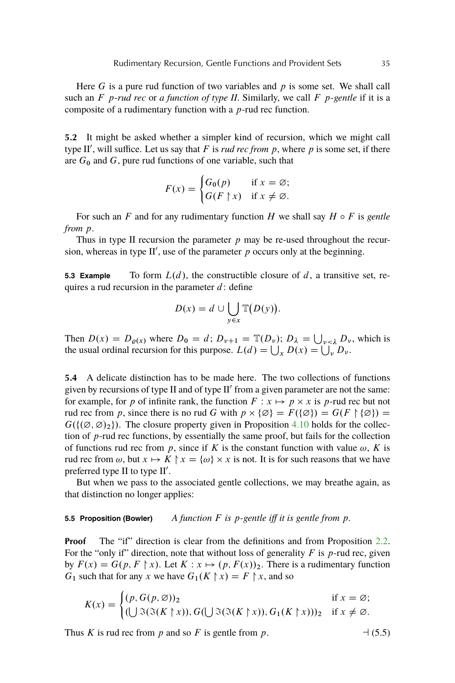Here G is a pure rud function of two variables and  $p$  is some set. We shall call such an F p-*rud rec* or *a function of type II*. Similarly, we call F p-*gentle* if it is a composite of a rudimentary function with a  $p$ -rud rec function.

**5.2** It might be asked whether a simpler kind of recursion, which we might call type II', will suffice. Let us say that  $F$  is *rud rec from p*, where  $p$  is some set, if there are  $G_0$  and  $G$ , pure rud functions of one variable, such that

$$
F(x) = \begin{cases} G_0(p) & \text{if } x = \emptyset; \\ G(F \upharpoonright x) & \text{if } x \neq \emptyset. \end{cases}
$$

For such an F and for any rudimentary function H we shall say  $H \circ F$  is *gentle from* p.

Thus in type II recursion the parameter  $p$  may be re-used throughout the recursion, whereas in type II', use of the parameter  $p$  occurs only at the beginning.

**5.3 Example** To form  $L(d)$ , the constructible closure of d, a transitive set, requires a rud recursion in the parameter  $d$ : define

$$
D(x) = d \cup \bigcup_{y \in x} \mathbb{T}(D(y)).
$$

Then  $D(x) = D_{\varrho(x)}$  where  $D_0 = d$ ;  $D_{\nu+1} = \mathbb{T}(D_{\nu})$ ;  $D_{\lambda} = \bigcup_{\nu \leq \lambda} D_{\nu}$ , which is the usual ordinal recursion for this purpose.  $L(d) = \bigcup_{x} D(x) = \bigcup_{y} D_{y}$ .

**5.4** A delicate distinction has to be made here. The two collections of functions given by recursions of type II and of type  $II'$  from a given parameter are not the same: for example, for p of infinite rank, the function  $F: x \mapsto p \times x$  is p-rud rec but not rud rec from p, since there is no rud G with  $p \times \{ \emptyset \} = F({\emptyset}) = G(F \upharpoonright {\emptyset}) =$  $G(\{\phi, \emptyset\}_2)$ . The closure property given in Proposition [4.10](#page-26-0) holds for the collection of  $p$ -rud rec functions, by essentially the same proof, but fails for the collection of functions rud rec from p, since if K is the constant function with value  $\omega$ , K is rud rec from  $\omega$ , but  $x \mapsto K \upharpoonright x = \{\omega\} \times x$  is not. It is for such reasons that we have preferred type II to type II'.

But when we pass to the associated gentle collections, we may breathe again, as that distinction no longer applies:

## **5.5 Proposition (Bowler)** *A function* F *is* p*-gentle iff it is gentle from* p*.*

**Proof** The "if" direction is clear from the definitions and from Proposition [2.2.](#page-19-0) For the "only if" direction, note that without loss of generality  $F$  is  $p$ -rud rec, given by  $F(x) = G(p, F \mid x)$ . Let  $K : x \mapsto (p, F(x))_2$ . There is a rudimentary function  $G_1$  such that for any x we have  $G_1(K \nmid x) = F \nmid x$ , and so

$$
K(x) = \begin{cases} (p, G(p, \varnothing))_2 & \text{if } x = \varnothing; \\ (\bigcup \Im(\Im(K \upharpoonright x)), G(\bigcup \Im(\Im(K \upharpoonright x)), G_1(K \upharpoonright x)))_2 & \text{if } x \neq \varnothing. \end{cases}
$$

Thus K is rud rec from  $p$  and so F is gentle from  $p$ .

$$
-(5.5)
$$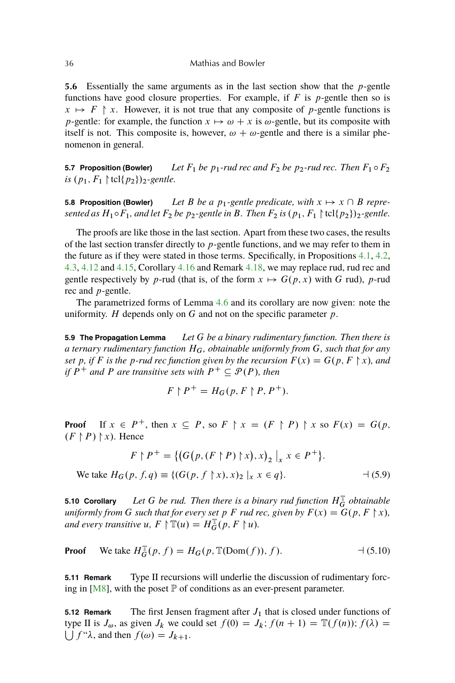<span id="page-33-0"></span>**5.6** Essentially the same arguments as in the last section show that the p-gentle functions have good closure properties. For example, if  $F$  is  $p$ -gentle then so is  $x \mapsto F \upharpoonright x$ . However, it is not true that any composite of p-gentle functions is p-gentle: for example, the function  $x \mapsto \omega + x$  is  $\omega$ -gentle, but its composite with itself is not. This composite is, however,  $\omega + \omega$ -gentle and there is a similar phenomenon in general.

**5.7 Proposition (Bowler)** *Let*  $F_1$  *be*  $p_1$ *-rud rec and*  $F_2$  *be*  $p_2$ *-rud rec. Then*  $F_1 \circ F_2$ *is*  $(p_1, F_1 \nvert \text{tcl} \{p_2\})_2$ -gentle.

**5.8 Proposition (Bowler)** Let B be a  $p_1$ -gentle predicate, with  $x \mapsto x \cap B$  repre*sented as*  $H_1 \circ F_1$ *, and let*  $F_2$  *be*  $p_2$ *-gentle in* B*. Then*  $F_2$  *is*  $(p_1, F_1 \nvert tcl{p_2})$ <sub>2</sub>*-gentle.* 

The proofs are like those in the last section. Apart from these two cases, the results of the last section transfer directly to  $p$ -gentle functions, and we may refer to them in the future as if they were stated in those terms. Specifically, in Propositions [4.1,](#page-26-0) [4.2,](#page-26-0) [4.3,](#page-26-0) [4.12](#page-29-0) and [4.15,](#page-30-0) Corollary [4.16](#page-30-0) and Remark [4.18,](#page-30-0) we may replace rud, rud rec and gentle respectively by p-rud (that is, of the form  $x \mapsto G(p, x)$  with G rud), p-rud rec and p-gentle.

The parametrized forms of Lemma [4.6](#page-26-0) and its corollary are now given: note the uniformity.  $H$  depends only on  $G$  and not on the specific parameter  $p$ .

**5.9 The Propagation Lemma** *Let* G *be a binary rudimentary function. Then there is a ternary rudimentary function* HG*, obtainable uniformly from* G*, such that for any set* p, if F is the p-rud rec function given by the recursion  $F(x) = G(p, F \nmid x)$ , and *if*  $P^+$  *and* P *are transitive sets with*  $P^+ \subseteq \mathcal{P}(P)$ *, then* 

$$
F \upharpoonright P^+ = H_G(p, F \upharpoonright P, P^+).
$$

**Proof** If  $x \in P^+$ , then  $x \subseteq P$ , so  $F \upharpoonright x = (F \upharpoonright P) \upharpoonright x$  so  $F(x) = G(p, x)$  $(F \nvert P)$   $\upharpoonright$  x). Hence

$$
F \upharpoonright P^+ = \{ (G(p, (F \upharpoonright P) \upharpoonright x), x)_2 \mid_x x \in P^+ \}.
$$
  
We take  $H_G(p, f, q) \equiv \{ (G(p, f \upharpoonright x), x)_2 \mid_x x \in q \}.$  (5.9)

**5.10 Corollary** Let G be rud. Then there is a binary rud function  $H_G^{\mathbb{T}}$  obtainable *uniformly from* G *such that for every set* p F *rud rec, given by*  $F(x) = G(p, F \nmid x)$ *, and every transitive*  $u, F \upharpoonright \mathbb{T}(u) = H_G^{\mathbb{T}}(p, F \upharpoonright u)$ *.* 

**Proof** We take 
$$
H_G^{\mathbb{T}}(p, f) = H_G(p, \mathbb{T}(Dom(f)), f)
$$
.  $\qquad \qquad \rightarrow (5.10)$ 

**5.11 Remark** Type II recursions will underlie the discussion of rudimentary forcing in  $[M8]$ , with the poset  $\mathbb P$  of conditions as an ever-present parameter.

**5.12 Remark** The first Jensen fragment after  $J_1$  that is closed under functions of type II is  $J_{\omega}$ , as given  $J_k$  we could set  $f(0) = J_k$ ;  $f(n + 1) = \mathbb{T}(f(n))$ ;  $f(\lambda) =$  $\bigcup f''\lambda$ , and then  $f(\omega) = J_{k+1}$ .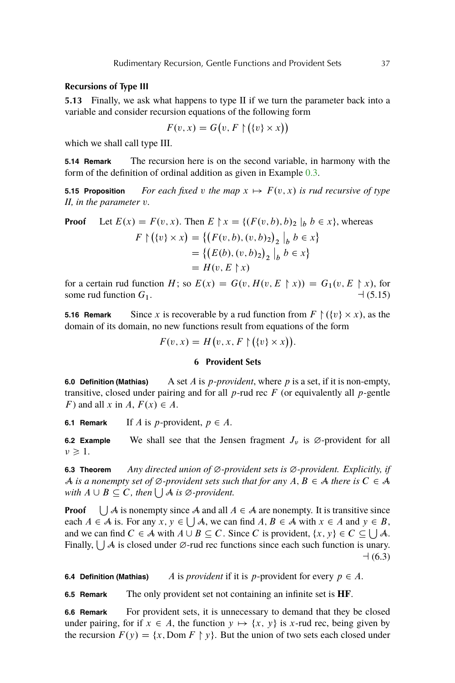## <span id="page-34-0"></span>**Recursions of Type III**

**5.13** Finally, we ask what happens to type II if we turn the parameter back into a variable and consider recursion equations of the following form

$$
F(v, x) = G(v, F \upharpoonright (\{v\} \times x))
$$

which we shall call type III.

**5.14 Remark** The recursion here is on the second variable, in harmony with the form of the definition of ordinal addition as given in Example [0.3.](#page-1-0)

**5.15 Proposition** For each fixed v the map  $x \mapsto F(v, x)$  is rud recursive of type *II, in the parameter* v*.*

**Proof** Let 
$$
E(x) = F(v, x)
$$
. Then  $E \upharpoonright x = \{(F(v, b), b)_2 \mid_b b \in x\}$ , whereas  
\n
$$
F \upharpoonright (\{v\} \times x) = \{ (F(v, b), (v, b)_2)_2 \mid_b b \in x \}
$$
\n
$$
= \{ (E(b), (v, b)_2)_2 \mid_b b \in x \}
$$
\n
$$
= H(v, E \upharpoonright x)
$$

for a certain rud function H; so  $E(x) = G(v, H(v, E \mid x)) = G_1(v, E \mid x)$ , for some rud function G1. a (5.15)

**5.16 Remark** Since x is recoverable by a rud function from  $F \restriction (\{v\} \times x)$ , as the domain of its domain, no new functions result from equations of the form

 $F(v, x) = H(v, x, F \upharpoonright (\{v\} \times x)).$ 

## **6 Provident Sets**

**6.0 Definition (Mathias)** A set A is p-*provident*, where p is a set, if it is non-empty, transitive, closed under pairing and for all  $p$ -rud rec  $F$  (or equivalently all  $p$ -gentle F) and all x in A,  $F(x) \in A$ .

**6.1 Remark** If A is p-provident,  $p \in A$ .

**6.2 Example** We shall see that the Jensen fragment  $J_v$  is  $\emptyset$ -provident for all  $\nu \geq 1$ .

**6.3 Theorem** *Any directed union of*  $\emptyset$ *-provident sets is*  $\emptyset$ *-provident. Explicitly, if* A *is a nonempty set of*  $\emptyset$ -provident sets such that for any  $A, B \in \mathcal{A}$  there is  $C \in \mathcal{A}$ *with*  $A \cup B \subseteq C$ , then  $\bigcup A$  *is*  $\emptyset$ -provident.

**Proof**  $\bigcup$  A is nonempty since A and all  $A \in \mathcal{A}$  are nonempty. It is transitive since each  $A \in \mathcal{A}$  is. For any  $x, y \in \bigcup \mathcal{A}$ , we can find  $A, B \in \mathcal{A}$  with  $x \in A$  and  $y \in B$ , and we can find  $C \in \mathcal{A}$  with  $A \cup B \subseteq C$ . Since C is provident,  $\{x, y\} \in C \subseteq \bigcup \mathcal{A}$ . Finally,  $\bigcup A$  is closed under  $\emptyset$ -rud rec functions since each such function is unary.  $-1(6.3)$ 

**6.4 Definition (Mathias)** A is *provident* if it is *p*-provident for every  $p \in A$ .

**6.5 Remark** The only provident set not containing an infinite set is **HF**.

**6.6 Remark** For provident sets, it is unnecessary to demand that they be closed under pairing, for if  $x \in A$ , the function  $y \mapsto \{x, y\}$  is x-rud rec, being given by the recursion  $F(y) = \{x, \text{Dom } F \} y\}$ . But the union of two sets each closed under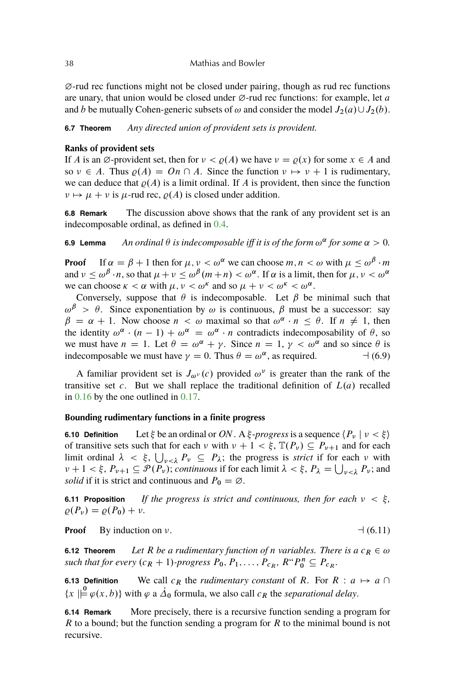#### 38 Mathias and Bowler

 $\varnothing$ -rud rec functions might not be closed under pairing, though as rud rec functions are unary, that union would be closed under  $\varnothing$ -rud rec functions: for example, let a and b be mutually Cohen-generic subsets of  $\omega$  and consider the model  $J_2(a) \cup J_2(b)$ .

**6.7 Theorem** *Any directed union of provident sets is provident.*

### **Ranks of provident sets**

If A is an  $\emptyset$ -provident set, then for  $\nu < \rho(A)$  we have  $\nu = \rho(x)$  for some  $x \in A$  and so  $\nu \in A$ . Thus  $\rho(A) = On \cap A$ . Since the function  $\nu \mapsto \nu + 1$  is rudimentary, we can deduce that  $\rho(A)$  is a limit ordinal. If A is provident, then since the function  $\nu \mapsto \mu + \nu$  is  $\mu$ -rud rec,  $\rho(A)$  is closed under addition.

**6.8 Remark** The discussion above shows that the rank of any provident set is an indecomposable ordinal, as defined in [0.4.](#page-2-0)

**6.9 Lemma** An ordinal  $\theta$  is indecomposable iff it is of the form  $\omega^{\alpha}$  for some  $\alpha > 0$ .

**Proof** If  $\alpha = \beta + 1$  then for  $\mu$ ,  $\nu < \omega^{\alpha}$  we can choose  $m, n < \omega$  with  $\mu \leq \omega^{\beta} \cdot m$ and  $\nu \leq \omega^{\beta} \cdot n$ , so that  $\mu + \nu \leq \omega^{\beta} (m+n) < \omega^{\alpha}$ . If  $\alpha$  is a limit, then for  $\mu, \nu < \omega^{\alpha}$ we can choose  $\kappa < \alpha$  with  $\mu$ ,  $\nu < \omega^k$  and so  $\mu + \nu < \omega^k < \omega^{\alpha}$ .

Conversely, suppose that  $\theta$  is indecomposable. Let  $\beta$  be minimal such that  $\omega^{\beta} > \theta$ . Since exponentiation by  $\omega$  is continuous,  $\beta$  must be a successor: say  $\beta = \alpha + 1$ . Now choose  $n < \omega$  maximal so that  $\omega^{\alpha} \cdot n \le \theta$ . If  $n \ne 1$ , then the identity  $\omega^{\alpha} \cdot (n-1) + \omega^{\alpha} = \omega^{\alpha} \cdot n$  contradicts indecomposability of  $\theta$ , so we must have  $n = 1$ . Let  $\theta = \omega^{\alpha} + \gamma$ . Since  $n = 1$ ,  $\gamma < \omega^{\alpha}$  and so since  $\theta$  is indecomposable we must have  $\gamma = 0$ . Thus  $\theta = \omega^{\alpha}$ , as required.  $\qquad \qquad \rightarrow (6.9)$ 

A familiar provident set is  $J_{\omega^{\nu}}(c)$  provided  $\omega^{\nu}$  is greater than the rank of the transitive set c. But we shall replace the traditional definition of  $L(a)$  recalled in [0.16](#page-4-0) by the one outlined in [0.17.](#page-4-0)

#### **Bounding rudimentary functions in a finite progress**

**6.10 Definition** Let  $\xi$  be an ordinal or ON. A  $\xi$ -progress is a sequence  $\langle P_{\nu} | \nu \langle \xi \rangle$ of transitive sets such that for each  $\nu$  with  $\nu + 1 < \xi$ ,  $\mathbb{T}(P_{\nu}) \subseteq P_{\nu+1}$  and for each limit ordinal  $\lambda < \xi$ ,  $\bigcup_{\nu < \lambda} P_{\nu} \subseteq P_{\lambda}$ ; the progress is *strict* if for each  $\nu$  with  $v + 1 < \xi$ ,  $P_{v+1} \subseteq \mathcal{P}(P_v)$ ; *continuous* if for each limit  $\lambda < \xi$ ,  $P_{\lambda} = \bigcup_{v < \lambda} P_v$ ; and *solid* if it is strict and continuous and  $P_0 = \emptyset$ .

**6.11 Proposition** *If the progress is strict and continuous, then for each*  $\nu < \xi$ ,  $\rho(P_{\nu}) = \rho(P_0) + \nu.$ 

**Proof** By induction on  $\nu$ .  $\qquad \qquad \rightarrow (6.11)$ 

**6.12 Theorem** *Let* R *be a rudimentary function of n variables. There is a*  $c_R \in \omega$ such that for every  $(c_R + 1)$ -progress  $P_0, P_1, \ldots, P_{c_R}, R^{\alpha}P_0^n \subseteq P_{c_R}$ .

**6.13 Definition** We call  $c_R$  the *rudimentary constant* of R. For  $R : a \mapsto a \cap a$  $\{x \mid \stackrel{\mathbf{0}}{\models} \varphi(x, b)\}$  with  $\varphi$  a  $\Delta_0$  formula, we also call  $c_R$  the *separational delay*.

**6.14 Remark** More precisely, there is a recursive function sending a program for  $R$  to a bound; but the function sending a program for  $R$  to the minimal bound is not recursive.

<span id="page-35-0"></span>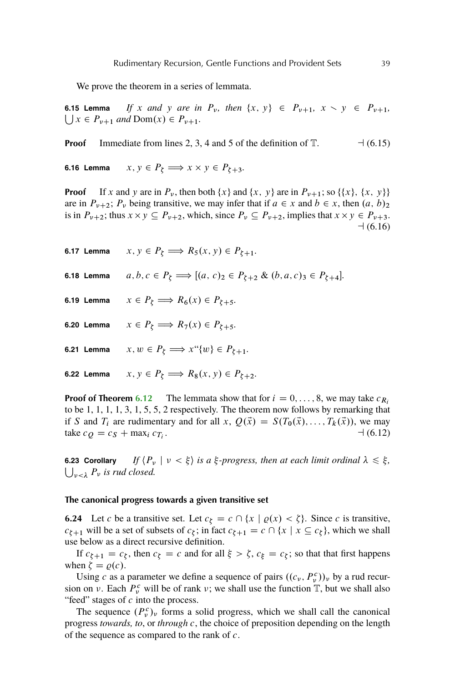<span id="page-36-0"></span>We prove the theorem in a series of lemmata.

**6.15 Lemma**  $\bigcup x \in P_{\nu+1}$  *and*  $\text{Dom}(x) \in P_{\nu+1}$ *. If* x and y are in  $P_v$ , then  $\{x, y\} \in P_{v+1}$ ,  $x \setminus y \in P_{v+1}$ ,

**Proof** Immediate from lines 2, 3, 4 and 5 of the definition of T. a (6.15)

**6.16 Lemma**  $x, y \in P_{\xi} \Longrightarrow x \times y \in P_{\xi+3}$ .

**Proof** If x and y are in  $P_v$ , then both  $\{x\}$  and  $\{x, y\}$  are in  $P_{v+1}$ ; so  $\{\{x\}, \{x, y\}\}\$ are in  $P_{\nu+2}$ ;  $P_{\nu}$  being transitive, we may infer that if  $a \in x$  and  $b \in x$ , then  $(a, b)_2$ is in  $P_{\nu+2}$ ; thus  $x \times y \subseteq P_{\nu+2}$ , which, since  $P_{\nu} \subseteq P_{\nu+2}$ , implies that  $x \times y \in P_{\nu+3}$ .  $-1(6.16)$ 

| 6.17 Lemma | $x, y \in P_{\xi} \Longrightarrow R_5(x, y) \in P_{\xi+1}.$                                  |
|------------|----------------------------------------------------------------------------------------------|
| 6.18 Lemma | $a, b, c \in P_{\xi} \Longrightarrow [(a, c)_2 \in P_{\xi+2} \& (b, a, c)_3 \in P_{\xi+4}].$ |
| 6.19 Lemma | $x \in P_{\xi} \Longrightarrow R_6(x) \in P_{\xi+5}.$                                        |
| 6.20 Lemma | $x \in P_{\xi} \Longrightarrow R_7(x) \in P_{\xi+5}.$                                        |
| 6.21 Lemma | $x, w \in P_{\xi} \Longrightarrow x``\{w\} \in P_{\xi+1}.$                                   |
| 6.22 Lemma | $x, y \in P_{\xi} \Longrightarrow R_8(x, y) \in P_{\xi+2}.$                                  |

**Proof of Theorem [6.12](#page-35-0)** The lemmata show that for  $i = 0, \ldots, 8$ , we may take  $c_{R_i}$ to be 1, 1, 1, 1, 3, 1, 5, 5, 2 respectively. The theorem now follows by remarking that if S and  $T_i$  are rudimentary and for all x,  $Q(\vec{x}) = S(T_0(\vec{x}), \dots, T_k(\vec{x}))$ , we may take  $c_Q = c_S + \max_i c_{T_i}$ .  $-1(6.12)$ 

**6.23 Corollary**  $\bigcup_{\nu \leq \lambda} P_{\nu}$  is rud closed. *If*  $\langle P_\nu | \nu \langle \xi \rangle$  *is a*  $\xi$ -progress, then at each limit ordinal  $\lambda \leq \xi$ ,

#### **The canonical progress towards a given transitive set**

**6.24** Let c be a transitive set. Let  $c_{\xi} = c \cap \{x \mid \varrho(x) < \zeta\}$ . Since c is transitive,  $c_{\zeta+1}$  will be a set of subsets of  $c_{\zeta}$ ; in fact  $c_{\zeta+1} = c \cap \{x \mid x \subseteq c_{\zeta}\}\)$ , which we shall use below as a direct recursive definition.

If  $c_{\xi+1} = c_{\xi}$ , then  $c_{\xi} = c$  and for all  $\xi > \zeta$ ,  $c_{\xi} = c_{\xi}$ ; so that that first happens when  $\zeta = \varrho(c)$ .

Using c as a parameter we define a sequence of pairs  $((c_v, P_v^c))_v$  by a rud recursion on  $\nu$ . Each  $P_{\nu}^{c}$  will be of rank  $\nu$ ; we shall use the function  $\mathbb{T}$ , but we shall also "feed" stages of  $c$  into the process.

The sequence  $(P_v^c)_v$  forms a solid progress, which we shall call the canonical progress *towards, to*, or *through* c, the choice of preposition depending on the length of the sequence as compared to the rank of  $c$ .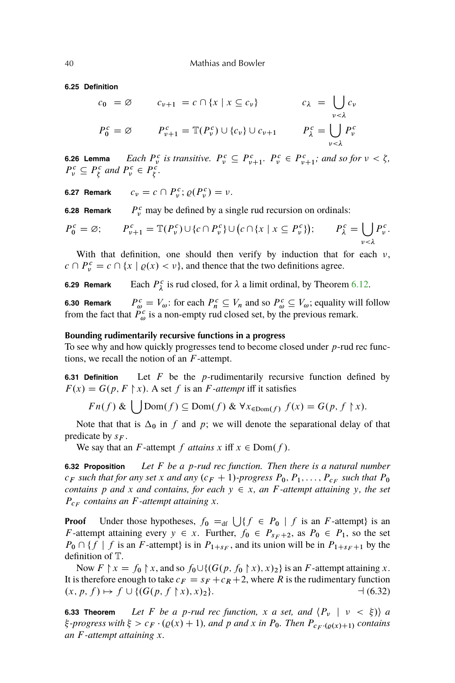<span id="page-37-0"></span>**6.25 Definition**

$$
c_0 = \varnothing \qquad c_{\nu+1} = c \cap \{x \mid x \subseteq c_{\nu}\} \qquad c_{\lambda} = \bigcup_{\nu < \lambda} c_{\nu}
$$
  

$$
P_0^c = \varnothing \qquad P_{\nu+1}^c = \mathbb{T}(P_{\nu}^c) \cup \{c_{\nu}\} \cup c_{\nu+1} \qquad P_{\lambda}^c = \bigcup_{\nu < \lambda} P_{\nu}^c
$$

**6.26 Lemma** *Each* P  $P_v^c$  is transitive.  $P_v^c \subseteq P_{v+1}^c$ .  $P_v^c \in P_{v+1}^c$ ; and so for  $v < \zeta$ ,  $P_v^c \subseteq P_\xi^c$  and  $P_v^c \in P_\xi^c$ .

**6.27 Remark**  $c_v = c \cap P_v^c; \varrho(P_v^c) = v.$ 

**6.28 Remark**  $c<sub>v</sub>$ <sup>c</sup> may be defined by a single rud recursion on ordinals:

$$
P_0^c = \varnothing; \qquad P_{\nu+1}^c = \mathbb{T}(P_{\nu}^c) \cup \{c \cap P_{\nu}^c\} \cup \big(c \cap \{x \mid x \subseteq P_{\nu}^c\}\big); \qquad P_{\lambda}^c = \bigcup_{\nu < \lambda} P_{\nu}^c.
$$

With that definition, one should then verify by induction that for each  $\nu$ ,  $c \cap P_v^c = c \cap \{x \mid \varrho(x) < v\}$ , and thence that the two definitions agree.

**6.29 Remark**  $\lambda^c$  is rud closed, for  $\lambda$  a limit ordinal, by Theorem [6.12.](#page-35-0)

**6.30 Remark**  $P_{\omega}^c = V_{\omega}$ : for each  $P_n^c \subseteq V_n$  and so  $P_{\omega}^c \subseteq V_{\omega}$ ; equality will follow from the fact that  $\tilde{P}_{\omega}^c$  is a non-empty rud closed set, by the previous remark.

#### **Bounding rudimentarily recursive functions in a progress**

To see why and how quickly progresses tend to become closed under  $p$ -rud rec functions, we recall the notion of an F -attempt.

**6.31 Definition** Let F be the p-rudimentarily recursive function defined by  $F(x) = G(p, F \nmid x)$ . A set f is an F-attempt iff it satisfies

 $Fn(f) \& \bigcup Dom(f) \subseteq Dom(f) \& \forall x_{\in Dom(f)} f(x) = G(p, f \upharpoonright x).$ 

Note that that is  $\Delta_0$  in f and p; we will denote the separational delay of that predicate by  $s_F$ .

We say that an *F*-attempt *f* attains x iff  $x \in Dom(f)$ .

**6.32 Proposition** *Let* F *be a* p*-rud rec function. Then there is a natural number*  $c_F$  such that for any set x and any  $(c_F + 1)$ -progress  $P_0, P_1, \ldots, P_{c_F}$  such that  $P_0$ *contains* p and x and contains, for each  $y \in x$ , an F-attempt attaining y, the set  $P_{c_F}$  contains an *F*-attempt attaining x.

**Proof** Under those hypotheses,  $f_0 =_{df} \bigcup \{ f \in P_0 \mid f \text{ is an } F\text{-}{\text{attempt}} \}$  is an F-attempt attaining every  $y \in x$ . Further,  $f_0 \in P_{s_F + 2}$ , as  $P_0 \in P_1$ , so the set  $P_0 \cap \{f \mid f$  is an F-attempt $\}$  is in  $P_{1+s_F}$ , and its union will be in  $P_{1+s_F+1}$  by the definition of T.

Now  $F \upharpoonright x = f_0 \upharpoonright x$ , and so  $f_0 \cup \{ (G(p, f_0 \upharpoonright x), x)_2 \}$  is an F-attempt attaining x. It is therefore enough to take  $c_F = s_F + c_R + 2$ , where R is the rudimentary function  $(x, p, f) \mapsto f \cup \{ (G(p, f \upharpoonright x), x)_2 \}.$   $\qquad \qquad \rightarrow (6.32)$ 

**6.33 Theorem** *Let* F *be a p-rud rec function,* x *a set, and*  $\langle P_v | v \langle \xi \rangle \rangle$  *a*  $\xi$ -progress with  $\xi > c_F \cdot (Q(x) + 1)$ , and p and x in P<sub>0</sub>. Then  $P_{c_F \cdot (Q(x) + 1)}$  contains *an* F *-attempt attaining* x*.*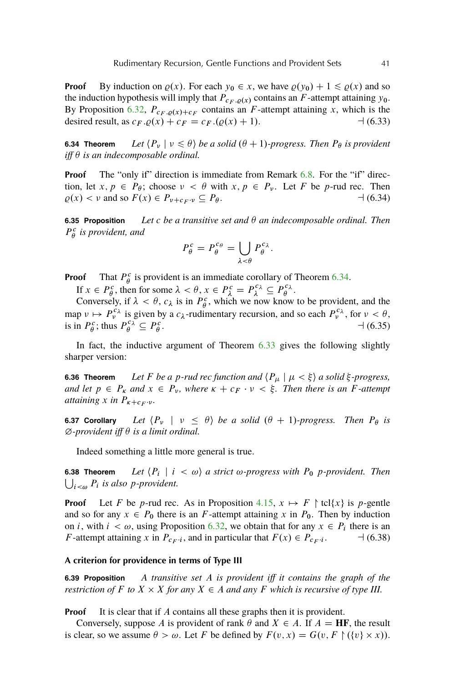<span id="page-38-0"></span>**Proof** By induction on  $\varrho(x)$ . For each  $y_0 \in x$ , we have  $\varrho(y_0) + 1 \leq \varrho(x)$  and so the induction hypothesis will imply that  $P_{CF, O(X)}$  contains an F-attempt attaining y<sub>0</sub>. By Proposition [6.32,](#page-37-0)  $P_{c_F, Q(x) + c_F}$  contains an F-attempt attaining x, which is the desired result, as  $c_F \cdot \rho(x) + c_F = c_F \cdot (\rho(x) + 1)$ .  $\qquad (6.33)$ 

**6.34 Theorem** *Let*  $\langle P_v | v \leq \theta \rangle$  *be a solid*  $(\theta + 1)$ *-progress. Then*  $P_\theta$  *is provident iff*  $\theta$  *is an indecomposable ordinal.* 

**Proof** The "only if" direction is immediate from Remark [6.8.](#page-35-0) For the "if" direction, let  $x, p \in P_\theta$ ; choose  $\nu < \theta$  with  $x, p \in P_\nu$ . Let F be p-rud rec. Then  $\rho(x) < v$  and so  $F(x) \in P_{v+c_F \cdot v} \subseteq P_{\theta}$ .  $\qquad (6.34)$ 

**6.35 Proposition** *Let c be a transitive set and*  $\theta$  *an indecomposable ordinal. Then*  $P^c_{\theta}$  is provident, and

$$
P_{\theta}^{c} = P_{\theta}^{c_{\theta}} = \bigcup_{\lambda < \theta} P_{\theta}^{c_{\lambda}}.
$$

**Proof** That  $P^c_{\theta}$  is provident is an immediate corollary of Theorem [6.34.](#page-37-0)

If  $x \in P^c_\theta$ , then for some  $\lambda < \theta$ ,  $x \in P^c_\lambda = P^c_\lambda \subseteq P^c_\theta$ .

Conversely, if  $\lambda < \theta$ ,  $c_{\lambda}$  is in  $P_{\theta}^c$ , which we now know to be provident, and the map  $\nu \mapsto P_{\nu}^{\tilde{c}_{\lambda}}$  is given by a  $c_{\lambda}$ -rudimentary recursion, and so each  $P_{\nu}^{c_{\lambda}}$ , for  $\nu < \theta$ , is in  $P^c_\theta$ ; thus  $P^{c_\lambda}_\theta \subseteq P^c_\theta$  $-$  (6.35)

In fact, the inductive argument of Theorem [6.33](#page-37-0) gives the following slightly sharper version:

**6.36 Theorem** *Let F be a p-rud rec function and*  $\langle P_\mu | \mu \langle \xi \rangle$  *a solid*  $\xi$ -progress, *and let*  $p \in P_{\kappa}$  *and*  $x \in P_{\nu}$ *, where*  $\kappa + c_F \cdot \nu < \xi$ *. Then there is an F*-*attempt attaining* x *in*  $P_{\kappa+c_F \cdot \nu}$ *.* 

**6.37 Corollary** *Let*  $\langle P_v | v \leq \theta \rangle$  *be a solid*  $(\theta + 1)$ *-progress. Then*  $P_\theta$  *is*  $\emptyset$ -provident iff  $\theta$  is a limit ordinal.

Indeed something a little more general is true.

**6.38 Theorem**  $\bigcup_{i \leq \omega} P_i$  is also *p*-provident. Let  $\langle P_i | i < \omega \rangle$  a strict  $\omega$ -progress with  $P_0$  p-provident. Then

**Proof** Let F be p-rud rec. As in Proposition [4.15,](#page-30-0)  $x \mapsto F \restriction \text{tcl}\{x\}$  is p-gentle and so for any  $x \in P_0$  there is an F-attempt attaining x in  $P_0$ . Then by induction on *i*, with  $i < \omega$ , using Proposition [6.32,](#page-37-0) we obtain that for any  $x \in P_i$  there is an *F*-attempt attaining x in  $P_{c_F i}$ , and in particular that  $F(x) \in P_{c_F i}$  $-1(6.38)$ 

#### **A criterion for providence in terms of Type III**

**6.39 Proposition** *A transitive set* A *is provident iff it contains the graph of the restriction of*  $F$  *to*  $X \times X$  *for any*  $X \in A$  *and any*  $F$  *which is recursive of type III.* 

**Proof** It is clear that if A contains all these graphs then it is provident.

Conversely, suppose A is provident of rank  $\theta$  and  $X \in A$ . If  $A = HF$ , the result is clear, so we assume  $\theta > \omega$ . Let F be defined by  $F(v, x) = G(v, F \upharpoonright (\{v\} \times x)).$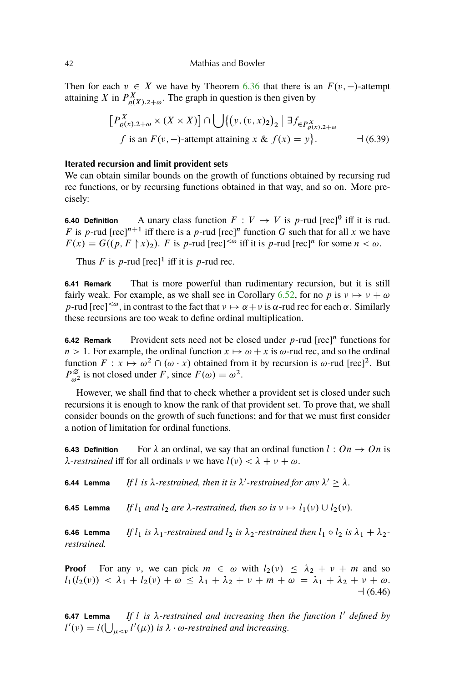<span id="page-39-0"></span>Then for each  $v \in X$  we have by Theorem [6.36](#page-37-0) that there is an  $F(v, -)$ -attempt attaining X in  $P_{\varrho(X),2+\omega}^X$ . The graph in question is then given by

$$
\left[P_{\varrho(x),2+\omega}^X \times (X \times X)\right] \cap \bigcup \left\{\left(y,(v,x)_2\right)_2 \mid \exists f_{\in P_{\varrho(x),2+\omega}^X} \atop f \text{ is an } F(v,-\text{--}attention) \text{ at the same } x \& f(x) = y\right\}.
$$
 (6.39)

## **Iterated recursion and limit provident sets**

We can obtain similar bounds on the growth of functions obtained by recursing rud rec functions, or by recursing functions obtained in that way, and so on. More precisely:

**6.40 Definition** A unary class function  $F: V \to V$  is p-rud [rec]<sup>0</sup> iff it is rud. F is p-rud [rec]<sup>n+1</sup> iff there is a p-rud [rec]<sup>n</sup> function G such that for all x we have  $F(x) = G((p, F \nmid x)_2)$ . F is p-rud [rec]<sup>< $\omega$ </sup> iff it is p-rud [rec]<sup>n</sup> for some  $n < \omega$ .

Thus F is p-rud  $[rec]^1$  iff it is p-rud rec.

**6.41 Remark** That is more powerful than rudimentary recursion, but it is still fairly weak. For example, as we shall see in Corollary 6.52, for no p is  $v \mapsto v + \omega$ p-rud  $[rec]^{<\omega}$ , in contrast to the fact that  $\nu \mapsto \alpha + \nu$  is  $\alpha$ -rud rec for each  $\alpha$ . Similarly these recursions are too weak to define ordinal multiplication.

**6.42 Remark** Provident sets need not be closed under  $p$ -rud  $[rec]^n$  functions for  $n > 1$ . For example, the ordinal function  $x \mapsto \omega + x$  is  $\omega$ -rud rec, and so the ordinal function  $F: x \mapsto \omega^2 \cap (\omega \cdot x)$  obtained from it by recursion is  $\omega$ -rud [rec]<sup>2</sup>. But  $P_{\omega^2}^{\emptyset}$  is not closed under F, since  $F(\omega) = \omega^2$ .

However, we shall find that to check whether a provident set is closed under such recursions it is enough to know the rank of that provident set. To prove that, we shall consider bounds on the growth of such functions; and for that we must first consider a notion of limitation for ordinal functions.

**6.43 Definition** For  $\lambda$  an ordinal, we say that an ordinal function  $l : On \rightarrow On$  is  $\lambda$ -*restrained* iff for all ordinals  $\nu$  we have  $l(\nu) < \lambda + \nu + \omega$ .

**6.44 Lemma** If l is  $\lambda$ -restrained, then it is  $\lambda'$ -restrained for any  $\lambda' \geq \lambda$ .

**6.45 Lemma** *If*  $l_1$  *and*  $l_2$  *are*  $\lambda$ -restrained, then so is  $v \mapsto l_1(v) \cup l_2(v)$ .

**6.46 Lemma** If  $l_1$  is  $\lambda_1$ -restrained and  $l_2$  is  $\lambda_2$ -restrained then  $l_1 \circ l_2$  is  $\lambda_1 + \lambda_2$ *restrained.*

**Proof** For any v, we can pick  $m \in \omega$  with  $l_2(v) \leq \lambda_2 + v + m$  and so  $l_1(l_2(v)) < \lambda_1 + l_2(v) + \omega \leq \lambda_1 + \lambda_2 + v + m + \omega = \lambda_1 + \lambda_2 + v + \omega.$  $-1(6.46)$ 

**6.47 Lemma** *If* l *is -restrained and increasing then the function* l <sup>0</sup> *defined by*  $l'(v) = l(\bigcup_{\mu < v} l'(\mu))$  is  $\lambda \cdot \omega$ -restrained and increasing.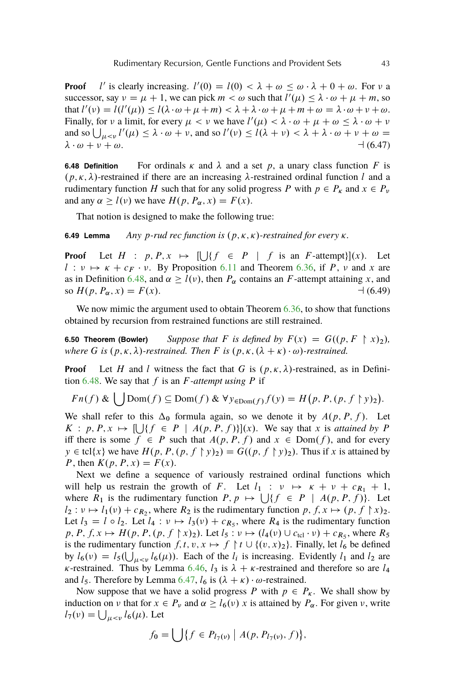**Proof** l ' is clearly increasing.  $l'(0) = l(0) < \lambda + \omega \leq \omega \cdot \lambda + 0 + \omega$ . For  $\nu$  a successor, say  $v = \mu + 1$ , we can pick  $m < \omega$  such that  $l'(\mu) \leq \lambda \cdot \omega + \mu + m$ , so that  $l'(v) = l(l'(\mu)) \leq l(\lambda \cdot \omega + \mu + m) < \lambda + \lambda \cdot \omega + \mu + m + \omega = \lambda \cdot \omega + \nu + \omega$ . Finally, for v a limit, for every  $\mu < \nu$  we have  $l'(\mu) < \lambda \cdot \omega + \mu + \omega \leq \lambda \cdot \omega + \nu$ and so  $\bigcup_{\mu < \nu} l'(\mu) \leq \lambda \cdot \omega + \nu$ , and so  $l'(\nu) \leq l(\lambda + \nu) < \lambda + \lambda \cdot \omega + \nu + \omega =$  $\lambda \cdot \omega + \nu + \omega.$  (6.47)

**6.48 Definition** For ordinals  $\kappa$  and  $\lambda$  and a set p, a unary class function F is  $(p, \kappa, \lambda)$ -restrained if there are an increasing  $\lambda$ -restrained ordinal function l and a rudimentary function H such that for any solid progress P with  $p \in P_{\kappa}$  and  $x \in P_{\nu}$ and any  $\alpha \ge l(\nu)$  we have  $H(p, P_{\alpha}, x) = F(x)$ .

That notion is designed to make the following true:

 $\mathbf{r}$ 

**6.49 Lemma** *Any p*-rud rec function is  $(p, \kappa, \kappa)$ -restrained for every  $\kappa$ .

**Proof** Let  $H : p, P, x \mapsto \left[ \bigcup \{ f \in P \mid f \text{ is an } F\text{-} \text{ attempt} \} \right] (x).$  Let  $l : \nu \mapsto \kappa + c_F \cdot \nu$ . By Proposition [6.11](#page-35-0) and Theorem [6.36,](#page-37-0) if P,  $\nu$  and x are as in Definition [6.48,](#page-39-0) and  $\alpha \ge l(\nu)$ , then  $P_\alpha$  contains an F-attempt attaining x, and so  $H(p, P_{\alpha}, x) = F(x)$ .  $\qquad (6.49)$ 

We now mimic the argument used to obtain Theorem [6.36,](#page-37-0) to show that functions obtained by recursion from restrained functions are still restrained.

**6.50 Theorem (Bowler)** *Suppose that* F *is defined by*  $F(x) = G((p, F \rvert x)_2)$ , *where* G *is*  $(p, \kappa, \lambda)$ -restrained. Then F is  $(p, \kappa, (\lambda + \kappa) \cdot \omega)$ -restrained.

**Proof** Let H and l witness the fact that G is  $(p, \kappa, \lambda)$ -restrained, as in Definition  $6.48$ . We say that f is an F-attempt using P if

$$
Fn(f) & \bigcup Dom(f) \subseteq Dom(f) & \forall y_{\in Dom(f)} f(y) = H\big(p, P, (p, f \upharpoonright y)_2\big).
$$

We shall refer to this  $\Delta_0$  formula again, so we denote it by  $A(p, P, f)$ . Let  $K: p, P, x \mapsto [\bigcup \{f \in P \mid A(p, P, f)\}] (x)$ . We say that x is *attained by* P iff there is some  $f \in P$  such that  $A(p, P, f)$  and  $x \in Dom(f)$ , and for every  $y \in \text{tcl}\{x\}$  we have  $H(p, P, (p, f \upharpoonright y)_2) = G((p, f \upharpoonright y)_2)$ . Thus if x is attained by P, then  $K(p, P, x) = F(x)$ .

Next we define a sequence of variously restrained ordinal functions which will help us restrain the growth of F. Let  $l_1 : \nu \mapsto \kappa + \nu + c_{R_1} + 1$ , where  $R_1$  is the rudimentary function  $P, p \mapsto \bigcup \{f \in P \mid A(p, P, f)\}.$  Let  $l_2: \nu \mapsto l_1(\nu) + c_{R_2}$ , where  $R_2$  is the rudimentary function  $p, f, x \mapsto (p, f \upharpoonright x)_2$ . Let  $l_3 = l \circ l_2$ . Let  $l_4 : v \mapsto l_3(v) + c_{R_5}$ , where  $R_4$  is the rudimentary function  $p, P, f, x \mapsto H(p, P, (p, f \upharpoonright x)_2)$ . Let  $l_5 : v \mapsto (l_4(v) \cup c_{\text{tel}} \cdot v) + c_{R_5}$ , where  $R_5$ is the rudimentary function  $f, t, v, x \mapsto f \upharpoonright t \cup \{(v, x)_2\}$ . Finally, let  $l_6$  be defined by  $l_6(v) = l_5(\bigcup_{\mu < v} l_6(\mu))$ . Each of the  $l_i$  is increasing. Evidently  $l_1$  and  $l_2$  are  $\kappa$ -restrained. Thus by Lemma [6.46,](#page-39-0)  $l_3$  is  $\lambda + \kappa$ -restrained and therefore so are  $l_4$ and  $l_5$ . Therefore by Lemma [6.47,](#page-39-0)  $l_6$  is  $(\lambda + \kappa) \cdot \omega$ -restrained.

Now suppose that we have a solid progress P with  $p \in P_{\kappa}$ . We shall show by induction on  $\nu$  that for  $x \in P_{\nu}$  and  $\alpha \ge l_6(\nu)$  x is attained by  $P_{\alpha}$ . For given  $\nu$ , write  $l_7(v) = \bigcup_{\mu < v} l_6(\mu)$ . Let

$$
f_0 = \bigcup \{ f \in P_{l_7(\nu)} \mid A(p, P_{l_7(\nu)}, f) \},\
$$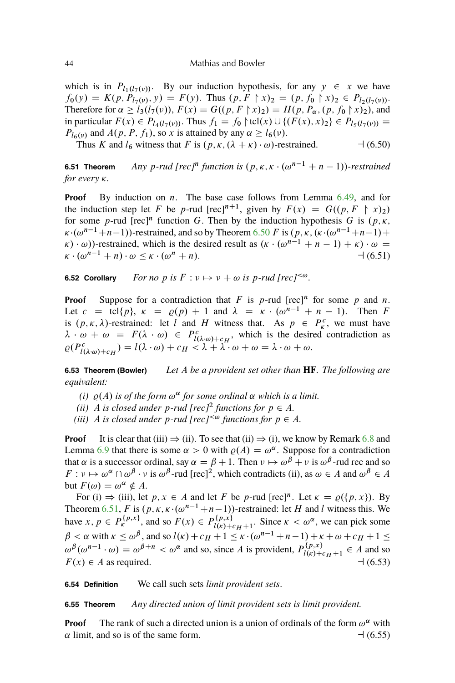which is in  $P_{l_1(l_7(v))}$ . By our induction hypothesis, for any  $y \in x$  we have  $f_0(y) = K(p, P_{l_7(y)}, y) = F(y)$ . Thus  $(p, F \upharpoonright x)_2 = (p, f_0 \upharpoonright x)_2 \in P_{l_2(l_7(y))}$ . Therefore for  $\alpha \ge l_3(l_7(v)), F(x) = G((p, F \upharpoonright x)_2) = H(p, P_\alpha, (p, f_0 \upharpoonright x)_2)$ , and in particular  $F(x) \in P_{l_4(l_7(v))}$ . Thus  $f_1 = f_0 \upharpoonright \text{tcl}(x) \cup \{(F(x), x)_2\} \in P_{l_5(l_7(v))} =$  $P_{l6}(v)$  and  $A(p, P, f_1)$ , so x is attained by any  $\alpha \ge l_6(v)$ .

Thus K and  $l_6$  witness that F is  $(p, \kappa, (\lambda + \kappa) \cdot \omega)$ -restrained.  $\rightarrow (6.50)$ 

**6.51 Theorem** Any p-rud [rec]<sup>n</sup> function is  $(p, \kappa, \kappa \cdot (\omega^{n-1} + n - 1))$ -restrained *for every*  $\kappa$ *.* 

**Proof** By induction on *n*. The base case follows from Lemma [6.49,](#page-39-0) and for the induction step let F be p-rud [rec]<sup>n+1</sup>, given by  $F(x) = G((p, F \upharpoonright x)_2)$ for some p-rud [rec]<sup>n</sup> function G. Then by the induction hypothesis G is  $(p, \kappa, \kappa)$  $\kappa \cdot (\omega^{n-1}+n-1)$ )-restrained, and so by Theorem [6.50](#page-39-0) F is  $(p, \kappa, (\kappa \cdot (\omega^{n-1}+n-1)+$  $(\kappa \cdot (\omega^{n-1} + n - 1) + \kappa) \cdot \omega =$  $\kappa \cdot (\omega^{n-1} + n) \cdot \omega \leq \kappa \cdot (\omega^n + n).$   $\qquad (6.51)$ 

**6.52 Corollary** *For no* p is  $F: v \mapsto v + \omega$  is p-rud [rec]<sup> $<\omega$ </sup>.

**Proof** Suppose for a contradiction that  $F$  is  $p$ -rud  $[rec]^n$  for some  $p$  and  $n$ . Let  $c = \text{tcl}\{p\}$ ,  $\kappa = \rho(p) + 1$  and  $\lambda = \kappa \cdot (\omega^{n-1} + n - 1)$ . Then F is  $(p, \kappa, \lambda)$ -restrained: let l and H witness that. As  $p \in P_{\kappa}^c$ , we must have  $\lambda \cdot \omega + \omega = F(\lambda \cdot \omega) \in P_{l(\lambda \cdot \omega) + c_H}^c$ , which is the desired contradiction as  $\rho(P^c_{l(\lambda \cdot \omega)+c_H}) = l(\lambda \cdot \omega) + c_H < \lambda + \lambda \cdot \omega + \omega = \lambda \cdot \omega + \omega.$ 

**6.53 Theorem (Bowler)** *Let* A *be a provident set other than* **HF***. The following are equivalent:*

- (*i*)  $\rho(A)$  *is of the form*  $\omega^{\alpha}$  *for some ordinal*  $\alpha$  *which is a limit.*
- *(ii)* A *is closed under p*-rud [rec]<sup>2</sup> functions for  $p \in A$ *.*
- *(iii)* A *is closed under*  $p$ -rud  $[rec]^{<\omega}$  functions for  $p \in A$ .

**Proof** It is clear that (iii)  $\Rightarrow$  (ii). To see that (ii)  $\Rightarrow$  (i), we know by Remark [6.8](#page-35-0) and Lemma [6.9](#page-35-0) that there is some  $\alpha > 0$  with  $\rho(A) = \omega^{\alpha}$ . Suppose for a contradiction that  $\alpha$  is a successor ordinal, say  $\alpha = \beta + 1$ . Then  $\nu \mapsto \omega^{\beta} + \nu$  is  $\omega^{\beta}$ -rud rec and so  $F: \nu \mapsto \omega^{\alpha} \cap \omega^{\beta} \cdot \nu$  is  $\omega^{\beta}$ -rud [rec]<sup>2</sup>, which contradicts (ii), as  $\omega \in A$  and  $\omega^{\beta} \in A$ but  $F(\omega) = \omega^{\alpha} \notin A$ .

For (i)  $\Rightarrow$  (iii), let p, x ee A and let F be p-rud [rec]<sup>n</sup>. Let  $\kappa = \varrho(\lbrace p, x \rbrace)$ . By Theorem [6.51,](#page-39-0) F is  $(p, \kappa, \kappa \cdot (\omega^{n-1}+n-1))$ -restrained: let H and l witness this. We have  $x, p \in P_{k}^{\{p,x\}}$ , and so  $F(x) \in P_{l(x)+k}^{\{p,x\}}$  $\lim_{l(\kappa)+c_H+1}$ . Since  $\kappa < \omega^{\alpha}$ , we can pick some  $\beta < \alpha$  with  $\kappa \le \omega^{\beta}$ , and so  $l(\kappa) + c_H + 1 \le \kappa \cdot (\omega^{n-1} + n-1) + \kappa + \omega + c_H + 1 \le$  $\omega^{\beta}(\omega^{n-1} \cdot \omega) = \omega^{\beta+n} < \omega^{\alpha}$  and so, since A is provident,  $P_{l(\omega)+l}^{\{p,x\}}$  $l(\kappa) + c_H + 1 \in A$  and so  $F(x) \in A$  as required.  $\qquad (6.53)$ 

**6.54 Definition** We call such sets *limit provident sets*.

**6.55 Theorem** *Any directed union of limit provident sets is limit provident.*

**Proof** The rank of such a directed union is a union of ordinals of the form  $\omega^{\alpha}$  with  $\alpha$  limit, and so is of the same form.  $\Box$  (6.55)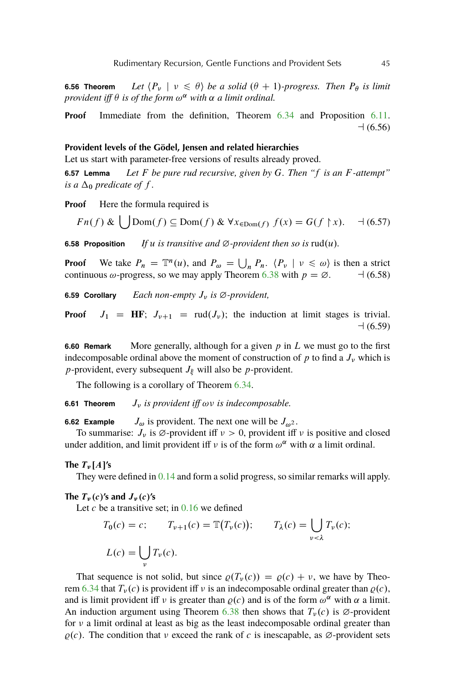**6.56 Theorem** *Let*  $\langle P_\nu | \nu \leq \theta \rangle$  *be a solid*  $(\theta + 1)$ *-progress. Then*  $P_\theta$  *is limit provident iff*  $\theta$  *is of the form*  $\omega^{\alpha}$  *with*  $\alpha$  *a limit ordinal.* 

**Proof** Immediate from the definition, Theorem [6.34](#page-37-0) and Proposition [6.11.](#page-35-0)  $-1(6.56)$ 

## **Provident levels of the Gödel, Jensen and related hierarchies**

Let us start with parameter-free versions of results already proved.

**6.57 Lemma** *Let* F *be pure rud recursive, given by* G*. Then "*f *is an* F *-attempt" is a*  $\Delta_0$  *predicate of f.* 

**Proof** Here the formula required is

$$
Fn(f) & \bigcup Dom(f) \subseteq Dom(f) & \forall x_{\in Dom(f)} f(x) = G(f \upharpoonright x). \quad \exists (6.57)
$$

**6.58 Proposition** *If* u *is transitive and*  $\emptyset$ *-provident then so is* rud(u).

**Proof** We take  $P_n = \mathbb{T}^n(u)$ , and  $P_\omega = \bigcup_n P_n$ .  $\langle P_\nu | \nu \leq \omega \rangle$  is then a strict continuous  $\omega$ -progress, so we may apply Theorem [6.38](#page-37-0) with  $p = \emptyset$ .  $\rightarrow$  (6.58)

**6.59 Corollary** *Each non-empty*  $J_v$  *is*  $\emptyset$ -provident,

**Proof**  $J_1 = HF$ ;  $J_{\nu+1} = \text{rud}(J_{\nu})$ ; the induction at limit stages is trivial.  $-1(6.59)$ 

**6.60 Remark** More generally, although for a given p in L we must go to the first indecomposable ordinal above the moment of construction of  $p$  to find a  $J_{\nu}$  which is *p*-provident, every subsequent  $J_{\xi}$  will also be *p*-provident.

The following is a corollary of Theorem [6.34.](#page-37-0)

**6.61 Theorem**  $J_v$  *is provident iff*  $\omega v$  *is indecomposable.* 

**6.62 Example**  $J_{\omega}$  is provident. The next one will be  $J_{\omega^2}$ .

To summarise:  $J_{\nu}$  is  $\varnothing$ -provident iff  $\nu > 0$ , provident iff  $\nu$  is positive and closed under addition, and limit provident iff  $\nu$  is of the form  $\omega^{\alpha}$  with  $\alpha$  a limit ordinal.

**The**  $T_{\nu}$   $[A]$ 's

They were defined in [0.14](#page-3-0) and form a solid progress, so similar remarks will apply.

The  $T_\nu(c)$ 's and  $J_\nu(c)$ 's

Let c be a transitive set; in  $0.16$  we defined

$$
T_0(c) = c; \qquad T_{\nu+1}(c) = \mathbb{T}(T_{\nu}(c)); \qquad T_{\lambda}(c) = \bigcup_{\nu < \lambda} T_{\nu}(c);
$$
\n
$$
L(c) = \bigcup_{\nu} T_{\nu}(c).
$$

That sequence is not solid, but since  $\varrho(T_{\nu}(c)) = \varrho(c) + \nu$ , we have by Theo-rem [6.34](#page-37-0) that  $T_v(c)$  is provident iff v is an indecomposable ordinal greater than  $\rho(c)$ , and is limit provident iff v is greater than  $\varrho(c)$  and is of the form  $\omega^{\alpha}$  with  $\alpha$  a limit. An induction argument using Theorem [6.38](#page-37-0) then shows that  $T_v(c)$  is  $\varnothing$ -provident for  $\nu$  a limit ordinal at least as big as the least indecomposable ordinal greater than  $\rho(c)$ . The condition that v exceed the rank of c is inescapable, as  $\varnothing$ -provident sets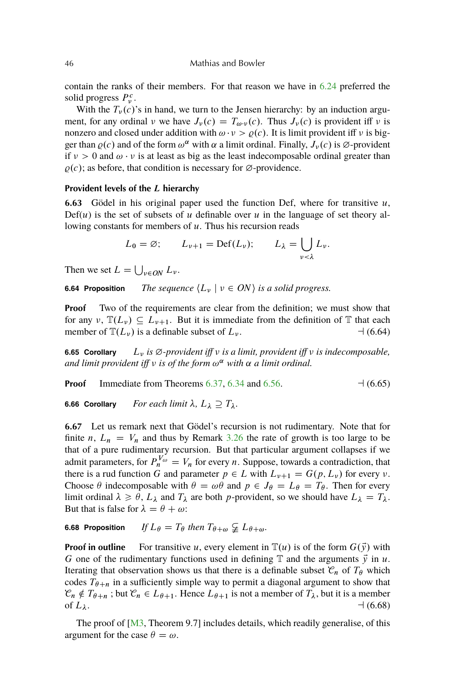#### <span id="page-43-0"></span>46 Mathias and Bowler

contain the ranks of their members. For that reason we have in [6.24](#page-36-0) preferred the solid progress  $P_v^c$ .

With the  $T_v(c)$ 's in hand, we turn to the Jensen hierarchy: by an induction argument, for any ordinal  $\nu$  we have  $J_{\nu}(c) = T_{\omega \nu}(c)$ . Thus  $J_{\nu}(c)$  is provident iff  $\nu$  is nonzero and closed under addition with  $\omega \cdot v > \varrho(c)$ . It is limit provident iff v is bigger than  $\varrho(c)$  and of the form  $\omega^{\alpha}$  with  $\alpha$  a limit ordinal. Finally,  $J_{\nu}(c)$  is  $\varnothing$ -provident if  $v > 0$  and  $\omega \cdot v$  is at least as big as the least indecomposable ordinal greater than  $\rho(c)$ ; as before, that condition is necessary for  $\varnothing$ -providence.

#### **Provident levels of the** L **hierarchy**

**6.63** Gödel in his original paper used the function Def, where for transitive  $u$ ,  $Def(u)$  is the set of subsets of u definable over u in the language of set theory allowing constants for members of  $u$ . Thus his recursion reads

$$
L_0 = \varnothing;
$$
  $L_{\nu+1} = Def(L_{\nu});$   $L_{\lambda} = \bigcup_{\nu < \lambda} L_{\nu}.$ 

Then we set  $L = \bigcup_{v \in ON} L_v$ .

**6.64 Proposition** *The sequence*  $\langle L_{\nu} | \nu \in ON \rangle$  *is a solid progress.* 

**Proof** Two of the requirements are clear from the definition; we must show that for any  $\nu$ ,  $\mathbb{T}(L_{\nu}) \subseteq L_{\nu+1}$ . But it is immediate from the definition of T that each member of  $\mathbb{T}(L_v)$  is a definable subset of  $L_v$ .  $\qquad \qquad \rightarrow (6.64)$ 

**6.65 Corollary**  $L_v$  *is*  $\emptyset$ -provident iff  $v$  *is a limit, provident iff v is indecomposable,* and limit provident iff  $\nu$  is of the form  $\omega^{\alpha}$  with  $\alpha$  a limit ordinal.

**Proof** Immediate from Theorems [6.37,](#page-37-0) [6.34](#page-37-0) and [6.56.](#page-39-0)  $\Box$  (6.65)

**6.66 Corollary** *For each limit*  $\lambda$ ,  $L_{\lambda} \supseteq T_{\lambda}$ .

**6.67** Let us remark next that Gödel's recursion is not rudimentary. Note that for finite n,  $L_n = V_n$  and thus by Remark [3.26](#page-25-0) the rate of growth is too large to be that of a pure rudimentary recursion. But that particular argument collapses if we admit parameters, for  $P_n^{V_\omega} = V_n$  for every *n*. Suppose, towards a contradiction, that there is a rud function G and parameter  $p \in L$  with  $L_{\nu+1} = G(p, L_{\nu})$  for every  $\nu$ . Choose  $\theta$  indecomposable with  $\theta = \omega \theta$  and  $p \in J_{\theta} = L_{\theta} = T_{\theta}$ . Then for every limit ordinal  $\lambda \ge \theta$ ,  $L_{\lambda}$  and  $T_{\lambda}$  are both p-provident, so we should have  $L_{\lambda} = T_{\lambda}$ . But that is false for  $\lambda = \theta + \omega$ :

# **6.68 Proposition** *If*  $L_{\theta} = T_{\theta}$  then  $T_{\theta+\omega} \nsubseteq L_{\theta+\omega}$ .

**Proof in outline** For transitive u, every element in  $\mathbb{T}(u)$  is of the form  $G(\vec{v})$  with G one of the rudimentary functions used in defining  $\mathbb T$  and the arguments  $\vec{y}$  in u. Iterating that observation shows us that there is a definable subset  $\mathcal{C}_n$  of  $T_\theta$  which codes  $T_{\theta+n}$  in a sufficiently simple way to permit a diagonal argument to show that  $\mathcal{C}_n \notin T_{\theta+n}$ ; but  $\mathcal{C}_n \in L_{\theta+1}$ . Hence  $L_{\theta+1}$  is not a member of  $T_\lambda$ , but it is a member of  $L_{\lambda}$ .  $\rightarrow$  (6.68)

The proof of [\[M3,](#page-56-0) Theorem 9.7] includes details, which readily generalise, of this argument for the case  $\theta = \omega$ .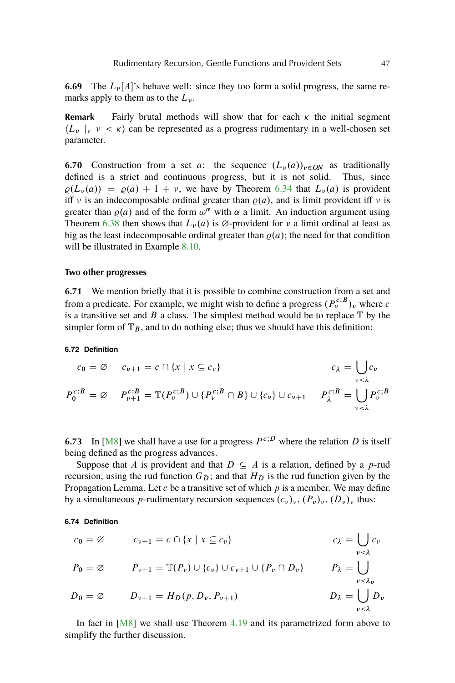<span id="page-44-0"></span>**6.69** The  $L_\nu[A]$ 's behave well: since they too form a solid progress, the same remarks apply to them as to the  $L_{\nu}$ .

**Remark** Fairly brutal methods will show that for each  $\kappa$  the initial segment  $\langle L_{\nu} |_{\nu} \nu \langle \kappa \rangle$  can be represented as a progress rudimentary in a well-chosen set parameter.

**6.70** Construction from a set a: the sequence  $(L_v(a))_{v \in QN}$  as traditionally defined is a strict and continuous progress, but it is not solid. Thus, since  $\varrho(L_\nu(a)) = \varrho(a) + 1 + \nu$ , we have by Theorem [6.34](#page-37-0) that  $L_\nu(a)$  is provident iff v is an indecomposable ordinal greater than  $\rho(a)$ , and is limit provident iff v is greater than  $\varrho(a)$  and of the form  $\omega^{\alpha}$  with  $\alpha$  a limit. An induction argument using Theorem [6.38](#page-37-0) then shows that  $L_{\nu}(a)$  is  $\varnothing$ -provident for  $\nu$  a limit ordinal at least as big as the least indecomposable ordinal greater than  $\rho(a)$ ; the need for that condition will be illustrated in Example [8.10.](#page-51-0)

#### **Two other progresses**

**6.71** We mention briefly that it is possible to combine construction from a set and from a predicate. For example, we might wish to define a progress  $(P_v^{c;B})_v$  where c is a transitive set and  $B$  a class. The simplest method would be to replace  $\mathbb T$  by the simpler form of  $\mathbb{T}_B$ , and to do nothing else; thus we should have this definition:

#### **6.72 Definition**

$$
c_0 = \varnothing \qquad c_{\nu+1} = c \cap \{x \mid x \subseteq c_{\nu}\}
$$
  
\n
$$
P_0^{c;B} = \varnothing \qquad P_{\nu+1}^{c;B} = \mathbb{T}(P_{\nu}^{c;B}) \cup \{P_{\nu}^{c;B} \cap B\} \cup \{c_{\nu}\} \cup c_{\nu+1} \qquad P_{\lambda}^{c;B} = \bigcup_{\nu < \lambda} P_{\nu}^{c;B}
$$

**6.73** In [\[M8\]](#page-56-0) we shall have a use for a progress  $P^{c,D}$  where the relation D is itself being defined as the progress advances.

Suppose that A is provident and that  $D \subseteq A$  is a relation, defined by a p-rud recursion, using the rud function  $G_D$ ; and that  $H_D$  is the rud function given by the Propagation Lemma. Let c be a transitive set of which  $p$  is a member. We may define by a simultaneous p-rudimentary recursion sequences  $(c_v)_v$ ,  $(P_v)_v$ ,  $(D_v)_v$  thus:

## **6.74 Definition**

$$
c_0 = \varnothing \qquad c_{\nu+1} = c \cap \{x \mid x \subseteq c_{\nu}\} \qquad c_{\lambda} = \bigcup_{\nu < \lambda} c_{\nu}
$$
  
\n
$$
P_0 = \varnothing \qquad P_{\nu+1} = \mathbb{T}(P_{\nu}) \cup \{c_{\nu}\} \cup c_{\nu+1} \cup \{P_{\nu} \cap D_{\nu}\} \qquad P_{\lambda} = \bigcup_{\nu < \lambda_{\nu}} p_0
$$
  
\n
$$
D_0 = \varnothing \qquad D_{\nu+1} = H_D(p, D_{\nu}, P_{\nu+1}) \qquad D_{\lambda} = \bigcup_{\nu < \lambda} D_{\nu}
$$

In fact in [\[M8\]](#page-56-0) we shall use Theorem [4.19](#page-30-0) and its parametrized form above to simplify the further discussion.

 $\mathbf{r}$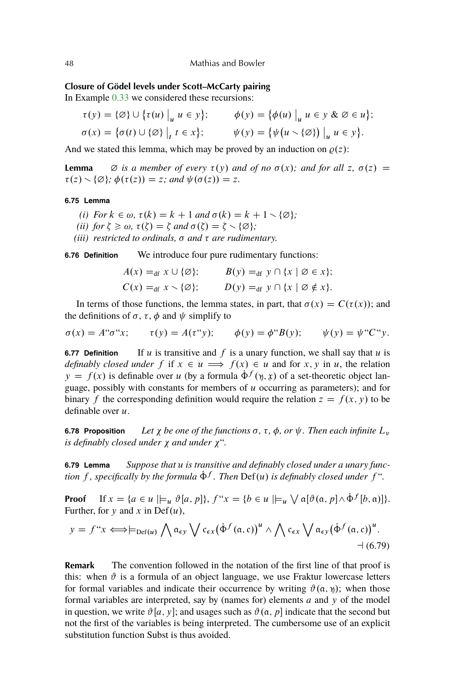## **Closure of Gödel levels under Scott–McCarty pairing**

In Example [0.33](#page-6-0) we considered these recursions:

$$
\tau(y) = \{\emptyset\} \cup \{\tau(u) \big|_u u \in y\}; \qquad \phi(y) = \{\phi(u) \big|_u u \in y \& \emptyset \in u\};
$$
  

$$
\sigma(x) = \{\sigma(t) \cup \{\emptyset\} \big|_t t \in x\}; \qquad \psi(y) = \{\psi(u \setminus \{\emptyset\}) \big|_u u \in y\}.
$$

And we stated this lemma, which may be proved by an induction on  $\rho(z)$ :

**Lemma**  $\varnothing$  *is a member of every*  $\tau(y)$  *and of no*  $\sigma(x)$ *; and for all* z,  $\sigma(z)$  =  $\tau(z) \setminus {\emptyset}; \phi(\tau(z)) = z$ ; and  $\psi(\sigma(z)) = z$ .

## **6.75 Lemma**

- *(i) For*  $k \in \omega$ ,  $\tau(k) = k + 1$  *and*  $\sigma(k) = k + 1 \setminus \{\emptyset\};$
- *(ii) for*  $\zeta \geq \omega$ ,  $\tau(\zeta) = \zeta$  *and*  $\sigma(\zeta) = \zeta \setminus {\varnothing}$ ;
- *(iii) restricted to ordinals,*  $\sigma$  *and*  $\tau$  *are rudimentary.*

**6.76 Definition** We introduce four pure rudimentary functions:

$$
A(x) =_{df} x \cup \{\emptyset\}; \qquad B(y) =_{df} y \cap \{x \mid \emptyset \in x\};
$$
  

$$
C(x) =_{df} x \setminus \{\emptyset\}; \qquad D(y) =_{df} y \cap \{x \mid \emptyset \notin x\}.
$$

In terms of those functions, the lemma states, in part, that  $\sigma(x) = C(\tau(x))$ ; and the definitions of  $\sigma$ ,  $\tau$ ,  $\phi$  and  $\psi$  simplify to

$$
\sigma(x) = A^{\prime\prime} \sigma^{\prime\prime} x; \qquad \tau(y) = A(\tau^{\prime\prime} y); \qquad \phi(y) = \phi^{\prime\prime} B(y); \qquad \psi(y) = \psi^{\prime\prime} C^{\prime\prime} y.
$$

**6.77 Definition** If u is transitive and f is a unary function, we shall say that u is *definably closed under* f if  $x \in u \implies f(x) \in u$  and for x, y in u, the relation  $y = f(x)$  is definable over u (by a formula  $\dot{\Phi}^f(y, x)$  of a set-theoretic object language, possibly with constants for members of  $u$  occurring as parameters); and for binary f the corresponding definition would require the relation  $z = f(x, y)$  to be definable over  $u$ .

**6.78 Proposition** *Let*  $\chi$  *be one of the functions*  $\sigma$ ,  $\tau$ ,  $\phi$ ,  $\sigma$ r  $\psi$ . Then each infinite  $L_{\nu}$ *is definably closed under*  $\chi$  *and under*  $\chi$ <sup>*".*</sup>

**6.79 Lemma** *Suppose that* u *is transitive and definably closed under a unary func* $t$  *tion* f, specifically by the formula  $\dot{\Phi}^f$ . Then Def(u) is definably closed under f<sup>\*</sup>.

**Proof** If  $x = \{a \in u \mid \models_u \vartheta[a, p]\}, f``x = \{b \in u \mid \models_u \bigvee \alpha[\vartheta(a, p] \wedge \dot{\Phi}^f[b, a)]\}.$ Further, for y and x in Def $(u)$ ,

$$
y = f^{\prime\prime}x \Longleftrightarrow \models_{\mathrm{Def}(u)} \bigwedge \alpha_{\epsilon y} \bigvee c_{\epsilon x} (\dot{\Phi}^f(\alpha, c))^u \wedge \bigwedge c_{\epsilon x} \bigvee \alpha_{\epsilon y} (\dot{\Phi}^f(\alpha, c))^u. \\ \qquad \qquad \rightarrow (6.79)
$$

**Remark** The convention followed in the notation of the first line of that proof is this: when  $\vartheta$  is a formula of an object language, we use Fraktur lowercase letters for formal variables and indicate their occurrence by writing  $\vartheta(\alpha, \eta)$ ; when those formal variables are interpreted, say by (names for) elements  $a$  and  $y$  of the model in question, we write  $\vartheta[a, y]$ ; and usages such as  $\vartheta(a, p]$  indicate that the second but not the first of the variables is being interpreted. The cumbersome use of an explicit substitution function Subst is thus avoided.

<span id="page-45-0"></span>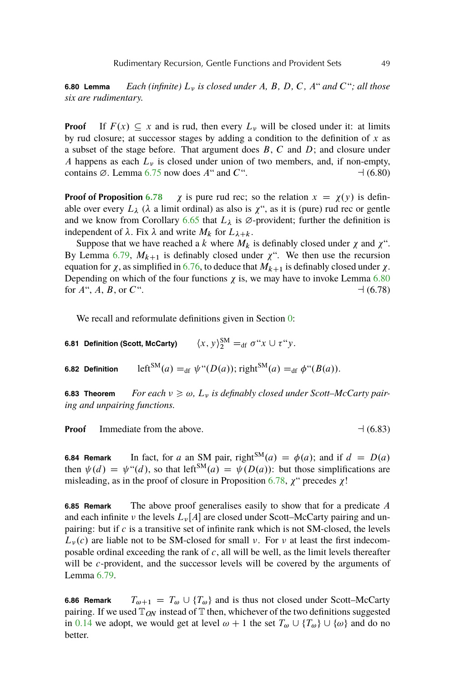**6.80 Lemma** *Each (infinite)* L *is closed under* A*,* B*,* D*,* C*,* A" *and* C"*; all those six are rudimentary.*

**Proof** If  $F(x) \subseteq x$  and is rud, then every  $L_v$  will be closed under it: at limits by rud closure; at successor stages by adding a condition to the definition of  $x$  as a subset of the stage before. That argument does  $B, C$  and  $D$ ; and closure under A happens as each  $L<sub>v</sub>$  is closed under union of two members, and, if non-empty, contains  $\varnothing$ . Lemma [6.75](#page-45-0) now does A" and C".  $\Box$  (6.80)

**Proof of Proposition [6.78](#page-45-0)**  $\chi$  is pure rud rec; so the relation  $x = \chi(y)$  is definable over every  $L_{\lambda}$  ( $\lambda$  a limit ordinal) as also is  $\chi^{\prime\prime}$ , as it is (pure) rud rec or gentle and we know from Corollary [6.65](#page-43-0) that  $L_{\lambda}$  is  $\varnothing$ -provident; further the definition is independent of  $\lambda$ . Fix  $\lambda$  and write  $M_k$  for  $L_{\lambda+k}$ .

Suppose that we have reached a k where  $M_k$  is definably closed under  $\chi$  and  $\chi^{\prime\prime}$ . By Lemma [6.79,](#page-45-0)  $M_{k+1}$  is definably closed under  $\chi^{\prime\prime}$ . We then use the recursion equation for  $\chi$ , as simplified in [6.76,](#page-45-0) to deduce that  $M_{k+1}$  is definably closed under  $\chi$ . Depending on which of the four functions  $\chi$  is, we may have to invoke Lemma [6.80](#page-45-0) for  $A^{\prime\prime}$ ,  $A$ ,  $B$ , or  $C^{\prime\prime}$ .  $\Box$  (6.78)

We recall and reformulate definitions given in Section [0:](#page-1-0)

**6.81 Definition (Scott, McCarty)**  $S_{2}^{\text{SM}} =_{\text{df}} \sigma^{\mu} x \cup \tau^{\mu} y.$ 

**6.82 Definition** left<sup>SM</sup> $(a) =_{df} \psi$ " $(D(a))$ ; right<sup>SM</sup> $(a) =_{df} \phi$ " $(B(a))$ .

**6.83 Theorem** For each  $v \geq \omega$ ,  $L_v$  is definably closed under Scott–McCarty pair*ing and unpairing functions.*

**Proof** Immediate from the above.  $\Box$  (6.83)

**6.84 Remark** In fact, for a an SM pair, right<sup>SM</sup> $(a) = \phi(a)$ ; and if  $d = D(a)$ then  $\psi(d) = \psi''(d)$ , so that left<sup>SM</sup> $(a) = \psi(D(a))$ : but those simplifications are misleading, as in the proof of closure in Proposition [6.78,](#page-45-0)  $\chi$ " precedes  $\chi$ !

**6.85 Remark** The above proof generalises easily to show that for a predicate A and each infinite v the levels  $L_{\nu}[A]$  are closed under Scott–McCarty pairing and unpairing: but if c is a transitive set of infinite rank which is not SM-closed, the levels  $L<sub>v</sub>(c)$  are liable not to be SM-closed for small v. For v at least the first indecomposable ordinal exceeding the rank of  $c$ , all will be well, as the limit levels thereafter will be *c*-provident, and the successor levels will be covered by the arguments of Lemma [6.79.](#page-45-0)

**6.86 Remark**  $T_{\omega+1} = T_{\omega} \cup \{T_{\omega}\}\$ and is thus not closed under Scott–McCarty pairing. If we used  $\mathbb{T}_{ON}$  instead of  $\mathbb T$  then, whichever of the two definitions suggested in [0.14](#page-3-0) we adopt, we would get at level  $\omega + 1$  the set  $T_{\omega} \cup \{T_{\omega}\} \cup \{\omega\}$  and do no better.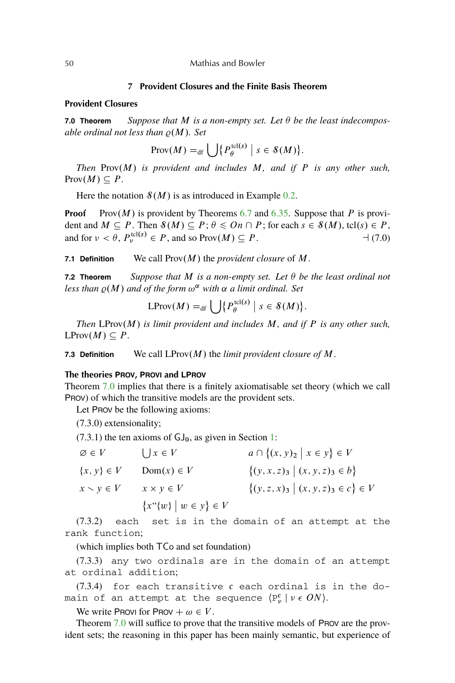## **7 Provident Closures and the Finite Basis Theorem**

## <span id="page-47-0"></span>**Provident Closures**

**7.0 Theorem** Suppose that M is a non-empty set. Let  $\theta$  be the least indecompos*able ordinal not less than*  $\rho(M)$ *. Set* 

$$
\text{Prov}(M) =_{\text{df}} \bigcup \{ P_{\theta}^{\text{tcl}(s)} \mid s \in \mathcal{S}(M) \}.
$$

*Then* Prov $(M)$  *is provident and includes* M, and *if* P *is any other such,*  $\text{Prov}(M) \subseteq P$ .

Here the notation  $\mathcal{S}(M)$  is as introduced in Example [0.2.](#page-1-0)

**Proof** Prov $(M)$  is provident by Theorems [6.7](#page-34-0) and [6.35.](#page-37-0) Suppose that P is provident and  $M \subseteq P$ . Then  $\mathcal{S}(M) \subseteq P$ ;  $\theta \leq On \cap P$ ; for each  $s \in \mathcal{S}(M)$ , tcl $(s) \in P$ , and for  $\nu < \theta$ ,  $P_{\nu}^{\text{tcl}(s)} \in P$ , and so Prov $(M) \subseteq P$ .  $\qquad \qquad \qquad \negthinspace \rightarrow (7.0)$ 

**7.1 Definition** We call  $Prov(M)$  the *provident closure* of M.

**7.2 Theorem** *Suppose that* M *is a non-empty set. Let be the least ordinal not* less than  $\varrho(M)$  and of the form  $\omega^{\alpha}$  with  $\alpha$  a limit ordinal. Set

$$
\text{LProv}(M) =_{\text{df}} \bigcup \{ P_{\theta}^{\text{tcl}(s)} \mid s \in \mathcal{S}(M) \}.
$$

*Then*  $LProw(M)$  *is limit provident and includes*  $M$ *, and if*  $P$  *is any other such,*  $L$ Prov $(M) \subseteq P$ .

**7.3 Definition** We call  $LProw(M)$  the *limit provident closure of*  $M$ .

## **The theories PROV, PROVI and LPROV**

Theorem 7.0 implies that there is a finitely axiomatisable set theory (which we call PROV) of which the transitive models are the provident sets.

Let PROV be the following axioms:

(7.3.0) extensionality;

 $(7.3.1)$  the ten axioms of  $GJ_0$ , as given in Section [1:](#page-9-0)

| $\varnothing \in V$   | $\bigcup x \in V$                     | $a \cap \{(x, y)_2 \mid x \in y\} \in V$  |
|-----------------------|---------------------------------------|-------------------------------------------|
| $\{x, y\} \in V$      | $Dom(x) \in V$                        | $\{(y, x, z)_{3}   (x, y, z)_{3} \in b\}$ |
| $x \setminus y \in V$ | $x \times y \in V$                    | $\{(y, z, x)3   (x, y, z)3 \in c\} \in V$ |
|                       | ${x^{\omega}}\{w\}$ $w \in y\} \in V$ |                                           |

(7.3.2) each set is in the domain of an attempt at the rank function;

(which implies both TCo and set foundation)

(7.3.3) any two ordinals are in the domain of an attempt at ordinal addition;

 $(7.3.4)$  for each transitive c each ordinal is in the domain of an attempt at the sequence  $\langle P_\nu^{\rm c}\mid \nu\in ON\rangle.$ 

We write Provi for Prov  $+\omega \in V$ .

Theorem 7.0 will suffice to prove that the transitive models of PROV are the provident sets; the reasoning in this paper has been mainly semantic, but experience of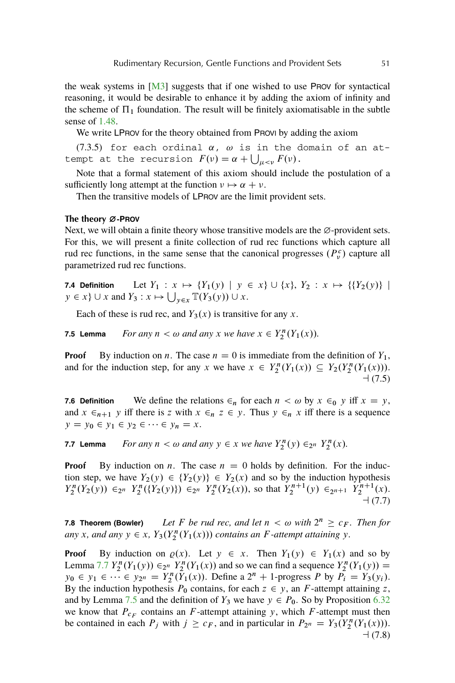<span id="page-48-0"></span>the weak systems in  $[M3]$  suggests that if one wished to use PROV for syntactical reasoning, it would be desirable to enhance it by adding the axiom of infinity and the scheme of  $\Pi_1$  foundation. The result will be finitely axiomatisable in the subtle sense of [1.48.](#page-15-0)

We write LPROV for the theory obtained from PROVI by adding the axiom

(7.3.5) for each ordinal  $\alpha$ ,  $\omega$  is in the domain of an attempt at the recursion  $F(v) = \alpha + \bigcup_{\mu < v} F(v)$ .

Note that a formal statement of this axiom should include the postulation of a sufficiently long attempt at the function  $\nu \mapsto \alpha + \nu$ .

Then the transitive models of LPROV are the limit provident sets.

#### **The theory** ¿**-PROV**

Next, we will obtain a finite theory whose transitive models are the  $\varnothing$ -provident sets. For this, we will present a finite collection of rud rec functions which capture all rud rec functions, in the same sense that the canonical progresses  $(P_v^c)$  capture all parametrized rud rec functions.

**7.4 Definition** Let  $Y_1: x \mapsto \{Y_1(y) | y \in x\} \cup \{x\}, Y_2: x \mapsto \{\{Y_2(y)\} |$  $y \in x$   $\cup$   $x$  and  $Y_3 : x \mapsto \bigcup_{y \in x} \mathbb{T}(Y_3(y)) \cup x$ .

Each of these is rud rec, and  $Y_3(x)$  is transitive for any x.

**7.5 Lemma** *For any*  $n < \omega$  *and any*  $x$  *we have*  $x \in Y_2^n(Y_1(x))$ *.* 

**Proof** By induction on *n*. The case  $n = 0$  is immediate from the definition of  $Y_1$ , and for the induction step, for any x we have  $x \in Y_2^n(Y_1(x)) \subseteq Y_2(Y_2^n(Y_1(x)))$ .  $-1(7.5)$ 

**7.6 Definition** We define the relations  $\epsilon_n$  for each  $n < \omega$  by  $x \epsilon_0$  y iff  $x = y$ , and  $x \in_{n+1} y$  iff there is z with  $x \in_n z \in y$ . Thus  $y \in_n x$  iff there is a sequence  $y = y_0 \in y_1 \in y_2 \in \cdots \in y_n = x.$ 

**7.7 Lemma** *For any*  $n < \omega$  *and any*  $y \in x$  *we have*  $Y_2^n(y) \in_{2^n} Y_2^n(x)$ *.* 

**Proof** By induction on *n*. The case  $n = 0$  holds by definition. For the induction step, we have  $Y_2(y) \in \{Y_2(y)\}\in Y_2(x)$  and so by the induction hypothesis  $Y_2^n(Y_2(y)) \in_{2^n} Y_2^n(\{Y_2(y)\}) \in_{2^n} Y_2^n(Y_2(x))$ , so that  $Y_2^{n+1}(y) \in_{2^{n+1}} Y_2^{n+1}(x)$ .  $-(7.7)$ 

**7.8 Theorem (Bowler)** Let F be rud rec, and let  $n < \omega$  with  $2^n \geq c_F$ . Then for any x, and any  $y \in x$ ,  $Y_3(Y_2^n(Y_1(x)))$  contains an F-attempt attaining y.

**Proof** By induction on  $\varrho(x)$ . Let  $y \in x$ . Then  $Y_1(y) \in Y_1(x)$  and so by Lemma 7.7  $Y_2^n(Y_1(y)) \in_{2^n} Y_2^n(Y_1(x))$  and so we can find a sequence  $Y_2^n(Y_1(y)) =$  $y_0 \in y_1 \in \cdots \in y_{2^n} = Y_2^n(\tilde{Y}_1(x))$ . Define a  $2^n + 1$ -progress P by  $P_i = Y_3(y_i)$ . By the induction hypothesis  $P_0$  contains, for each  $z \in y$ , an F-attempt attaining z, and by Lemma 7.5 and the definition of  $Y_3$  we have  $y \in P_0$ . So by Proposition [6.32](#page-37-0) we know that  $P_{c_F}$  contains an F-attempt attaining y, which F-attempt must then be contained in each  $P_j$  with  $j \geq c_F$ , and in particular in  $P_{2^n} = Y_3(Y_2^n(Y_1(x)))$ .  $-1(7.8)$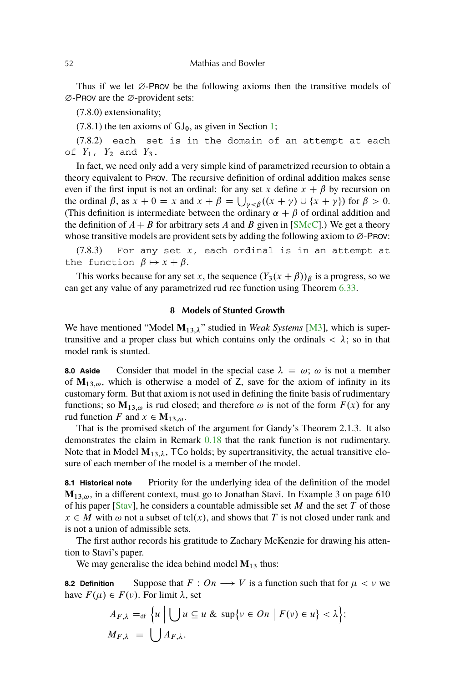Thus if we let  $\varnothing$ -PROV be the following axioms then the transitive models of  $\varnothing$ -PROV are the  $\varnothing$ -provident sets:

(7.8.0) extensionality;

 $(7.8.1)$  the ten axioms of  $GJ_0$ , as given in Section [1;](#page-9-0)

(7.8.2) each set is in the domain of an attempt at each of  $Y_1$ ,  $Y_2$  and  $Y_3$ .

In fact, we need only add a very simple kind of parametrized recursion to obtain a theory equivalent to PROV. The recursive definition of ordinal addition makes sense even if the first input is not an ordinal: for any set x define  $x + \beta$  by recursion on the ordinal  $\beta$ , as  $x + 0 = x$  and  $x + \beta = \bigcup_{\gamma < \beta} ((x + \gamma) \cup \{x + \gamma\})$  for  $\beta > 0$ . (This definition is intermediate between the ordinary  $\alpha + \beta$  of ordinal addition and the definition of  $A + B$  for arbitrary sets A and B given in [\[SMcC\]](#page-56-0).) We get a theory whose transitive models are provident sets by adding the following axiom to  $\varnothing$ -PROV:

 $(7.8.3)$  For any set x, each ordinal is in an attempt at the function  $\beta \mapsto x + \beta$ .

This works because for any set x, the sequence  $(Y_3(x + \beta))_\beta$  is a progress, so we can get any value of any parametrized rud rec function using Theorem [6.33.](#page-37-0)

## **8 Models of Stunted Growth**

We have mentioned "Model  $M_{13,\lambda}$ " studied in *Weak Systems* [\[M3\]](#page-56-0), which is supertransitive and a proper class but which contains only the ordinals  $\langle \lambda \rangle$ ; so in that model rank is stunted.

**8.0 Aside** Consider that model in the special case  $\lambda = \omega$ ;  $\omega$  is not a member of  $M_{13,\omega}$ , which is otherwise a model of Z, save for the axiom of infinity in its customary form. But that axiom is not used in defining the finite basis of rudimentary functions; so  $M_{13,\omega}$  is rud closed; and therefore  $\omega$  is not of the form  $F(x)$  for any rud function F and  $x \in M_{13,\omega}$ .

That is the promised sketch of the argument for Gandy's Theorem 2.1.3. It also demonstrates the claim in Remark [0.18](#page-4-0) that the rank function is not rudimentary. Note that in Model  $M_{13,\lambda}$ , TCo holds; by supertransitivity, the actual transitive closure of each member of the model is a member of the model.

**8.1 Historical note** Priority for the underlying idea of the definition of the model  $M_{13,\omega}$ , in a different context, must go to Jonathan Stavi. In Example 3 on page 610 of his paper [\[Stav\]](#page-56-0), he considers a countable admissible set  $M$  and the set  $T$  of those  $x \in M$  with  $\omega$  not a subset of tcl(x), and shows that T is not closed under rank and is not a union of admissible sets.

The first author records his gratitude to Zachary McKenzie for drawing his attention to Stavi's paper.

We may generalise the idea behind model  $M_{13}$  thus:

**8.2 Definition** Suppose that  $F: On \longrightarrow V$  is a function such that for  $\mu < \nu$  we have  $F(\mu) \in F(\nu)$ . For limit  $\lambda$ , set

$$
A_{F,\lambda} =_{\text{df}} \{ u \mid \bigcup u \subseteq u \& \sup \{ v \in On \mid F(v) \in u \} < \lambda \};
$$
\n
$$
M_{F,\lambda} = \bigcup A_{F,\lambda}.
$$

<span id="page-49-0"></span>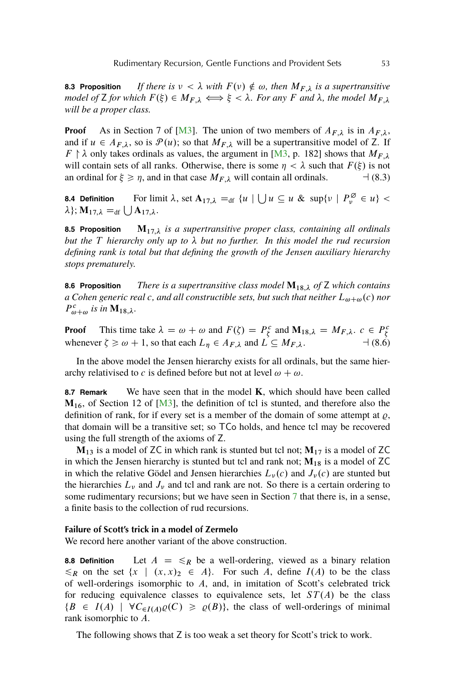<span id="page-50-0"></span>**8.3 Proposition** *If there is*  $\nu < \lambda$  with  $F(\nu) \notin \omega$ , then  $M_{F,\lambda}$  is a supertransitive *model of* **Z** for which  $F(\xi) \in M_{F,\lambda} \iff \xi < \lambda$ . For any F and  $\lambda$ , the model  $M_{F,\lambda}$ *will be a proper class.*

**Proof** As in Section 7 of [\[M3\]](#page-56-0). The union of two members of  $A_{F,\lambda}$  is in  $A_{F,\lambda}$ , and if  $u \in A_{F,\lambda}$ , so is  $\mathcal{P}(u)$ ; so that  $M_{F,\lambda}$  will be a supertransitive model of Z. If  $F \upharpoonright \lambda$  only takes ordinals as values, the argument in [\[M3,](#page-56-0) p. 182] shows that  $M_{F,\lambda}$ will contain sets of all ranks. Otherwise, there is some  $\eta < \lambda$  such that  $F(\xi)$  is not an ordinal for  $\xi \ge \eta$ , and in that case  $M_{F,\lambda}$  will contain all ordinals.  $\Box$  (8.3)

**8.4 Definition** For limit  $\lambda$ , set  $A_{17,\lambda} =_{df} \{u \mid \bigcup u \subseteq u \& \sup\{v \mid P_v^{\emptyset} \in u\}$  $\lambda$ ; **M**<sub>17, $\lambda$ </sub> = df  $\bigcup$  **A**<sub>17, $\lambda$ </sub>.

**8.5 Proposition M**17; *is a supertransitive proper class, containing all ordinals but the* T *hierarchy only up to but no further. In this model the rud recursion defining rank is total but that defining the growth of the Jensen auxiliary hierarchy stops prematurely.*

**8.6 Proposition** *There is a supertransitive class model* **M**18; *of* Z *which contains a* Cohen generic real c, and all constructible sets, but such that neither  $L_{\omega+\omega}(c)$  nor  $P_{\omega+\omega}^c$  is in **M**<sub>18, $\lambda$ </sub>.

**Proof** This time take  $\lambda = \omega + \omega$  and  $F(\zeta) = P_{\zeta}^c$  and  $M_{18,\lambda} = M_{F,\lambda}$ .  $c \in P_{\zeta}^c$ whenever  $\zeta \ge \omega + 1$ , so that each  $L_n \in A_{F,\lambda}$  and  $L \subseteq M_{F,\lambda}$ .

In the above model the Jensen hierarchy exists for all ordinals, but the same hierarchy relativised to c is defined before but not at level  $\omega + \omega$ .

**8.7 Remark** We have seen that in the model **K**, which should have been called **M**<sub>16</sub>, of Section 12 of [M<sup>3</sup>], the definition of tcl is stunted, and therefore also the definition of rank, for if every set is a member of the domain of some attempt at  $\rho$ , that domain will be a transitive set; so TCo holds, and hence tcl may be recovered using the full strength of the axioms of Z.

 $M_{13}$  is a model of ZC in which rank is stunted but tcl not;  $M_{17}$  is a model of ZC in which the Jensen hierarchy is stunted but tcl and rank not;  $M_{18}$  is a model of ZC in which the relative Gödel and Jensen hierarchies  $L_{\nu}(c)$  and  $J_{\nu}(c)$  are stunted but the hierarchies  $L_{\nu}$  and  $J_{\nu}$  and tcl and rank are not. So there is a certain ordering to some rudimentary recursions; but we have seen in Section [7](#page-47-0) that there is, in a sense, a finite basis to the collection of rud recursions.

## **Failure of Scott's trick in a model of Zermelo**

We record here another variant of the above construction.

**8.8 Definition** Let  $A = \leq_R$  be a well-ordering, viewed as a binary relation  $\leq_R$  on the set  $\{x \mid (x,x)_2 \in A\}$ . For such A, define  $I(A)$  to be the class of well-orderings isomorphic to  $A$ , and, in imitation of Scott's celebrated trick for reducing equivalence classes to equivalence sets, let  $ST(A)$  be the class  $\{B \in I(A) \mid \forall C_{\in I(A)} \varrho(C) \geq \varrho(B)\},\$  the class of well-orderings of minimal rank isomorphic to A.

The following shows that  $Z$  is too weak a set theory for Scott's trick to work.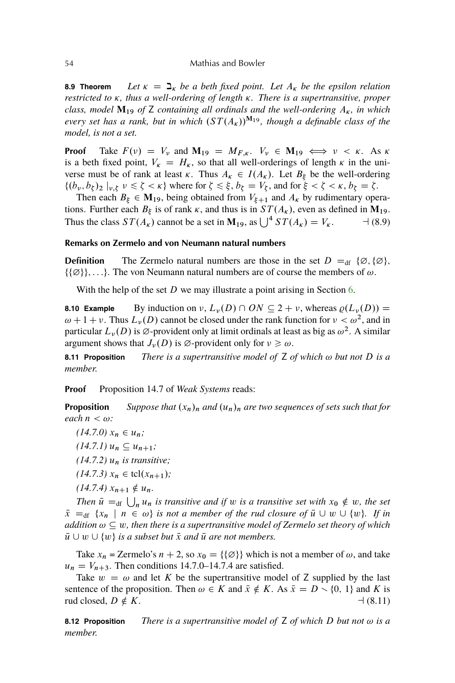#### <span id="page-51-0"></span>54 Mathias and Bowler

**8.9 Theorem** *Let*  $\kappa = \mathfrak{D}_{\kappa}$  *be a beth fixed point. Let*  $A_{\kappa}$  *be the epsilon relation restricted to*  $\kappa$ *, thus a well-ordering of length*  $\kappa$ *. There is a supertransitive, proper class, model*  $M_{19}$  *of* Z *containing all ordinals and the well-ordering*  $A_{\kappa}$ *, in which every set has a rank, but in which*  $(ST(A_k))^{M_19}$ *, though a definable class of the model, is not a set.*

**Proof** Take  $F(v) = V_v$  and  $M_{19} = M_{F,\kappa}$ .  $V_v \in M_{19} \iff v < \kappa$ . As  $\kappa$ is a beth fixed point,  $V_{\kappa} = H_{\kappa}$ , so that all well-orderings of length  $\kappa$  in the universe must be of rank at least  $\kappa$ . Thus  $A_{\kappa} \in I(A_{\kappa})$ . Let  $B_{\xi}$  be the well-ordering  $\{(b_{\nu}, b_{\zeta})_2 \mid \nu, \zeta \nu \leq \zeta < \kappa\}$  where for  $\zeta \leq \xi, b_{\zeta} = V_{\zeta}$ , and for  $\xi < \zeta < \kappa, b_{\zeta} = \zeta$ .

Then each  $B_{\xi} \in M_{19}$ , being obtained from  $V_{\xi+1}$  and  $A_{\kappa}$  by rudimentary operations. Further each  $B_{\xi}$  is of rank  $\kappa$ , and thus is in  $ST(A_{\kappa})$ , even as defined in  $M_1$ <sup>9</sup>. Thus the class  $ST(A_{\kappa})$  cannot be a set in  $M_{19}$ , as  $\bigcup^{4} ST(A_{\kappa}) = V_{\kappa}$ .  $\qquad \rightarrow (8.9)$ 

## **Remarks on Zermelo and von Neumann natural numbers**

**Definition** The Zermelo natural numbers are those in the set  $D =_{df} {\emptyset}$ ;  ${\emptyset}$ ;  $\{\{\emptyset\}\}\$ , ...}. The von Neumann natural numbers are of course the members of  $\omega$ .

With the help of the set  $D$  we may illustrate a point arising in Section [6.](#page-34-0)

**8.10 Example** By induction on  $\nu$ ,  $L_{\nu}(D) \cap ON \subseteq 2 + \nu$ , whereas  $\varrho(L_{\nu}(D)) =$  $\omega + 1 + \nu$ . Thus  $L_{\nu}(D)$  cannot be closed under the rank function for  $\nu < \omega^2$ , and in particular  $L_{\nu}(D)$  is  $\varnothing$ -provident only at limit ordinals at least as big as  $\omega^2$ . A similar argument shows that  $J_{\nu}(D)$  is  $\varnothing$ -provident only for  $\nu \geq \omega$ .

**8.11 Proposition** *There is a supertransitive model of*  $Z$  *of which*  $\omega$  *but not*  $D$  *is a member.*

**Proof** Proposition 14.7 of *Weak Systems* reads:

**Proposition** *Suppose that*  $(x_n)_n$  *and*  $(u_n)_n$  *are two sequences of sets such that for each*  $n < \omega$ *:* 

 $(14.7.0) x_n \in u_n;$  $(14.7.1)$   $u_n \subseteq u_{n+1}$ ;  $(14.7.2)$   $u_n$  *is transitive*;  $(14.7.3) x_n \in \text{tcl}(x_{n+1})$ ;  $(14.7.4) x_{n+1} \notin u_n$ .

*Then*  $\bar{u} =_{df} \bigcup_n u_n$  *is transitive and if* w *is a transitive set with*  $x_0 \notin w$ , the set  $\bar{x}$  =  $_{df}$  { $x_n$  |  $n \in \omega$ } is not a member of the rud closure of  $\bar{u} \cup w \cup \{w\}$ . If in *addition*  $\omega \subseteq w$ , then there is a supertransitive model of Zermelo set theory of which  $\bar{u} \cup w \cup \{w\}$  *is a subset but*  $\bar{x}$  *and*  $\bar{u}$  *are not members.* 

Take  $x_n$  = Zermelo's  $n + 2$ , so  $x_0 = {\{\emptyset\}}$  which is not a member of  $\omega$ , and take  $u_n = V_{n+3}$ . Then conditions 14.7.0–14.7.4 are satisfied.

Take  $w = \omega$  and let K be the supertransitive model of Z supplied by the last sentence of the proposition. Then  $\omega \in K$  and  $\bar{x} \notin K$ . As  $\bar{x} = D \setminus \{0, 1\}$  and K is rud closed,  $D \notin K$ .  $\qquad (8.11)$ 

**8.12 Proposition** *There is a supertransitive model of*  $\mathsf{Z}$  *of which*  $D$  *but not*  $\omega$  *is a member.*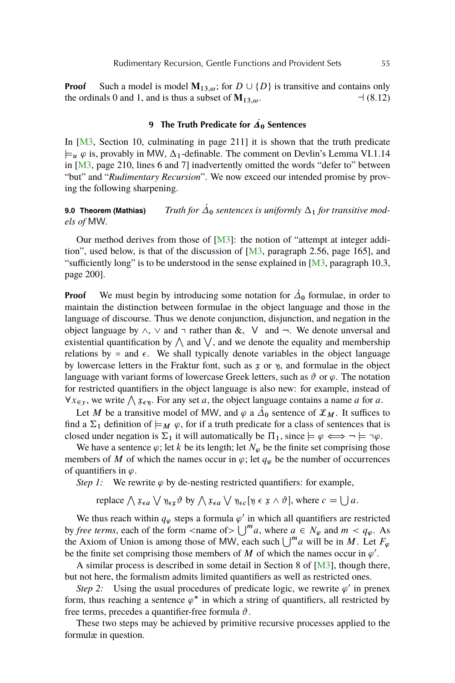<span id="page-52-0"></span>**Proof** Such a model is model  $M_{13,\omega}$ ; for  $D \cup \{D\}$  is transitive and contains only the ordinals 0 and 1, and is thus a subset of **M**13;!. a (8.12)

# **9** The Truth Predicate for  $\vec{A}_0$  Sentences

In [\[M3,](#page-56-0) Section 10, culminating in page 211] it is shown that the truth predicate  $\vdash_{u} \varphi$  is, provably in MW,  $\Delta_1$ -definable. The comment on Devlin's Lemma VI.1.14 in [\[M3,](#page-56-0) page 210, lines 6 and 7] inadvertently omitted the words "defer to" between "but" and "*Rudimentary Recursion*". We now exceed our intended promise by proving the following sharpening.

**9.0 Theorem (Mathias)** Truth for  $\dot{\Delta}_0$  sentences is uniformly  $\Delta_1$  for transitive mod*els of* MW*.*

Our method derives from those of  $[M3]$ : the notion of "attempt at integer addition", used below, is that of the discussion of [\[M3,](#page-56-0) paragraph 2.56, page 165], and "sufficiently long" is to be understood in the sense explained in  $[M3]$ , paragraph 10.3, page 200].

**Proof** We must begin by introducing some notation for  $\dot{\Delta}_0$  formulae, in order to maintain the distinction between formulae in the object language and those in the language of discourse. Thus we denote conjunction, disjunction, and negation in the object language by  $\land$ ,  $\lor$  and  $\neg$  rather than &,  $\lor$  and  $\neg$ . We denote unversal and existential quantification by  $\wedge$  and  $\vee$ , and we denote the equality and membership relations by = and  $\epsilon$ . We shall typically denote variables in the object language by lowercase letters in the Fraktur font, such as  $x$  or  $y$ , and formulae in the object language with variant forms of lowercase Greek letters, such as  $\vartheta$  or  $\varphi$ . The notation for restricted quantifiers in the object language is also new: for example, instead of  $\forall x \in \mathcal{Y}$ , we write  $\bigwedge x \in \mathcal{Y}$ . For any set a, the object language contains a name a for a.

Let M be a transitive model of MW, and  $\varphi$  a  $\overrightarrow{\Delta}_0$  sentence of  $\mathcal{L}_M$ . It suffices to find a  $\Sigma_1$  definition of  $\models_M \varphi$ , for if a truth predicate for a class of sentences that is closed under negation is  $\Sigma_1$  it will automatically be  $\Pi_1$ , since  $\models \varphi \iff \neg \models \neg \varphi$ .

We have a sentence  $\varphi$ ; let k be its length; let  $N_{\varphi}$  be the finite set comprising those members of M of which the names occur in  $\varphi$ ; let  $q_{\varphi}$  be the number of occurrences of quantifiers in  $\varphi$ .

*Step 1:* We rewrite  $\varphi$  by de-nesting restricted quantifiers: for example,

replace  $\bigwedge x_{\epsilon a} \bigvee y_{\epsilon x} \vartheta$  by  $\bigwedge x_{\epsilon a} \bigvee y_{\epsilon c} [\vartheta \epsilon x \wedge \vartheta]$ , where  $c = \bigcup a$ .

We thus reach within  $q_{\varphi}$  steps a formula  $\varphi'$  in which all quantifiers are restricted by *free terms*, each of the form <name of >  $\bigcup^m a$ , where  $a \in N_\varphi$  and  $m < q_\varphi$ . As the Axiom of Union is among those of MW, each such  $\bigcup^m a$  will be in M. Let  $F_{\varphi}$ be the finite set comprising those members of M of which the names occur in  $\varphi'$ .

A similar process is described in some detail in Section 8 of [\[M3\]](#page-56-0), though there, but not here, the formalism admits limited quantifiers as well as restricted ones.

*Step 2:* Using the usual procedures of predicate logic, we rewrite  $\varphi'$  in prenex form, thus reaching a sentence  $\varphi^*$  in which a string of quantifiers, all restricted by free terms, precedes a quantifier-free formula  $\vartheta$ .

These two steps may be achieved by primitive recursive processes applied to the formulæ in question.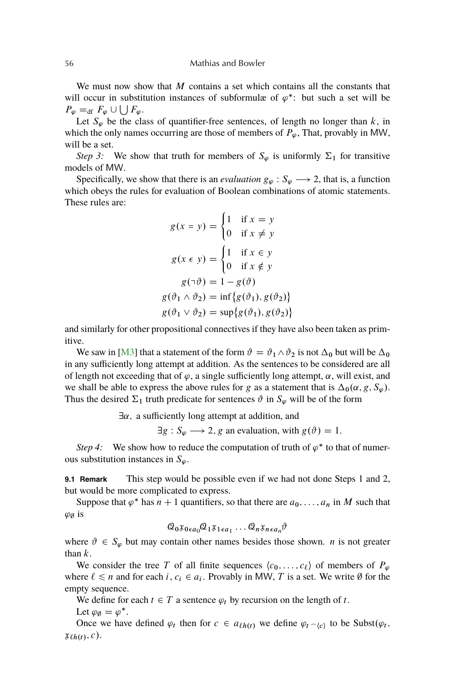#### <span id="page-53-0"></span>56 Mathias and Bowler

We must now show that  $M$  contains a set which contains all the constants that will occur in substitution instances of subformulæ of  $\varphi^*$ : but such a set will be  $P_{\varphi} =_{\text{df}} F_{\varphi} \cup \bigcup F_{\varphi}.$ 

Let  $S_{\varphi}$  be the class of quantifier-free sentences, of length no longer than k, in which the only names occurring are those of members of  $P_{\varphi}$ , That, provably in MW, will be a set.

*Step 3:* We show that truth for members of  $S_{\varphi}$  is uniformly  $\Sigma_1$  for transitive models of MW.

Specifically, we show that there is an *evaluation*  $g_{\varphi}: S_{\varphi} \longrightarrow 2$ , that is, a function which obeys the rules for evaluation of Boolean combinations of atomic statements. These rules are:

$$
g(x = y) = \begin{cases} 1 & \text{if } x = y \\ 0 & \text{if } x \neq y \end{cases}
$$

$$
g(x \in y) = \begin{cases} 1 & \text{if } x \in y \\ 0 & \text{if } x \notin y \end{cases}
$$

$$
g(\neg \vartheta) = 1 - g(\vartheta)
$$

$$
g(\vartheta_1 \land \vartheta_2) = \inf \{ g(\vartheta_1), g(\vartheta_2) \}
$$

$$
g(\vartheta_1 \lor \vartheta_2) = \sup \{ g(\vartheta_1), g(\vartheta_2) \}
$$

and similarly for other propositional connectives if they have also been taken as primitive.

We saw in [\[M3\]](#page-56-0) that a statement of the form  $\vartheta = \vartheta_1 \wedge \vartheta_2$  is not  $\Delta_0$  but will be  $\Delta_0$ in any sufficiently long attempt at addition. As the sentences to be considered are all of length not exceeding that of  $\varphi$ , a single sufficiently long attempt,  $\alpha$ , will exist, and we shall be able to express the above rules for g as a statement that is  $\Delta_0(\alpha, g, S_\varphi)$ . Thus the desired  $\Sigma_1$  truth predicate for sentences  $\vartheta$  in  $S_{\varphi}$  will be of the form

 $\exists \alpha$ , a sufficiently long attempt at addition, and

 $\exists g : S_{\varphi} \longrightarrow 2$ , g an evaluation, with  $g(\vartheta) = 1$ .

 $\mathcal{E}$ 

*Step 4:* We show how to reduce the computation of truth of  $\varphi^*$  to that of numerous substitution instances in  $S_{\varphi}$ .

**9.1 Remark** This step would be possible even if we had not done Steps 1 and 2, but would be more complicated to express.

Suppose that  $\varphi^*$  has  $n + 1$  quantifiers, so that there are  $a_0, \ldots, a_n$  in M such that  $\varphi_{\emptyset}$  is

$$
Q_0 \mathfrak{X}_{0\epsilon a_0} Q_1 \mathfrak{X}_{1\epsilon a_1} \dots Q_n \mathfrak{X}_{n\epsilon a_n} \vartheta
$$

where  $\vartheta \in S_{\varphi}$  but may contain other names besides those shown. *n* is not greater than  $k$ .

We consider the tree T of all finite sequences  $\langle c_0, \ldots, c_\ell \rangle$  of members of  $P_\varphi$ where  $\ell \le n$  and for each i,  $c_i \in a_i$ . Provably in MW, T is a set. We write  $\emptyset$  for the empty sequence.

We define for each  $t \in T$  a sentence  $\varphi_t$  by recursion on the length of t.

Let  $\varphi_{\emptyset} = \varphi^*$ .

Once we have defined  $\varphi_t$  then for  $c \in a_{\ell h(t)}$  we define  $\varphi_t \sim_{(c)}$  to be Subst $(\varphi_t, \varphi_t)$  $x_{\ell h(t)}, c$ .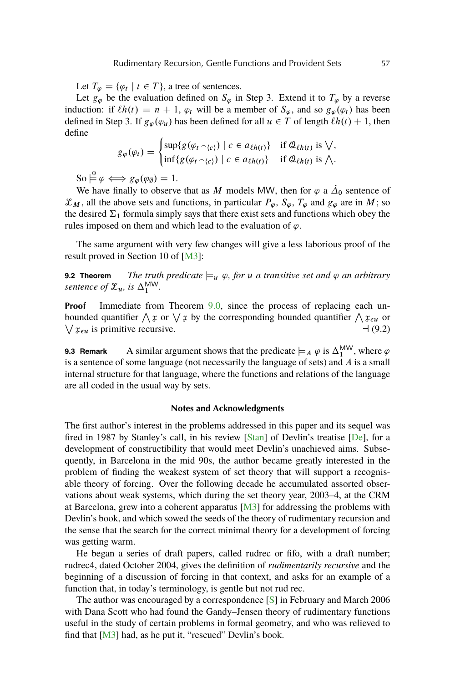<span id="page-54-0"></span>Let  $T_{\varphi} = {\varphi_t \mid t \in T}$ , a tree of sentences.

Let  $g_{\varphi}$  be the evaluation defined on  $S_{\varphi}$  in Step 3. Extend it to  $T_{\varphi}$  by a reverse induction: if  $\ell h(t) = n + 1$ ,  $\varphi_t$  will be a member of  $S_{\varphi}$ , and so  $g_{\varphi}(\varphi_t)$  has been defined in Step 3. If  $g_{\varphi}(\varphi_u)$  has been defined for all  $u \in T$  of length  $\ell h(t) + 1$ , then define

$$
g_{\varphi}(\varphi_t) = \begin{cases} \sup\{g(\varphi_t \cap_{\{c\}}) \mid c \in a_{\ell h(t)}\} & \text{if } \mathcal{Q}_{\ell h(t)} \text{ is } \bigvee, \\ \inf\{g(\varphi_t \cap_{\{c\}}) \mid c \in a_{\ell h(t)}\} & \text{if } \mathcal{Q}_{\ell h(t)} \text{ is } \bigwedge. \end{cases}
$$

 $\text{So } \stackrel{\mathbf{0}}{\models} \varphi \iff g_{\varphi}(\varphi_{\emptyset}) = 1.$ 

We have finally to observe that as M models MW, then for  $\varphi$  a  $\dot{\Delta}_0$  sentence of  $\mathcal{L}_M$ , all the above sets and functions, in particular  $P_\varphi$ ,  $S_\varphi$ ,  $T_\varphi$  and  $g_\varphi$  are in M; so the desired  $\Sigma_1$  formula simply says that there exist sets and functions which obey the rules imposed on them and which lead to the evaluation of  $\varphi$ .

The same argument with very few changes will give a less laborious proof of the result proved in Section 10 of [\[M3\]](#page-56-0):

**9.2 Theorem** *The truth predicate*  $\models u$   $\varphi$ , for  $u$  *a transitive set and*  $\varphi$  *an arbitrary sentence of*  $\mathcal{L}_u$ *, is*  $\Delta_1^{\text{MW}}$ *.* 

**Proof** Immediate from Theorem [9.0,](#page-52-0) since the process of replacing each unbounded quantifier  $\bigwedge x$  or  $\bigvee x$  by the corresponding bounded quantifier  $\bigwedge x_{\epsilon u}$  or W xu is primitive recursive. a (9.2)

**9.3 Remark** A similar argument shows that the predicate  $\models_A \varphi$  is  $\Delta_1^{MW}$ , where  $\varphi$ is a sentence of some language (not necessarily the language of sets) and  $A$  is a small internal structure for that language, where the functions and relations of the language are all coded in the usual way by sets.

## **Notes and Acknowledgments**

The first author's interest in the problems addressed in this paper and its sequel was fired in 1987 by Stanley's call, in his review  $[Stan]$  of Devlin's treatise  $[De]$ , for a development of constructibility that would meet Devlin's unachieved aims. Subsequently, in Barcelona in the mid 90s, the author became greatly interested in the problem of finding the weakest system of set theory that will support a recognisable theory of forcing. Over the following decade he accumulated assorted observations about weak systems, which during the set theory year, 2003–4, at the CRM at Barcelona, grew into a coherent apparatus  $[M3]$  for addressing the problems with Devlin's book, and which sowed the seeds of the theory of rudimentary recursion and the sense that the search for the correct minimal theory for a development of forcing was getting warm.

He began a series of draft papers, called rudrec or fifo, with a draft number; rudrec4, dated October 2004, gives the definition of *rudimentarily recursive* and the beginning of a discussion of forcing in that context, and asks for an example of a function that, in today's terminology, is gentle but not rud rec.

The author was encouraged by a correspondence [\[S\]](#page-56-0) in February and March 2006 with Dana Scott who had found the Gandy–Jensen theory of rudimentary functions useful in the study of certain problems in formal geometry, and who was relieved to find that [\[M3\]](#page-56-0) had, as he put it, "rescued" Devlin's book.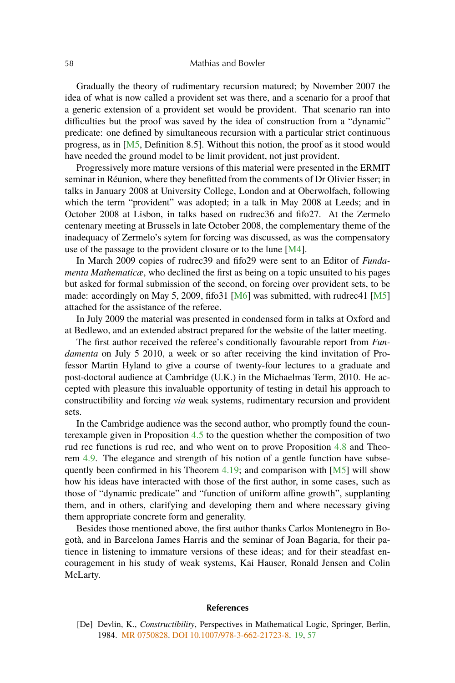#### <span id="page-55-0"></span>58 Mathias and Bowler

Gradually the theory of rudimentary recursion matured; by November 2007 the idea of what is now called a provident set was there, and a scenario for a proof that a generic extension of a provident set would be provident. That scenario ran into difficulties but the proof was saved by the idea of construction from a "dynamic" predicate: one defined by simultaneous recursion with a particular strict continuous progress, as in [\[M5,](#page-56-0) Definition 8.5]. Without this notion, the proof as it stood would have needed the ground model to be limit provident, not just provident.

Progressively more mature versions of this material were presented in the ERMIT seminar in Réunion, where they benefitted from the comments of Dr Olivier Esser; in talks in January 2008 at University College, London and at Oberwolfach, following which the term "provident" was adopted; in a talk in May 2008 at Leeds; and in October 2008 at Lisbon, in talks based on rudrec36 and fifo27. At the Zermelo centenary meeting at Brussels in late October 2008, the complementary theme of the inadequacy of Zermelo's sytem for forcing was discussed, as was the compensatory use of the passage to the provident closure or to the lune [\[M4\]](#page-56-0).

In March 2009 copies of rudrec39 and fifo29 were sent to an Editor of *Fundamenta Mathematicæ*, who declined the first as being on a topic unsuited to his pages but asked for formal submission of the second, on forcing over provident sets, to be made: accordingly on May 5, 2009, fifo31 [\[M6\]](#page-56-0) was submitted, with rudrec41 [\[M5\]](#page-56-0) attached for the assistance of the referee.

In July 2009 the material was presented in condensed form in talks at Oxford and at Bedlewo, and an extended abstract prepared for the website of the latter meeting.

The first author received the referee's conditionally favourable report from *Fundamenta* on July 5 2010, a week or so after receiving the kind invitation of Professor Martin Hyland to give a course of twenty-four lectures to a graduate and post-doctoral audience at Cambridge (U.K.) in the Michaelmas Term, 2010. He accepted with pleasure this invaluable opportunity of testing in detail his approach to constructibility and forcing *via* weak systems, rudimentary recursion and provident sets.

In the Cambridge audience was the second author, who promptly found the counterexample given in Proposition [4.5](#page-26-0) to the question whether the composition of two rud rec functions is rud rec, and who went on to prove Proposition [4.8](#page-26-0) and Theorem [4.9.](#page-26-0) The elegance and strength of his notion of a gentle function have subse-quently been confirmed in his Theorem [4.19;](#page-30-0) and comparison with  $[M5]$  will show how his ideas have interacted with those of the first author, in some cases, such as those of "dynamic predicate" and "function of uniform affine growth", supplanting them, and in others, clarifying and developing them and where necessary giving them appropriate concrete form and generality.

Besides those mentioned above, the first author thanks Carlos Montenegro in Bogotà, and in Barcelona James Harris and the seminar of Joan Bagaria, for their patience in listening to immature versions of these ideas; and for their steadfast encouragement in his study of weak systems, Kai Hauser, Ronald Jensen and Colin McLarty.

#### **References**

[De] Devlin, K., *Constructibility*, Perspectives in Mathematical Logic, Springer, Berlin, 1984. [MR 0750828.](http://www.ams.org/mathscinet-getitem?mr=0750828) [DOI 10.1007/978-3-662-21723-8.](http://dx.doi.org/10.1007/978-3-662-21723-8) [19,](#page-16-0) [57](#page-54-0)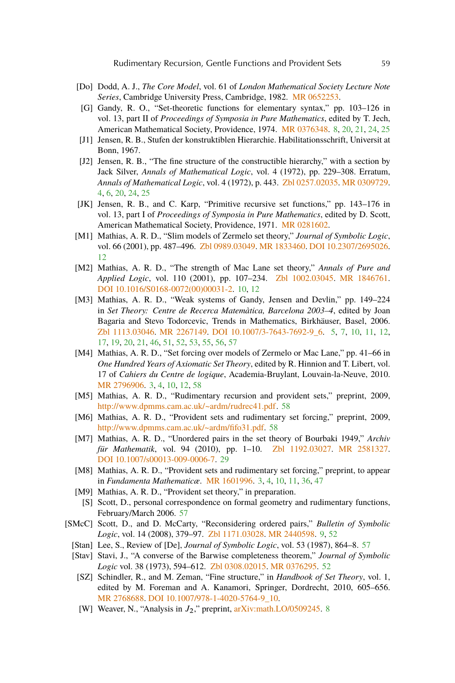- <span id="page-56-0"></span>[Do] Dodd, A. J., *The Core Model*, vol. 61 of *London Mathematical Society Lecture Note Series*, Cambridge University Press, Cambridge, 1982. [MR 0652253.](http://www.ams.org/mathscinet-getitem?mr=0652253)
- [G] Gandy, R. O., "Set-theoretic functions for elementary syntax," pp. 103–126 in vol. 13, part II of *Proceedings of Symposia in Pure Mathematics*, edited by T. Jech, American Mathematical Society, Providence, 1974. [MR 0376348.](http://www.ams.org/mathscinet-getitem?mr=0376348) [8,](#page-5-0) [20,](#page-17-0) [21,](#page-18-0) [24,](#page-21-0) [25](#page-22-0)
- [J1] Jensen, R. B., Stufen der konstruktiblen Hierarchie. Habilitationsschrift, Universit at Bonn, 1967.
- [J2] Jensen, R. B., "The fine structure of the constructible hierarchy," with a section by Jack Silver, *Annals of Mathematical Logic*, vol. 4 (1972), pp. 229–308. Erratum, *Annals of Mathematical Logic*, vol. 4 (1972), p. 443. [Zbl 0257.02035.](http://www.emis.de/cgi-bin/MATH-item?0257.02035) [MR 0309729.](http://www.ams.org/mathscinet-getitem?mr=0309729) [4,](#page-1-0) [6,](#page-3-0) [20,](#page-17-0) [24,](#page-21-0) [25](#page-22-0)
- [JK] Jensen, R. B., and C. Karp, "Primitive recursive set functions," pp. 143–176 in vol. 13, part I of *Proceedings of Symposia in Pure Mathematics*, edited by D. Scott, American Mathematical Society, Providence, 1971. [MR 0281602.](http://www.ams.org/mathscinet-getitem?mr=0281602)
- [M1] Mathias, A. R. D., "Slim models of Zermelo set theory," *Journal of Symbolic Logic*, vol. 66 (2001), pp. 487–496. [Zbl 0989.03049.](http://www.emis.de/cgi-bin/MATH-item?0989.03049) [MR 1833460.](http://www.ams.org/mathscinet-getitem?mr=1833460) [DOI 10.2307/2695026.](http://dx.doi.org/10.2307/2695026) [12](#page-9-0)
- [M2] Mathias, A. R. D., "The strength of Mac Lane set theory," *Annals of Pure and Applied Logic*, vol. 110 (2001), pp. 107–234. [Zbl 1002.03045.](http://www.emis.de/cgi-bin/MATH-item?1002.03045) [MR 1846761.](http://www.ams.org/mathscinet-getitem?mr=1846761) [DOI 10.1016/S0168-0072\(00\)00031-2.](http://dx.doi.org/10.1016/S0168-0072(00)00031-2) [10,](#page-7-0) [12](#page-9-0)
- [M3] Mathias, A. R. D., "Weak systems of Gandy, Jensen and Devlin," pp. 149–224 in *Set Theory: Centre de Recerca Matemàtica, Barcelona 2003–4*, edited by Joan Bagaria and Stevo Todorcevic, Trends in Mathematics, Birkhäuser, Basel, 2006. [Zbl 1113.03046.](http://www.emis.de/cgi-bin/MATH-item?1113.03046) [MR 2267149.](http://www.ams.org/mathscinet-getitem?mr=2267149) [DOI 10.1007/3-7643-7692-9\\_6.](http://dx.doi.org/10.1007/3-7643-7692-9_6) [5,](#page-2-0) [7,](#page-4-0) [10,](#page-7-0) [11,](#page-8-0) [12,](#page-9-0) [17,](#page-14-0) [19,](#page-16-0) [20,](#page-17-0) [21,](#page-18-0) [46,](#page-43-0) [51,](#page-48-0) [52,](#page-49-0) [53,](#page-50-0) [55,](#page-52-0) [56,](#page-53-0) [57](#page-54-0)
- [M4] Mathias, A. R. D., "Set forcing over models of Zermelo or Mac Lane," pp. 41–66 in *One Hundred Years of Axiomatic Set Theory*, edited by R. Hinnion and T. Libert, vol. 17 of *Cahiers du Centre de logique*, Academia-Bruylant, Louvain-la-Neuve, 2010. [MR 2796906.](http://www.ams.org/mathscinet-getitem?mr=2796906) [3,](#page-0-0) [4,](#page-1-0) [10,](#page-7-0) [12,](#page-9-0) [58](#page-55-0)
- [M5] Mathias, A. R. D., "Rudimentary recursion and provident sets," preprint, 2009, [http://www.dpmms.cam.ac.uk/~ardm/rudrec41.pdf.](http://www.dpmms.cam.ac.uk/~ardm/rudrec41.pdf) [58](#page-55-0)
- [M6] Mathias, A. R. D., "Provident sets and rudimentary set forcing," preprint, 2009, [http://www.dpmms.cam.ac.uk/~ardm/fifo31.pdf.](http://www.dpmms.cam.ac.uk/~ardm/fifo31.pdf) [58](#page-55-0)
- [M7] Mathias, A. R. D., "Unordered pairs in the set theory of Bourbaki 1949," *Archiv für Mathematik*, vol. 94 (2010), pp. 1–10. [Zbl 1192.03027.](http://www.emis.de/cgi-bin/MATH-item?1192.03027) [MR 2581327.](http://www.ams.org/mathscinet-getitem?mr=2581327) [DOI 10.1007/s00013-009-0006-7.](http://dx.doi.org/10.1007/s00013-009-0006-7) [29](#page-26-0)
- [M8] Mathias, A. R. D., "Provident sets and rudimentary set forcing," preprint, to appear in *Fundamenta Mathematicæ*. [MR 1601996.](http://www.ams.org/mathscinet-getitem?mr=1601996) [3,](#page-0-0) [4,](#page-1-0) [10,](#page-7-0) [11,](#page-8-0) [36,](#page-33-0) [47](#page-44-0)
- [M9] Mathias, A. R. D., "Provident set theory," in preparation.
- [S] Scott, D., personal correspondence on formal geometry and rudimentary functions, February/March 2006. [57](#page-54-0)
- [SMcC] Scott, D., and D. McCarty, "Reconsidering ordered pairs," *Bulletin of Symbolic Logic*, vol. 14 (2008), 379–97. [Zbl 1171.03028.](http://www.emis.de/cgi-bin/MATH-item?1171.03028) [MR 2440598.](http://www.ams.org/mathscinet-getitem?mr=2440598) [9,](#page-6-0) [52](#page-49-0)
	- [Stan] Lee, S., Review of [De], *Journal of Symbolic Logic*, vol. 53 (1987), 864–8. [57](#page-54-0)
	- [Stav] Stavi, J., "A converse of the Barwise completeness theorem," *Journal of Symbolic Logic* vol. 38 (1973), 594–612. [Zbl 0308.02015.](http://www.emis.de/cgi-bin/MATH-item?0308.02015) [MR 0376295.](http://www.ams.org/mathscinet-getitem?mr=0376295) [52](#page-49-0)
		- [SZ] Schindler, R., and M. Zeman, "Fine structure," in *Handbook of Set Theory*, vol. 1, edited by M. Foreman and A. Kanamori, Springer, Dordrecht, 2010, 605–656. [MR 2768688.](http://www.ams.org/mathscinet-getitem?mr=2768688) [DOI 10.1007/978-1-4020-5764-9\\_10.](http://dx.doi.org/10.1007/978-1-4020-5764-9_10)
		- [W] Weaver, N., "Analysis in  $J_2$ ," preprint, [arXiv:math.LO/0509245.](http://arxiv.org/abs/arXiv:math.LO/0509245) [8](#page-5-0)